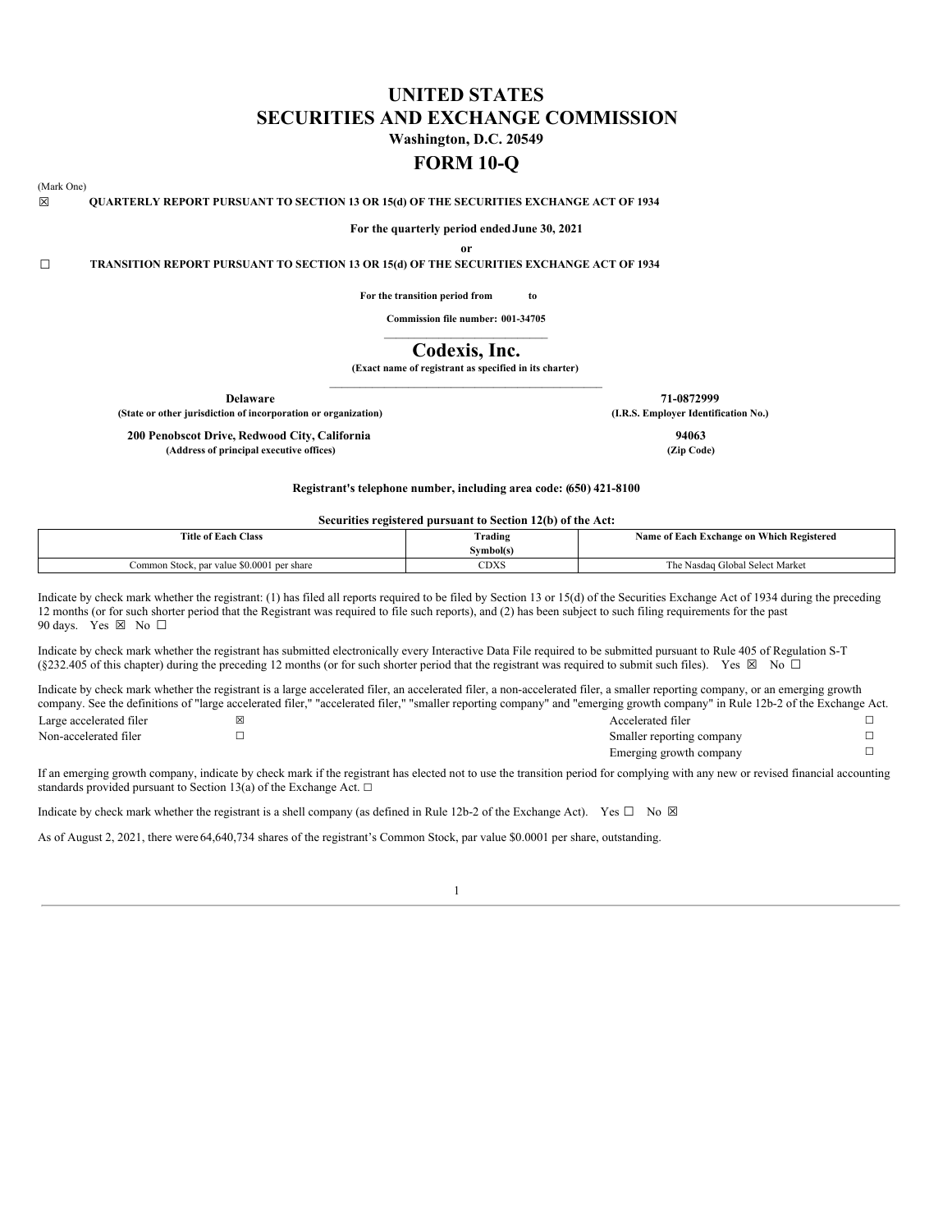# **UNITED STATES SECURITIES AND EXCHANGE COMMISSION**

**Washington, D.C. 20549**

# **FORM 10-Q**

(Mark One)

☒ **QUARTERLY REPORT PURSUANT TO SECTION 13 OR 15(d) OF THE SECURITIES EXCHANGE ACT OF 1934**

**For the quarterly period endedJune 30, 2021**

**or**

☐ **TRANSITION REPORT PURSUANT TO SECTION 13 OR 15(d) OF THE SECURITIES EXCHANGE ACT OF 1934**

**For the transition period from to**

**Commission file number: 001-34705**  $\mathcal{L}_\text{max}$ 

# **Codexis, Inc.**

**(Exact name of registrant as specified in its charter)**  $\mathcal{L}_\text{max}$  and the contract of the contract of the contract of the contract of the contract of the contract of the contract of the contract of the contract of the contract of the contract of the contract of the contrac

**(State or other jurisdiction of incorporation or organization) (I.R.S. Employer Identification No.)**

**Delaware 71-0872999**

**200 Penobscot Drive, Redwood City, California 94063 (Address of principal executive offices) (Zip Code)**

**Registrant's telephone number, including area code: (650) 421-8100**

## **Securities registered pursuant to Section 12(b) of the Act:**

| <b>Title of Each Class</b>                 | Trading                | Name of Each Exchange on Which Registered |
|--------------------------------------------|------------------------|-------------------------------------------|
|                                            | Symbol(s)              |                                           |
| Common Stock, par value \$0.0001 per share | $\mathbb{T} {\rm DXS}$ | The Nasdaq Global Select Market           |

Indicate by check mark whether the registrant: (1) has filed all reports required to be filed by Section 13 or 15(d) of the Securities Exchange Act of 1934 during the preceding 12 months (or for such shorter period that the Registrant was required to file such reports), and (2) has been subject to such filing requirements for the past 90 days. Yes  $\boxtimes$  No  $\square$ 

Indicate by check mark whether the registrant has submitted electronically every Interactive Data File required to be submitted pursuant to Rule 405 of Regulation S-T (§232.405 of this chapter) during the preceding 12 months (or for such shorter period that the registrant was required to submit such files). Yes  $\boxtimes$  No  $\Box$ 

Indicate by check mark whether the registrant is a large accelerated filer, an accelerated filer, a non-accelerated filer, a smaller reporting company, or an emerging growth company. See the definitions of "large accelerated filer," "accelerated filer," "smaller reporting company" and "emerging growth company" in Rule 12b-2 of the Exchange Act. Large accelerated filer ☒ Accelerated filer ☐

| Non-accelerated filer | Smaller reporting company |
|-----------------------|---------------------------|
|                       | Emerging growth company   |
|                       |                           |

If an emerging growth company, indicate by check mark if the registrant has elected not to use the transition period for complying with any new or revised financial accounting standards provided pursuant to Section 13(a) of the Exchange Act.  $\Box$ 

Indicate by check mark whether the registrant is a shell company (as defined in Rule 12b-2 of the Exchange Act). Yes  $\square$  No  $\boxtimes$ 

As of August 2, 2021, there were64,640,734 shares of the registrant's Common Stock, par value \$0.0001 per share, outstanding.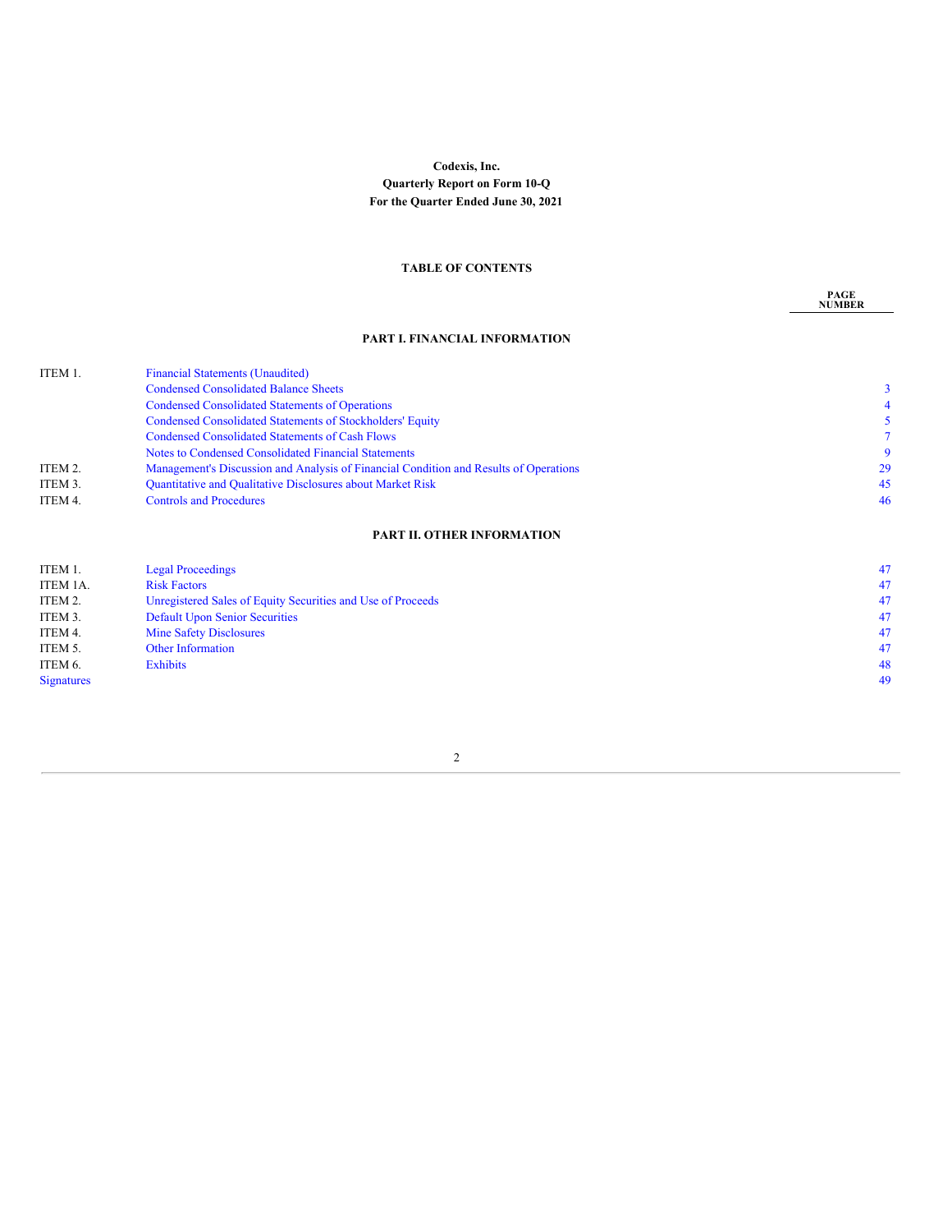# **Codexis, Inc. Quarterly Report on Form 10-Q For the Quarter Ended June 30, 2021**

# **TABLE OF CONTENTS**

**PAGE NUMBER**

# **PART I. FINANCIAL INFORMATION**

| ITEM 1. | <b>Financial Statements (Unaudited)</b>                                               |              |
|---------|---------------------------------------------------------------------------------------|--------------|
|         | <b>Condensed Consolidated Balance Sheets</b>                                          | 3            |
|         | <b>Condensed Consolidated Statements of Operations</b>                                |              |
|         | <b>Condensed Consolidated Statements of Stockholders' Equity</b>                      |              |
|         | <b>Condensed Consolidated Statements of Cash Flows</b>                                | $\tau$       |
|         | Notes to Condensed Consolidated Financial Statements                                  | $\mathbf{Q}$ |
| ITEM 2. | Management's Discussion and Analysis of Financial Condition and Results of Operations | 29           |
| ITEM 3. | <b>Quantitative and Qualitative Disclosures about Market Risk</b>                     | 45           |
| ITEM 4. | <b>Controls and Procedures</b>                                                        | 46           |
|         |                                                                                       |              |

# **PART II. OTHER [INFORMATION](#page-45-0)**

<span id="page-1-0"></span>

| ITEM 1.           | <b>Legal Proceedings</b>                                    | 47 |
|-------------------|-------------------------------------------------------------|----|
| ITEM 1A.          | <b>Risk Factors</b>                                         | 47 |
| ITEM 2.           | Unregistered Sales of Equity Securities and Use of Proceeds | 47 |
| ITEM 3.           | <b>Default Upon Senior Securities</b>                       | 47 |
| ITEM 4.           | <b>Mine Safety Disclosures</b>                              | 47 |
| ITEM 5.           | <b>Other Information</b>                                    | 47 |
| ITEM 6.           | <b>Exhibits</b>                                             | 48 |
| <b>Signatures</b> |                                                             | 49 |
|                   |                                                             |    |

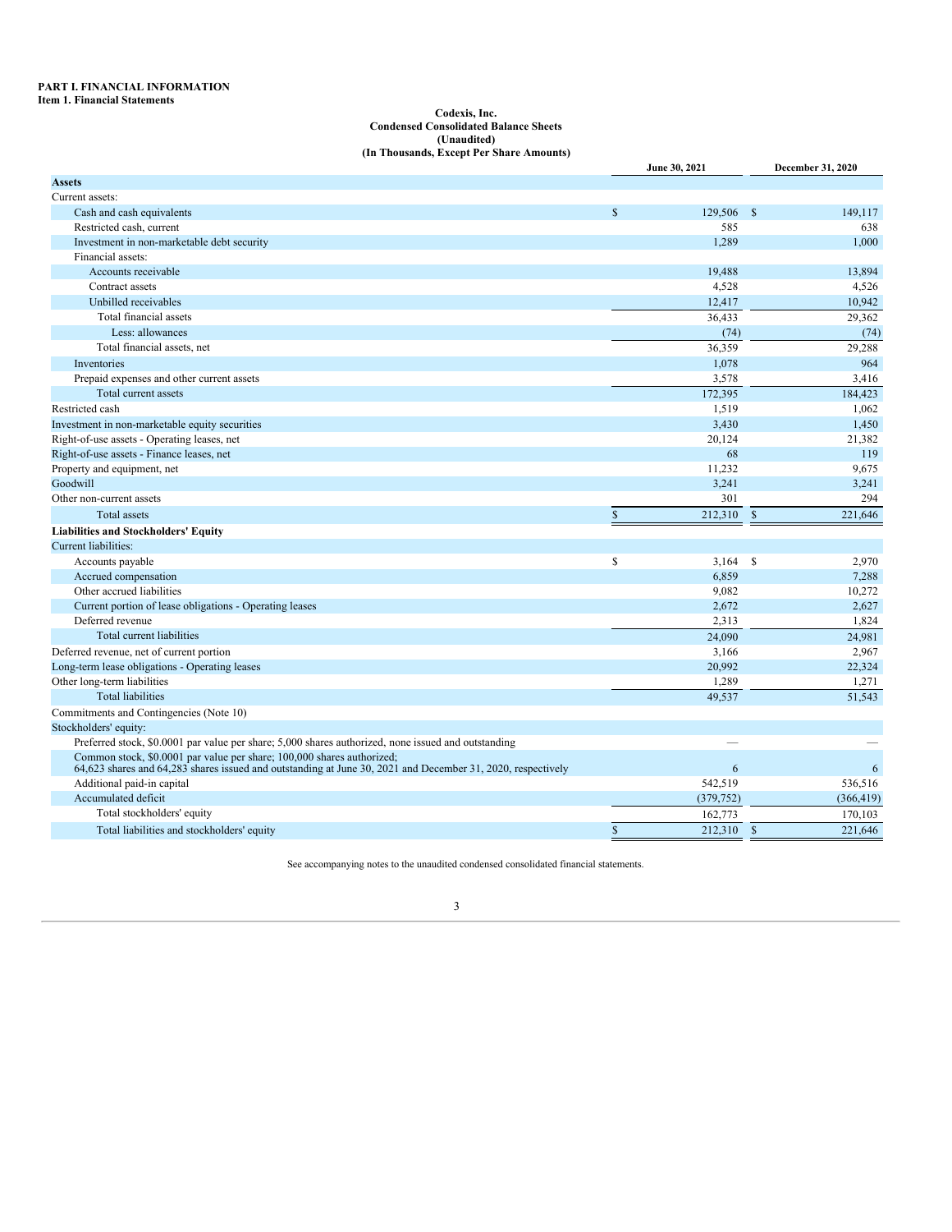#### **PART I. FINANCIAL INFORMATION Item 1. Financial Statements**

### **Codexis, Inc. Condensed Consolidated Balance Sheets (Unaudited) (In Thousands, Except Per Share Amounts)**

|                                                                                                                                                                                       | June 30, 2021 | December 31, 2020        |
|---------------------------------------------------------------------------------------------------------------------------------------------------------------------------------------|---------------|--------------------------|
| <b>Assets</b>                                                                                                                                                                         |               |                          |
| Current assets:                                                                                                                                                                       |               |                          |
| Cash and cash equivalents<br><sup>S</sup>                                                                                                                                             | 129,506       | 149,117<br>-S            |
| Restricted cash, current                                                                                                                                                              | 585           | 638                      |
| Investment in non-marketable debt security                                                                                                                                            | 1,289         | 1,000                    |
| Financial assets:                                                                                                                                                                     |               |                          |
| Accounts receivable                                                                                                                                                                   | 19,488        | 13,894                   |
| Contract assets                                                                                                                                                                       | 4,528         | 4,526                    |
| Unbilled receivables                                                                                                                                                                  | 12,417        | 10,942                   |
| Total financial assets                                                                                                                                                                | 36,433        | 29,362                   |
| Less: allowances                                                                                                                                                                      | (74)          | (74)                     |
| Total financial assets, net                                                                                                                                                           | 36,359        | 29,288                   |
| Inventories                                                                                                                                                                           | 1,078         | 964                      |
| Prepaid expenses and other current assets                                                                                                                                             | 3,578         | 3,416                    |
| Total current assets                                                                                                                                                                  | 172,395       | 184,423                  |
| Restricted cash                                                                                                                                                                       | 1,519         | 1,062                    |
| Investment in non-marketable equity securities                                                                                                                                        | 3,430         | 1,450                    |
| Right-of-use assets - Operating leases, net                                                                                                                                           | 20,124        | 21,382                   |
| Right-of-use assets - Finance leases, net                                                                                                                                             | 68            | 119                      |
| Property and equipment, net                                                                                                                                                           | 11,232        | 9,675                    |
| Goodwill                                                                                                                                                                              | 3,241         | 3,241                    |
| Other non-current assets                                                                                                                                                              | 301           | 294                      |
| $\mathsf{\$}$<br><b>Total assets</b>                                                                                                                                                  | 212,310       | $\mathbb{S}$<br>221.646  |
| <b>Liabilities and Stockholders' Equity</b>                                                                                                                                           |               |                          |
| Current liabilities:                                                                                                                                                                  |               |                          |
| $\mathbb S$<br>Accounts payable                                                                                                                                                       | 3,164         | <sup>\$</sup><br>2,970   |
| Accrued compensation                                                                                                                                                                  | 6,859         | 7,288                    |
| Other accrued liabilities                                                                                                                                                             | 9,082         | 10,272                   |
| Current portion of lease obligations - Operating leases                                                                                                                               | 2,672         | 2,627                    |
| Deferred revenue                                                                                                                                                                      | 2,313         | 1,824                    |
| Total current liabilities                                                                                                                                                             | 24.090        | 24.981                   |
| Deferred revenue, net of current portion                                                                                                                                              | 3,166         | 2,967                    |
| Long-term lease obligations - Operating leases                                                                                                                                        | 20,992        | 22,324                   |
| Other long-term liabilities                                                                                                                                                           | 1,289         | 1,271                    |
| <b>Total liabilities</b>                                                                                                                                                              | 49,537        | 51.543                   |
| Commitments and Contingencies (Note 10)                                                                                                                                               |               |                          |
| Stockholders' equity:                                                                                                                                                                 |               |                          |
| Preferred stock, \$0,0001 par value per share; 5,000 shares authorized, none issued and outstanding                                                                                   |               |                          |
| Common stock, \$0.0001 par value per share; 100,000 shares authorized;<br>64,623 shares and 64,283 shares issued and outstanding at June 30, 2021 and December 31, 2020, respectively | 6             | 6                        |
| Additional paid-in capital                                                                                                                                                            | 542,519       | 536,516                  |
| Accumulated deficit                                                                                                                                                                   | (379, 752)    | (366, 419)               |
| Total stockholders' equity                                                                                                                                                            | 162,773       | 170.103                  |
| $\mathbf S$<br>Total liabilities and stockholders' equity                                                                                                                             | 212,310       | $\mathcal{S}$<br>221,646 |

<span id="page-2-0"></span>See accompanying notes to the unaudited condensed consolidated financial statements.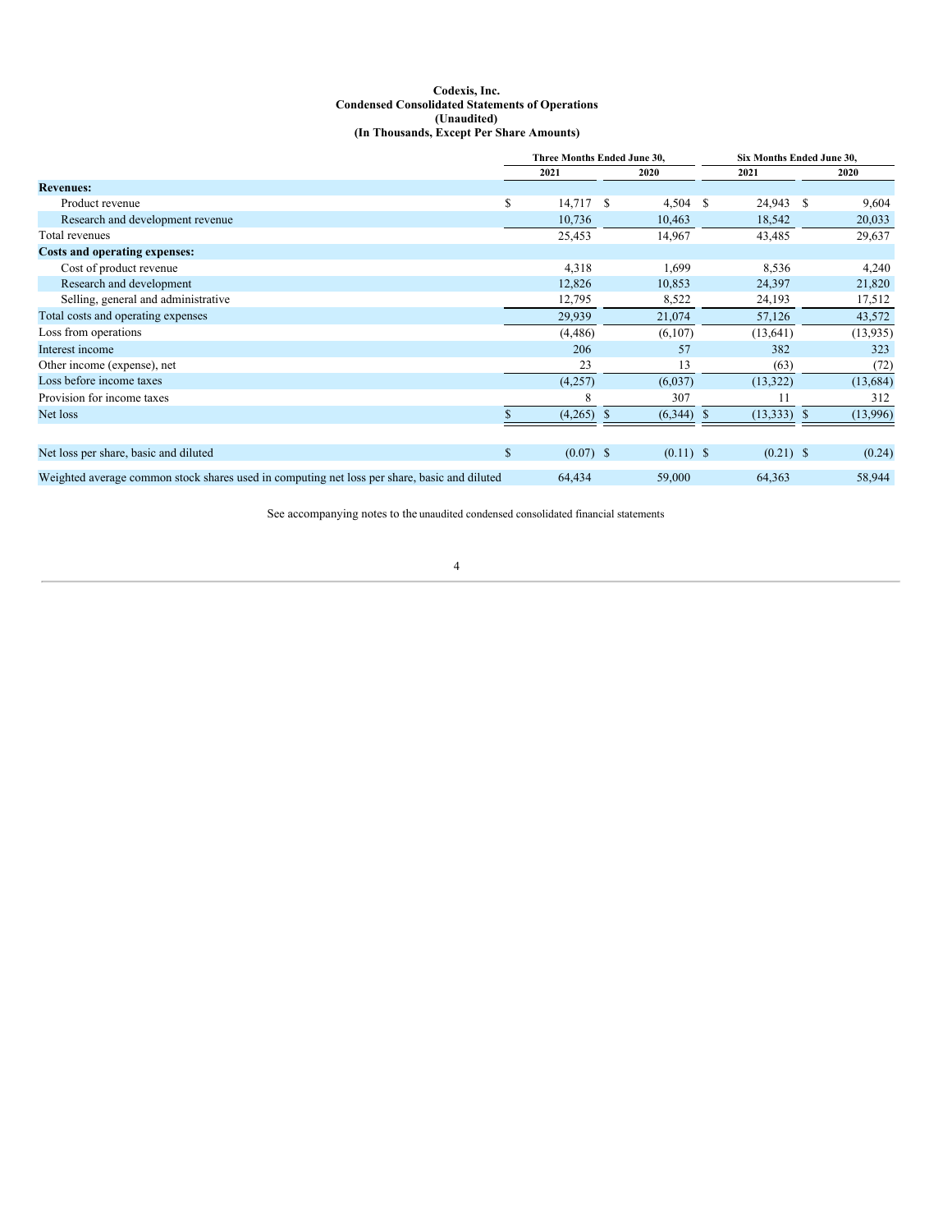### **Codexis, Inc. Condensed Consolidated Statements of Operations (Unaudited) (In Thousands, Except Per Share Amounts)**

|                                                                                              | Three Months Ended June 30, |              |  | Six Months Ended June 30, |               |             |              |           |
|----------------------------------------------------------------------------------------------|-----------------------------|--------------|--|---------------------------|---------------|-------------|--------------|-----------|
|                                                                                              |                             | 2021         |  | 2020                      |               | 2021        |              | 2020      |
| <b>Revenues:</b>                                                                             |                             |              |  |                           |               |             |              |           |
| Product revenue                                                                              | \$                          | 14,717 \$    |  | 4,504                     | <sup>\$</sup> | 24,943 \$   |              | 9,604     |
| Research and development revenue                                                             |                             | 10,736       |  | 10,463                    |               | 18,542      |              | 20,033    |
| Total revenues                                                                               |                             | 25,453       |  | 14,967                    |               | 43,485      |              | 29,637    |
| Costs and operating expenses:                                                                |                             |              |  |                           |               |             |              |           |
| Cost of product revenue                                                                      |                             | 4,318        |  | 1,699                     |               | 8,536       |              | 4,240     |
| Research and development                                                                     |                             | 12,826       |  | 10,853                    |               | 24,397      |              | 21,820    |
| Selling, general and administrative                                                          |                             | 12,795       |  | 8,522                     |               | 24,193      |              | 17,512    |
| Total costs and operating expenses                                                           |                             | 29,939       |  | 21,074                    |               | 57,126      |              | 43,572    |
| Loss from operations                                                                         |                             | (4, 486)     |  | (6,107)                   |               | (13, 641)   |              | (13,935)  |
| Interest income                                                                              |                             | 206          |  | 57                        |               | 382         |              | 323       |
| Other income (expense), net                                                                  |                             | 23           |  | 13                        |               | (63)        |              | (72)      |
| Loss before income taxes                                                                     |                             | (4,257)      |  | (6,037)                   |               | (13, 322)   |              | (13, 684) |
| Provision for income taxes                                                                   |                             | 8            |  | 307                       |               | 11          |              | 312       |
| Net loss                                                                                     |                             | $(4,265)$ \$ |  | (6, 344)                  | <sup>8</sup>  | (13, 333)   | <sup>S</sup> | (13,996)  |
|                                                                                              |                             |              |  |                           |               |             |              |           |
| Net loss per share, basic and diluted                                                        | $\mathbb{S}$                | $(0.07)$ \$  |  | $(0.11)$ \$               |               | $(0.21)$ \$ |              | (0.24)    |
| Weighted average common stock shares used in computing net loss per share, basic and diluted |                             | 64,434       |  | 59,000                    |               | 64,363      |              | 58,944    |

<span id="page-3-0"></span>See accompanying notes to the unaudited condensed consolidated financial statements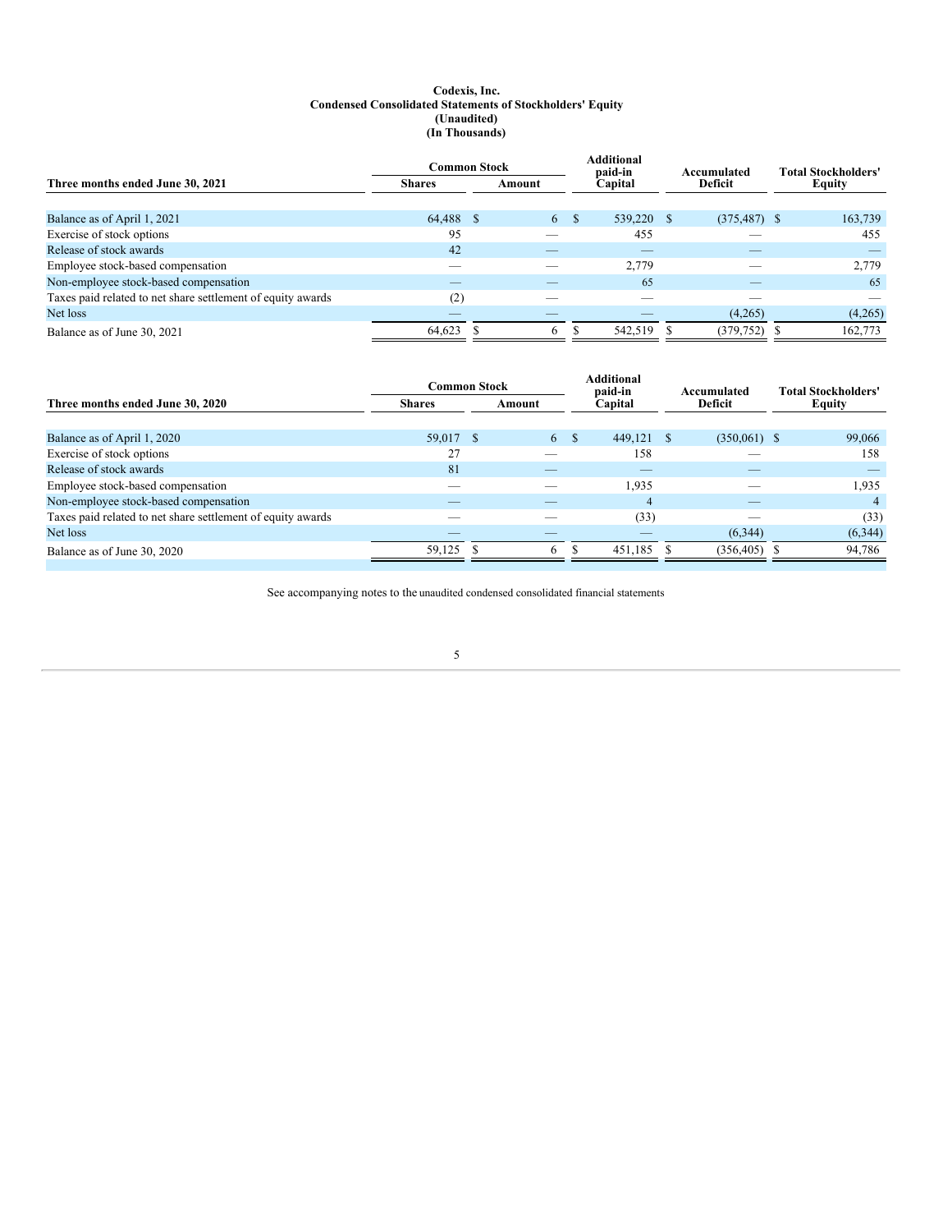# **Codexis, Inc. Condensed Consolidated Statements of Stockholders' Equity (Unaudited) (In Thousands)**

|                                                             | <b>Common Stock</b><br>paid-in |  |        |    | <b>Additional</b> |      | Accumulated     |  | <b>Total Stockholders'</b> |  |
|-------------------------------------------------------------|--------------------------------|--|--------|----|-------------------|------|-----------------|--|----------------------------|--|
| Three months ended June 30, 2021                            | <b>Shares</b>                  |  | Amount |    | Capital           |      | Deficit         |  | <b>Equity</b>              |  |
|                                                             |                                |  |        |    |                   |      |                 |  |                            |  |
| Balance as of April 1, 2021                                 | 64,488 \$                      |  | 6      | -S | 539,220           | - \$ | $(375, 487)$ \$ |  | 163,739                    |  |
| Exercise of stock options                                   | 95                             |  |        |    | 455               |      |                 |  | 455                        |  |
| Release of stock awards                                     | 42                             |  |        |    | __                |      |                 |  |                            |  |
| Employee stock-based compensation                           |                                |  |        |    | 2,779             |      |                 |  | 2,779                      |  |
| Non-employee stock-based compensation                       |                                |  |        |    | 65                |      |                 |  | 65                         |  |
| Taxes paid related to net share settlement of equity awards | (2)                            |  |        |    | __                |      |                 |  |                            |  |
| Net loss                                                    | _                              |  |        |    |                   |      | (4,265)         |  | (4,265)                    |  |
| Balance as of June 30, 2021                                 | 64,623                         |  | 6      |    | 542,519           |      | (379, 752)      |  | 162,773                    |  |

|                                                             | <b>Common Stock</b> |  |        |     | <b>Additional</b><br>paid-in |     | Accumulated    |  | <b>Total Stockholders'</b> |  |
|-------------------------------------------------------------|---------------------|--|--------|-----|------------------------------|-----|----------------|--|----------------------------|--|
| Three months ended June 30, 2020                            | <b>Shares</b>       |  | Amount |     | Capital                      |     | Deficit        |  | <b>Equity</b>              |  |
|                                                             |                     |  |        |     |                              |     |                |  |                            |  |
| Balance as of April 1, 2020                                 | 59,017 \$           |  | 6      | -85 | 449,121                      | - S | $(350,061)$ \$ |  | 99,066                     |  |
| Exercise of stock options                                   | 27                  |  |        |     | 158                          |     |                |  | 158                        |  |
| Release of stock awards                                     | 81                  |  |        |     | _                            |     |                |  |                            |  |
| Employee stock-based compensation                           | __                  |  |        |     | 1,935                        |     |                |  | 1,935                      |  |
| Non-employee stock-based compensation                       |                     |  |        |     | 4                            |     |                |  | 4                          |  |
| Taxes paid related to net share settlement of equity awards |                     |  |        |     | (33)                         |     |                |  | (33)                       |  |
| Net loss                                                    |                     |  |        |     | _                            |     | (6,344)        |  | (6, 344)                   |  |
| Balance as of June 30, 2020                                 | 59,125              |  | 6      |     | 451,185                      |     | (356, 405)     |  | 94,786                     |  |

See accompanying notes to the unaudited condensed consolidated financial statements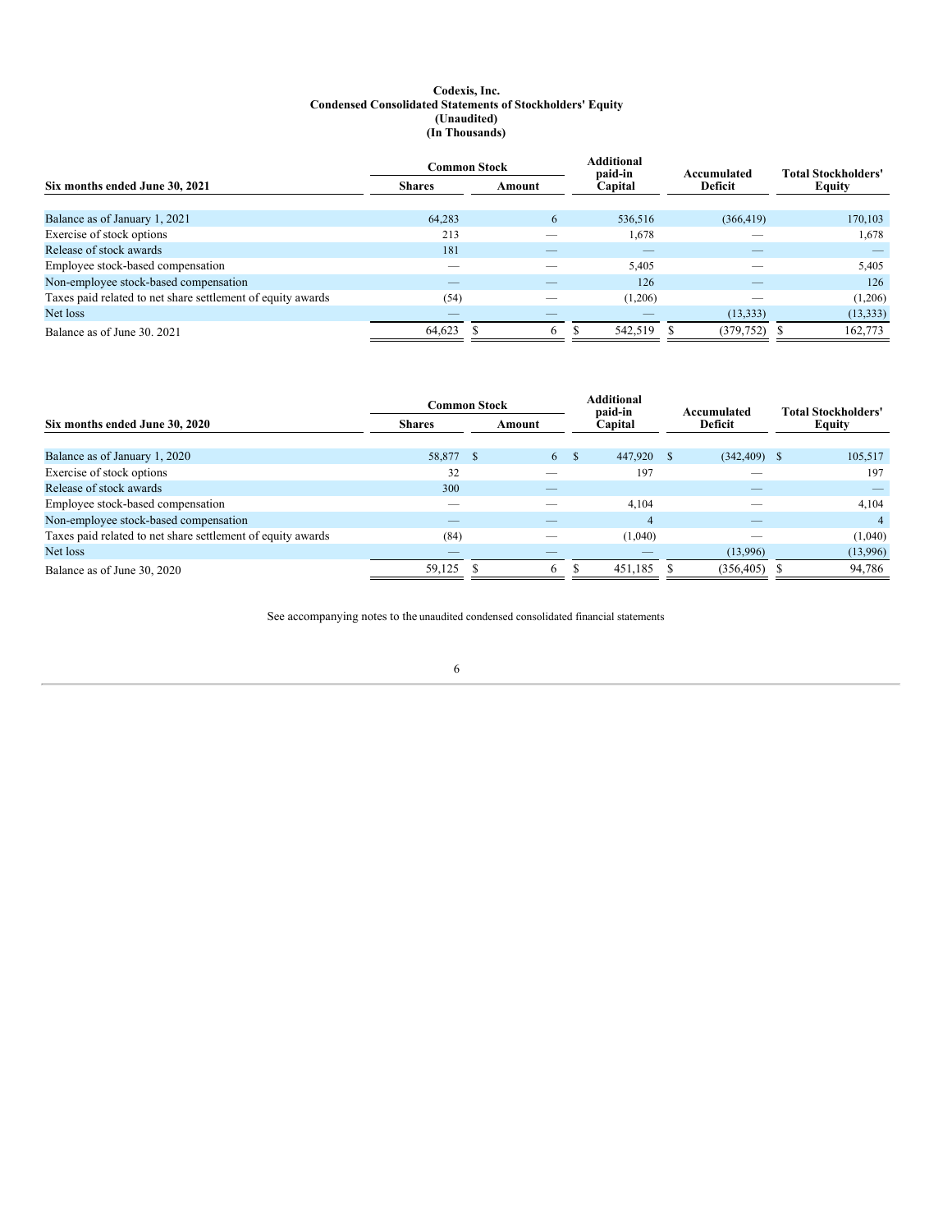# **Codexis, Inc. Condensed Consolidated Statements of Stockholders' Equity (Unaudited) (In Thousands)**

|                                                             |               | <b>Common Stock</b> | <b>Additional</b><br>paid-in | Accumulated | <b>Total Stockholders'</b> |  |
|-------------------------------------------------------------|---------------|---------------------|------------------------------|-------------|----------------------------|--|
| Six months ended June 30, 2021                              | <b>Shares</b> | Amount              | Capital                      | Deficit     | Equity                     |  |
|                                                             |               |                     |                              |             |                            |  |
| Balance as of January 1, 2021                               | 64.283        | 6                   | 536,516                      | (366, 419)  | 170,103                    |  |
| Exercise of stock options                                   | 213           |                     | 1,678                        |             | 1,678                      |  |
| Release of stock awards                                     | 181           |                     |                              |             |                            |  |
| Employee stock-based compensation                           |               |                     | 5,405                        |             | 5,405                      |  |
| Non-employee stock-based compensation                       |               |                     | 126                          |             | 126                        |  |
| Taxes paid related to net share settlement of equity awards | (54)          |                     | (1,206)                      |             | (1,206)                    |  |
| Net loss                                                    | –             |                     |                              | (13, 333)   | (13, 333)                  |  |
| Balance as of June 30, 2021                                 | 64,623        | 6                   | 542,519                      | (379, 752)  | 162,773                    |  |

|                                                             | <b>Common Stock</b> |  |        |         | <b>Additional</b><br>paid-in |               | Accumulated     |  | <b>Total Stockholders'</b> |  |
|-------------------------------------------------------------|---------------------|--|--------|---------|------------------------------|---------------|-----------------|--|----------------------------|--|
| Six months ended June 30, 2020                              | <b>Shares</b>       |  | Amount | Capital |                              | Deficit       |                 |  | Equity                     |  |
|                                                             |                     |  |        |         |                              |               |                 |  |                            |  |
| Balance as of January 1, 2020                               | 58,877 \$           |  | 6      |         | 447,920                      | <sup>\$</sup> | $(342, 409)$ \$ |  | 105,517                    |  |
| Exercise of stock options                                   | 32                  |  |        |         | 197                          |               |                 |  | 197                        |  |
| Release of stock awards                                     | 300                 |  |        |         |                              |               |                 |  |                            |  |
| Employee stock-based compensation                           |                     |  |        |         | 4,104                        |               |                 |  | 4,104                      |  |
| Non-employee stock-based compensation                       |                     |  |        |         | 4                            |               |                 |  | 4                          |  |
| Taxes paid related to net share settlement of equity awards | (84)                |  |        |         | (1,040)                      |               |                 |  | (1,040)                    |  |
| Net loss                                                    |                     |  |        |         |                              |               | (13,996)        |  | (13,996)                   |  |
| Balance as of June 30, 2020                                 | 59,125              |  | 6      |         | 451,185                      |               | (356, 405)      |  | 94,786                     |  |

<span id="page-5-0"></span>See accompanying notes to theunaudited condensed consolidated financial statements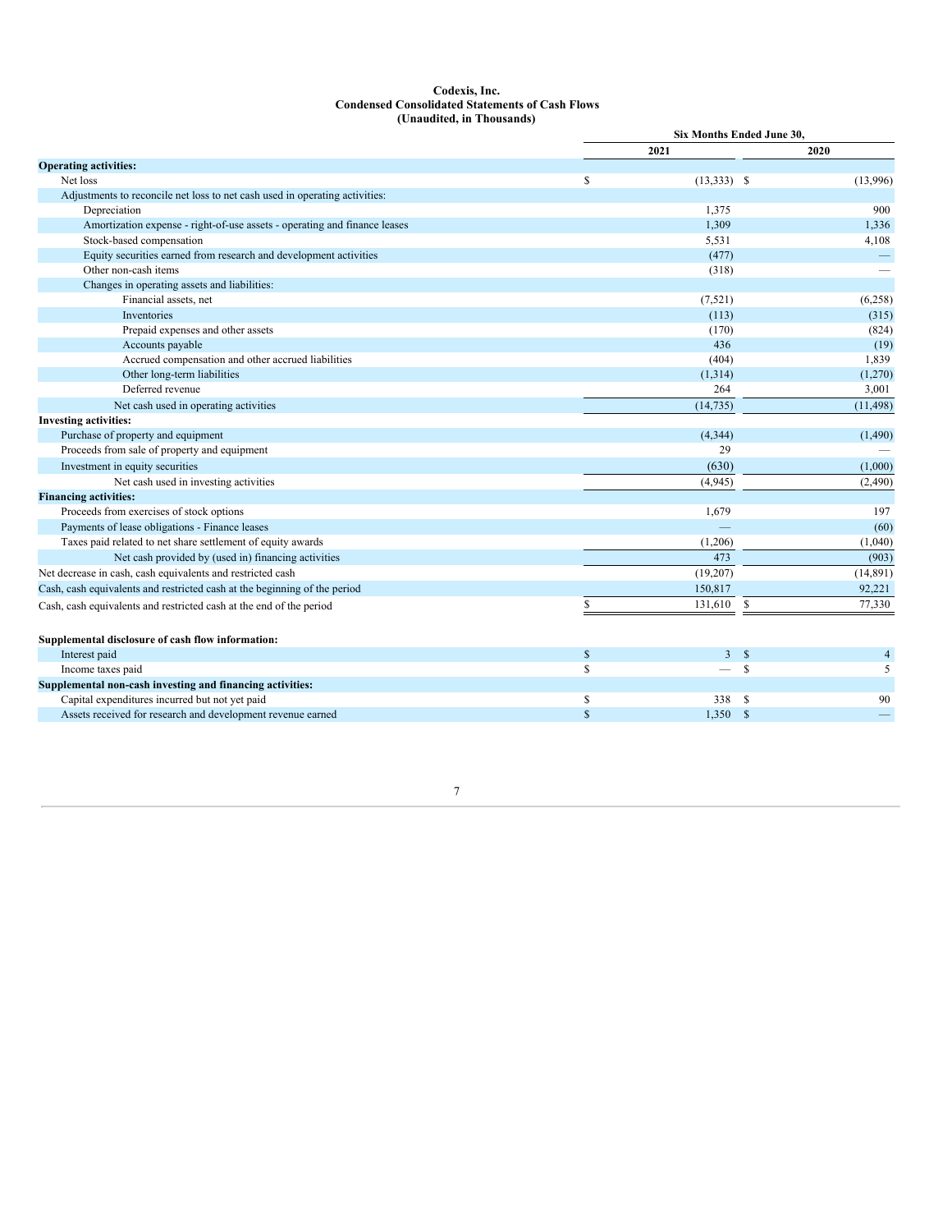### **Codexis, Inc. Condensed Consolidated Statements of Cash Flows (Unaudited, in Thousands)**

|                                                                             | Six Months Ended June 30, |                |               |                |  |  |
|-----------------------------------------------------------------------------|---------------------------|----------------|---------------|----------------|--|--|
|                                                                             |                           | 2021           |               | 2020           |  |  |
| <b>Operating activities:</b>                                                |                           |                |               |                |  |  |
| Net loss                                                                    | S                         | $(13,333)$ \$  |               | (13,996)       |  |  |
| Adjustments to reconcile net loss to net cash used in operating activities: |                           |                |               |                |  |  |
| Depreciation                                                                |                           | 1,375          |               | 900            |  |  |
| Amortization expense - right-of-use assets - operating and finance leases   |                           | 1,309          |               | 1,336          |  |  |
| Stock-based compensation                                                    |                           | 5,531          |               | 4,108          |  |  |
| Equity securities earned from research and development activities           |                           | (477)          |               |                |  |  |
| Other non-cash items                                                        |                           | (318)          |               |                |  |  |
| Changes in operating assets and liabilities:                                |                           |                |               |                |  |  |
| Financial assets, net                                                       |                           | (7,521)        |               | (6,258)        |  |  |
| Inventories                                                                 |                           | (113)          |               | (315)          |  |  |
| Prepaid expenses and other assets                                           |                           | (170)          |               | (824)          |  |  |
| Accounts payable                                                            |                           | 436            |               | (19)           |  |  |
| Accrued compensation and other accrued liabilities                          |                           | (404)          |               | 1,839          |  |  |
| Other long-term liabilities                                                 |                           | (1,314)        |               | (1,270)        |  |  |
| Deferred revenue                                                            |                           | 264            |               | 3,001          |  |  |
| Net cash used in operating activities                                       |                           | (14, 735)      |               | (11, 498)      |  |  |
| <b>Investing activities:</b>                                                |                           |                |               |                |  |  |
| Purchase of property and equipment                                          |                           | (4, 344)       |               | (1,490)        |  |  |
| Proceeds from sale of property and equipment                                |                           | 29             |               |                |  |  |
| Investment in equity securities                                             |                           | (630)          |               | (1,000)        |  |  |
| Net cash used in investing activities                                       |                           | (4,945)        |               | (2, 490)       |  |  |
| <b>Financing activities:</b>                                                |                           |                |               |                |  |  |
| Proceeds from exercises of stock options                                    |                           | 1,679          |               | 197            |  |  |
| Payments of lease obligations - Finance leases                              |                           |                |               | (60)           |  |  |
| Taxes paid related to net share settlement of equity awards                 |                           | (1,206)        |               | (1,040)        |  |  |
| Net cash provided by (used in) financing activities                         |                           | 473            |               | (903)          |  |  |
| Net decrease in cash, cash equivalents and restricted cash                  |                           | (19,207)       |               | (14, 891)      |  |  |
| Cash, cash equivalents and restricted cash at the beginning of the period   |                           | 150,817        |               | 92,221         |  |  |
| Cash, cash equivalents and restricted cash at the end of the period         | \$                        | 131,610        | $\mathbb{S}$  | 77,330         |  |  |
| Supplemental disclosure of cash flow information:                           |                           |                |               |                |  |  |
| Interest paid                                                               | \$                        | 3 <sup>1</sup> | - \$          | $\overline{4}$ |  |  |
| Income taxes paid                                                           | $\mathbf S$               |                | <sup>\$</sup> | 5              |  |  |
| Supplemental non-cash investing and financing activities:                   |                           |                |               |                |  |  |
| Capital expenditures incurred but not yet paid                              | \$                        | 338            | <sup>\$</sup> | 90             |  |  |
| Assets received for research and development revenue earned                 | $\mathbf S$               | 1.350S         |               |                |  |  |
|                                                                             |                           |                |               |                |  |  |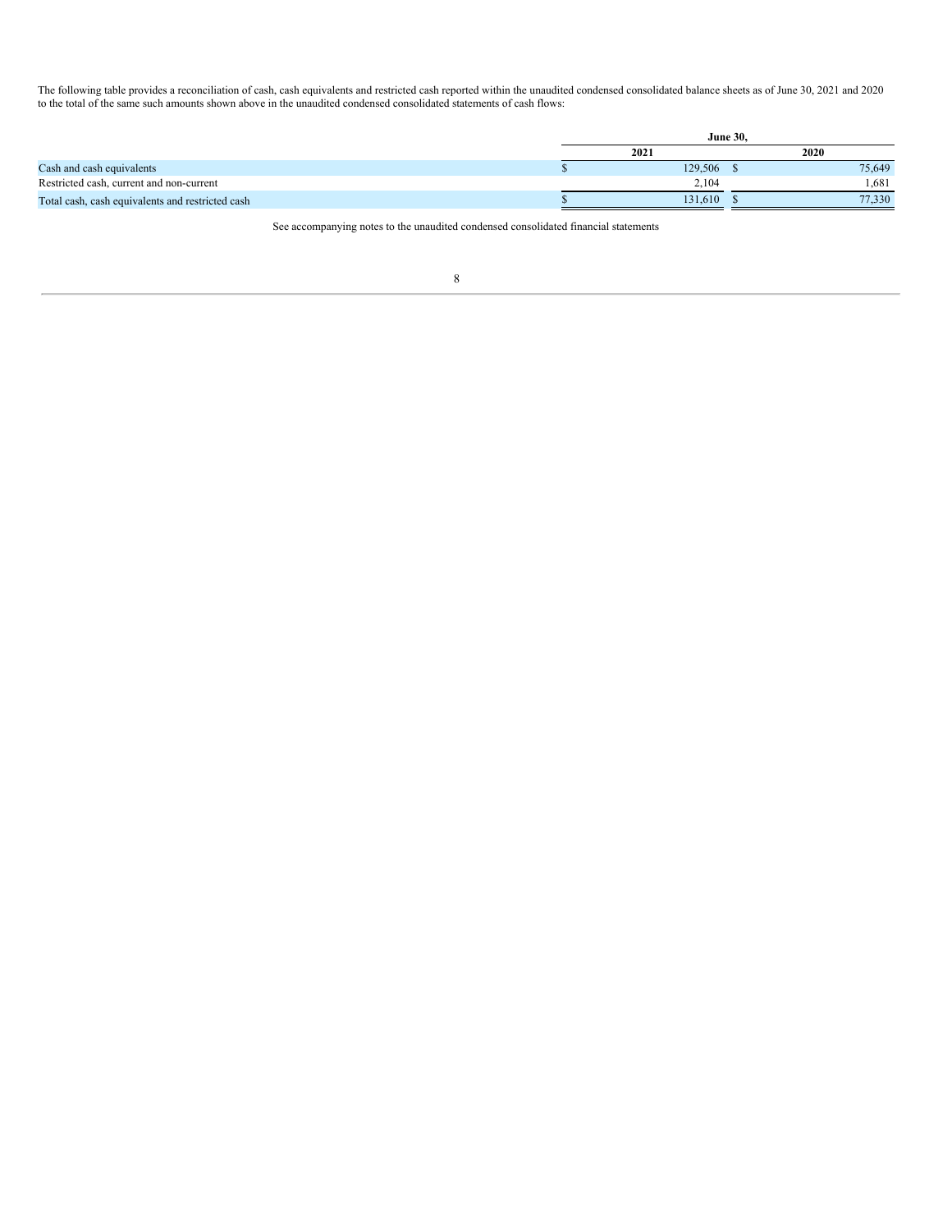The following table provides a reconciliation of cash, cash equivalents and restricted cash reported within the unaudited condensed consolidated balance sheets as of June 30, 2021 and 2020 to the total of the same such amounts shown above in the unaudited condensed consolidated statements of cash flows:

<span id="page-7-0"></span>

|                                                  | <b>June 30.</b> |         |  |        |  |  |
|--------------------------------------------------|-----------------|---------|--|--------|--|--|
|                                                  |                 | 2021    |  | 2020   |  |  |
| Cash and cash equivalents                        |                 | 129,506 |  | 75,649 |  |  |
| Restricted cash, current and non-current         |                 | 2.104   |  | .681   |  |  |
| Total cash, cash equivalents and restricted cash |                 | 131.610 |  | 77,330 |  |  |
|                                                  |                 |         |  |        |  |  |

See accompanying notes to the unaudited condensed consolidated financial statements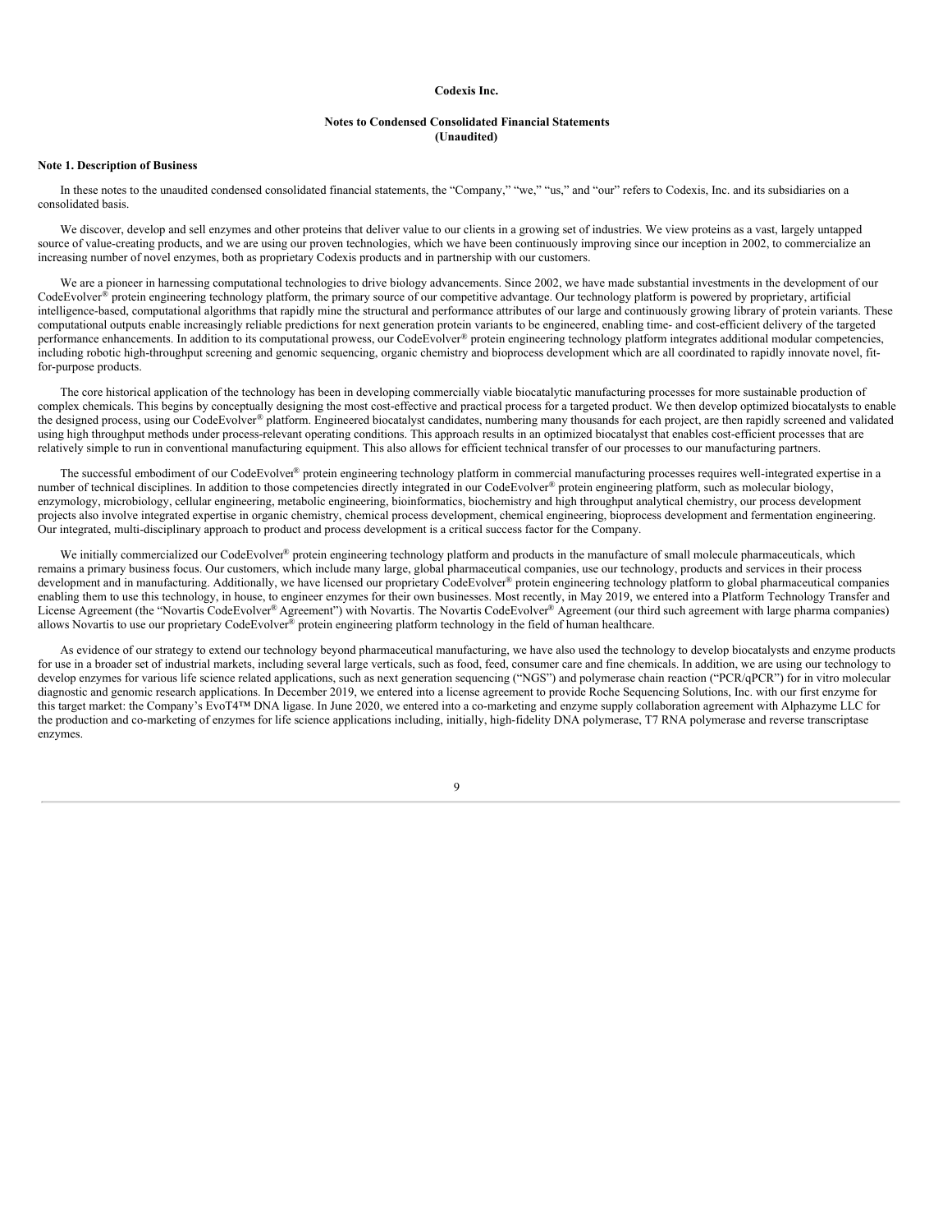## **Codexis Inc.**

## **Notes to Condensed Consolidated Financial Statements (Unaudited)**

### **Note 1. Description of Business**

In these notes to the unaudited condensed consolidated financial statements, the "Company," "we," "us," and "our" refers to Codexis, Inc. and its subsidiaries on a consolidated basis.

We discover, develop and sell enzymes and other proteins that deliver value to our clients in a growing set of industries. We view proteins as a vast, largely untapped source of value-creating products, and we are using our proven technologies, which we have been continuously improving since our inception in 2002, to commercialize an increasing number of novel enzymes, both as proprietary Codexis products and in partnership with our customers.

We are a pioneer in harnessing computational technologies to drive biology advancements. Since 2002, we have made substantial investments in the development of our CodeEvolver® protein engineering technology platform, the primary source of our competitive advantage. Our technology platform is powered by proprietary, artificial intelligence-based, computational algorithms that rapidly mine the structural and performance attributes of our large and continuously growing library of protein variants. These computational outputs enable increasingly reliable predictions for next generation protein variants to be engineered, enabling time- and cost-efficient delivery of the targeted performance enhancements. In addition to its computational prowess, our CodeEvolver® protein engineering technology platform integrates additional modular competencies, including robotic high-throughput screening and genomic sequencing, organic chemistry and bioprocess development which are all coordinated to rapidly innovate novel, fitfor-purpose products.

The core historical application of the technology has been in developing commercially viable biocatalytic manufacturing processes for more sustainable production of complex chemicals. This begins by conceptually designing the most cost-effective and practical process for a targeted product. We then develop optimized biocatalysts to enable the designed process, using our CodeEvolver® platform. Engineered biocatalyst candidates, numbering many thousands for each project, are then rapidly screened and validated using high throughput methods under process-relevant operating conditions. This approach results in an optimized biocatalyst that enables cost-efficient processes that are relatively simple to run in conventional manufacturing equipment. This also allows for efficient technical transfer of our processes to our manufacturing partners.

The successful embodiment of our CodeEvolver® protein engineering technology platform in commercial manufacturing processes requires well-integrated expertise in a number of technical disciplines. In addition to those competencies directly integrated in our CodeEvolver® protein engineering platform, such as molecular biology, enzymology, microbiology, cellular engineering, metabolic engineering, bioinformatics, biochemistry and high throughput analytical chemistry, our process development projects also involve integrated expertise in organic chemistry, chemical process development, chemical engineering, bioprocess development and fermentation engineering. Our integrated, multi-disciplinary approach to product and process development is a critical success factor for the Company.

We initially commercialized our CodeEvolver® protein engineering technology platform and products in the manufacture of small molecule pharmaceuticals, which remains a primary business focus. Our customers, which include many large, global pharmaceutical companies, use our technology, products and services in their process development and in manufacturing. Additionally, we have licensed our proprietary CodeEvolver® protein engineering technology platform to global pharmaceutical companies enabling them to use this technology, in house, to engineer enzymes for their own businesses. Most recently, in May 2019, we entered into a Platform Technology Transfer and License Agreement (the "Novartis CodeEvolver® Agreement") with Novartis. The Novartis CodeEvolver® Agreement (our third such agreement with large pharma companies) allows Novartis to use our proprietary CodeEvolver<sup>®</sup> protein engineering platform technology in the field of human healthcare.

As evidence of our strategy to extend our technology beyond pharmaceutical manufacturing, we have also used the technology to develop biocatalysts and enzyme products for use in a broader set of industrial markets, including several large verticals, such as food, feed, consumer care and fine chemicals. In addition, we are using our technology to develop enzymes for various life science related applications, such as next generation sequencing ("NGS") and polymerase chain reaction ("PCR/qPCR") for in vitro molecular diagnostic and genomic research applications. In December 2019, we entered into a license agreement to provide Roche Sequencing Solutions, Inc. with our first enzyme for this target market: the Company's EvoT4™ DNA ligase. In June 2020, we entered into a co-marketing and enzyme supply collaboration agreement with Alphazyme LLC for the production and co-marketing of enzymes for life science applications including, initially, high-fidelity DNA polymerase, T7 RNA polymerase and reverse transcriptase enzymes.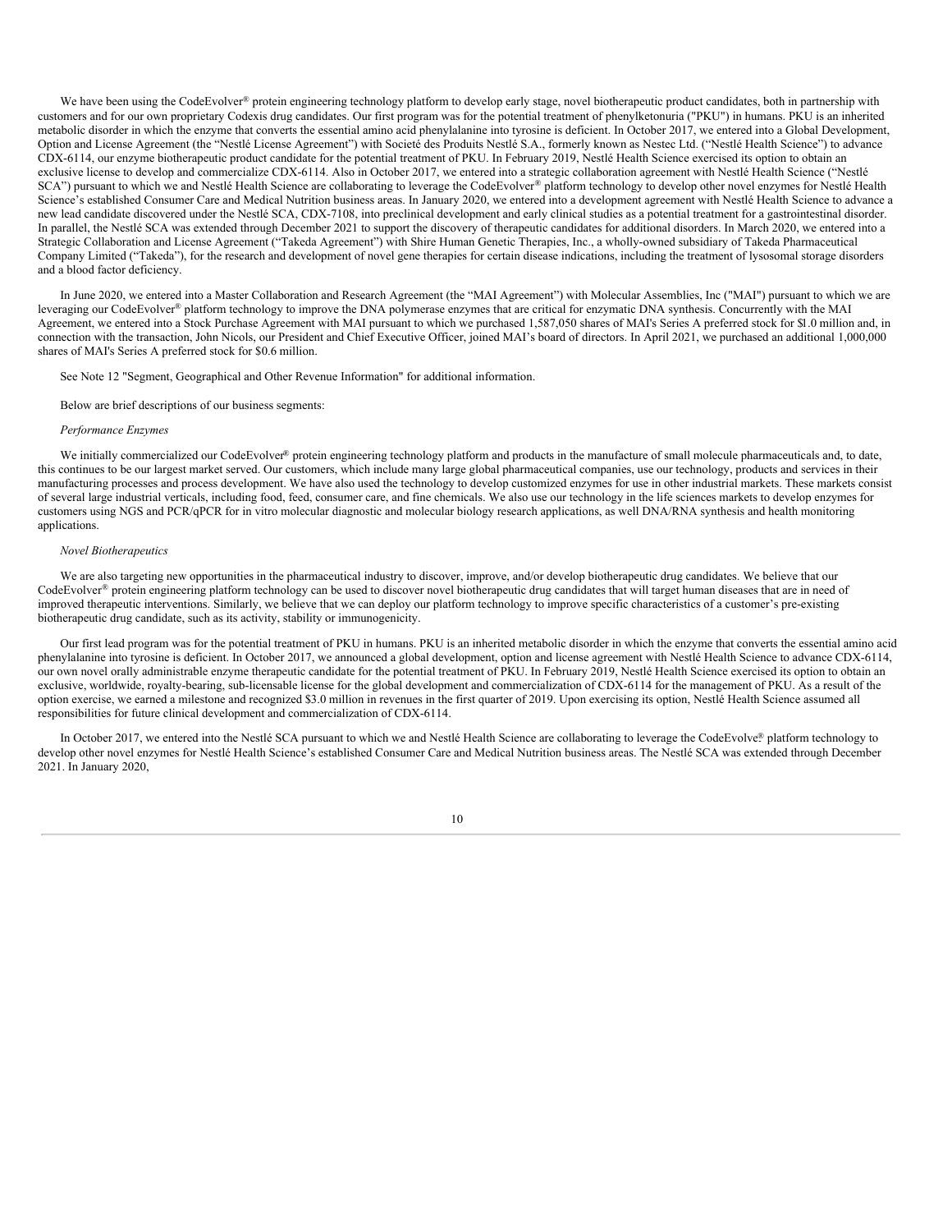We have been using the CodeEvolver® protein engineering technology platform to develop early stage, novel biotherapeutic product candidates, both in partnership with customers and for our own proprietary Codexis drug candidates. Our first program was for the potential treatment of phenylketonuria ("PKU") in humans. PKU is an inherited metabolic disorder in which the enzyme that converts the essential amino acid phenylalanine into tyrosine is deficient. In October 2017, we entered into a Global Development, Option and License Agreement (the "Nestlé License Agreement") with Societé des Produits Nestlé S.A., formerly known as Nestec Ltd. ("Nestlé Health Science") to advance CDX-6114, our enzyme biotherapeutic product candidate for the potential treatment of PKU. In February 2019, Nestlé Health Science exercised its option to obtain an exclusive license to develop and commercialize CDX-6114. Also in October 2017, we entered into a strategic collaboration agreement with Nestlé Health Science ("Nestlé SCA") pursuant to which we and Nestlé Health Science are collaborating to leverage the CodeEvolver® platform technology to develop other novel enzymes for Nestlé Health Science's established Consumer Care and Medical Nutrition business areas. In January 2020, we entered into a development agreement with Nestlé Health Science to advance a new lead candidate discovered under the Nestlé SCA, CDX-7108, into preclinical development and early clinical studies as a potential treatment for a gastrointestinal disorder. In parallel, the Nestlé SCA was extended through December 2021 to support the discovery of therapeutic candidates for additional disorders. In March 2020, we entered into a Strategic Collaboration and License Agreement ("Takeda Agreement") with Shire Human Genetic Therapies, Inc., a wholly-owned subsidiary of Takeda Pharmaceutical Company Limited ("Takeda"), for the research and development of novel gene therapies for certain disease indications, including the treatment of lysosomal storage disorders and a blood factor deficiency.

In June 2020, we entered into a Master Collaboration and Research Agreement (the "MAI Agreement") with Molecular Assemblies, Inc ("MAI") pursuant to which we are leveraging our CodeEvolver® platform technology to improve the DNA polymerase enzymes that are critical for enzymatic DNA synthesis. Concurrently with the MAI Agreement, we entered into a Stock Purchase Agreement with MAI pursuant to which we purchased 1,587,050 shares of MAI's Series A preferred stock for \$1.0 million and, in connection with the transaction, John Nicols, our President and Chief Executive Officer, joined MAI's board of directors. In April 2021, we purchased an additional 1,000,000 shares of MAI's Series A preferred stock for \$0.6 million.

See Note 12 "Segment, Geographical and Other Revenue Information" for additional information.

#### Below are brief descriptions of our business segments:

### *Performance Enzymes*

We initially commercialized our CodeEvolver® protein engineering technology platform and products in the manufacture of small molecule pharmaceuticals and, to date, this continues to be our largest market served. Our customers, which include many large global pharmaceutical companies, use our technology, products and services in their manufacturing processes and process development. We have also used the technology to develop customized enzymes for use in other industrial markets. These markets consist of several large industrial verticals, including food, feed, consumer care, and fine chemicals. We also use our technology in the life sciences markets to develop enzymes for customers using NGS and PCR/qPCR for in vitro molecular diagnostic and molecular biology research applications, as well DNA/RNA synthesis and health monitoring applications.

# *Novel Biotherapeutics*

We are also targeting new opportunities in the pharmaceutical industry to discover, improve, and/or develop biotherapeutic drug candidates. We believe that our CodeEvolver® protein engineering platform technology can be used to discover novel biotherapeutic drug candidates that will target human diseases that are in need of improved therapeutic interventions. Similarly, we believe that we can deploy our platform technology to improve specific characteristics of a customer's pre-existing biotherapeutic drug candidate, such as its activity, stability or immunogenicity.

Our first lead program was for the potential treatment of PKU in humans. PKU is an inherited metabolic disorder in which the enzyme that converts the essential amino acid phenylalanine into tyrosine is deficient. In October 2017, we announced a global development, option and license agreement with Nestlé Health Science to advance CDX-6114, our own novel orally administrable enzyme therapeutic candidate for the potential treatment of PKU. In February 2019, Nestlé Health Science exercised its option to obtain an exclusive, worldwide, royalty-bearing, sub-licensable license for the global development and commercialization of CDX-6114 for the management of PKU. As a result of the option exercise, we earned a milestone and recognized \$3.0 million in revenues in the first quarter of 2019. Upon exercising its option, Nestlé Health Science assumed all responsibilities for future clinical development and commercialization of CDX-6114.

In October 2017, we entered into the Nestlé SCA pursuant to which we and Nestlé Health Science are collaborating to leverage the CodeEvolver platform technology to develop other novel enzymes for Nestlé Health Science's established Consumer Care and Medical Nutrition business areas. The Nestlé SCA was extended through December 2021. In January 2020,

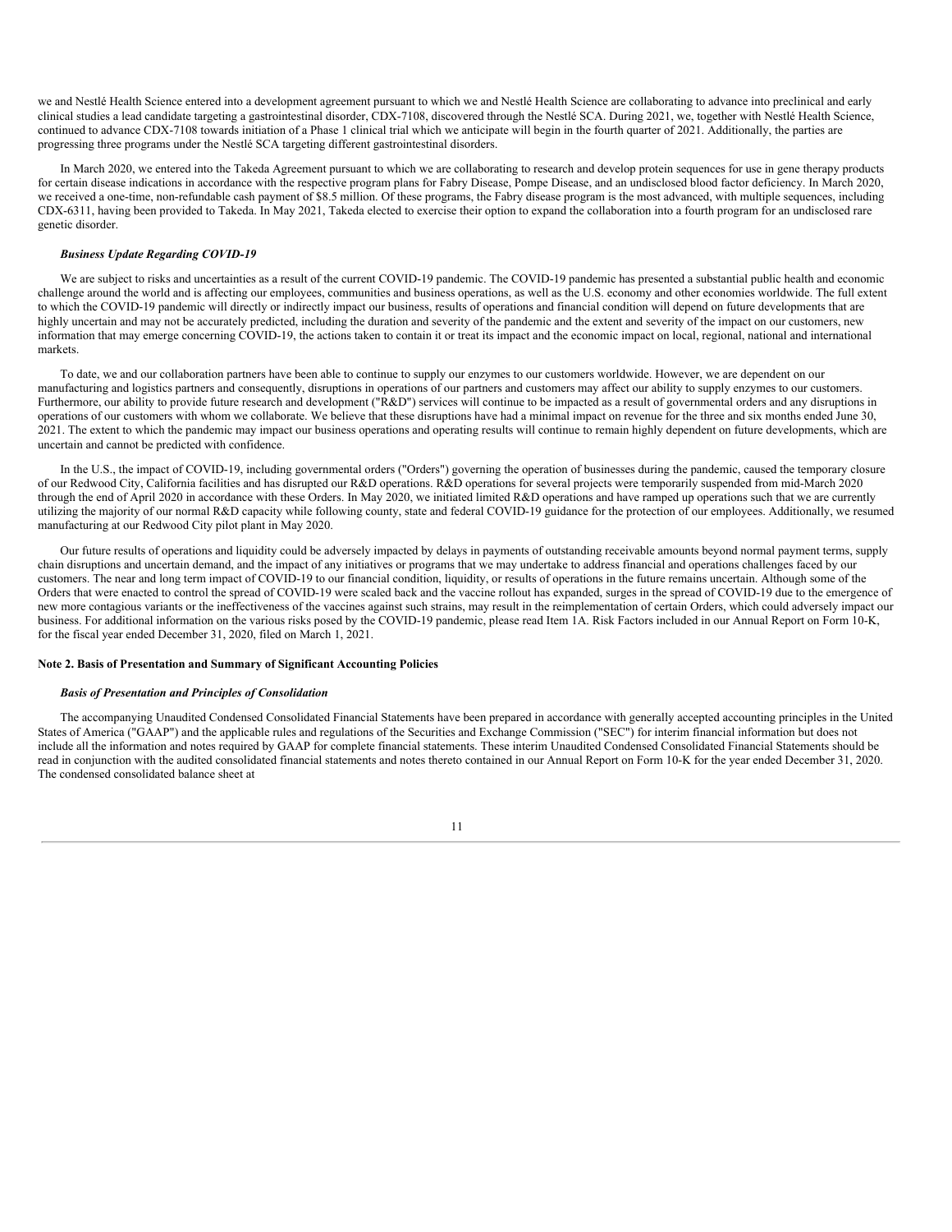we and Nestlé Health Science entered into a development agreement pursuant to which we and Nestlé Health Science are collaborating to advance into preclinical and early clinical studies a lead candidate targeting a gastrointestinal disorder, CDX-7108, discovered through the Nestlé SCA. During 2021, we, together with Nestlé Health Science, continued to advance CDX-7108 towards initiation of a Phase 1 clinical trial which we anticipate will begin in the fourth quarter of 2021. Additionally, the parties are progressing three programs under the Nestlé SCA targeting different gastrointestinal disorders.

In March 2020, we entered into the Takeda Agreement pursuant to which we are collaborating to research and develop protein sequences for use in gene therapy products for certain disease indications in accordance with the respective program plans for Fabry Disease, Pompe Disease, and an undisclosed blood factor deficiency. In March 2020, we received a one-time, non-refundable cash payment of \$8.5 million. Of these programs, the Fabry disease program is the most advanced, with multiple sequences, including CDX-6311, having been provided to Takeda. In May 2021, Takeda elected to exercise their option to expand the collaboration into a fourth program for an undisclosed rare genetic disorder.

# *Business Update Regarding COVID-19*

We are subject to risks and uncertainties as a result of the current COVID-19 pandemic. The COVID-19 pandemic has presented a substantial public health and economic challenge around the world and is affecting our employees, communities and business operations, as well as the U.S. economy and other economies worldwide. The full extent to which the COVID-19 pandemic will directly or indirectly impact our business, results of operations and financial condition will depend on future developments that are highly uncertain and may not be accurately predicted, including the duration and severity of the pandemic and the extent and severity of the impact on our customers, new information that may emerge concerning COVID-19, the actions taken to contain it or treat its impact and the economic impact on local, regional, national and international markets.

To date, we and our collaboration partners have been able to continue to supply our enzymes to our customers worldwide. However, we are dependent on our manufacturing and logistics partners and consequently, disruptions in operations of our partners and customers may affect our ability to supply enzymes to our customers. Furthermore, our ability to provide future research and development ("R&D") services will continue to be impacted as a result of governmental orders and any disruptions in operations of our customers with whom we collaborate. We believe that these disruptions have had a minimal impact on revenue for the three and six months ended June 30, 2021. The extent to which the pandemic may impact our business operations and operating results will continue to remain highly dependent on future developments, which are uncertain and cannot be predicted with confidence.

In the U.S., the impact of COVID-19, including governmental orders ("Orders") governing the operation of businesses during the pandemic, caused the temporary closure of our Redwood City, California facilities and has disrupted our R&D operations. R&D operations for several projects were temporarily suspended from mid-March 2020 through the end of April 2020 in accordance with these Orders. In May 2020, we initiated limited R&D operations and have ramped up operations such that we are currently utilizing the majority of our normal R&D capacity while following county, state and federal COVID-19 guidance for the protection of our employees. Additionally, we resumed manufacturing at our Redwood City pilot plant in May 2020.

Our future results of operations and liquidity could be adversely impacted by delays in payments of outstanding receivable amounts beyond normal payment terms, supply chain disruptions and uncertain demand, and the impact of any initiatives or programs that we may undertake to address financial and operations challenges faced by our customers. The near and long term impact of COVID-19 to our financial condition, liquidity, or results of operations in the future remains uncertain. Although some of the Orders that were enacted to control the spread of COVID-19 were scaled back and the vaccine rollout has expanded, surges in the spread of COVID-19 due to the emergence of new more contagious variants or the ineffectiveness of the vaccines against such strains, may result in the reimplementation of certain Orders, which could adversely impact our business. For additional information on the various risks posed by the COVID-19 pandemic, please read Item 1A. Risk Factors included in our Annual Report on Form 10-K, for the fiscal year ended December 31, 2020, filed on March 1, 2021.

### **Note 2. Basis of Presentation and Summary of Significant Accounting Policies**

#### *Basis of Presentation and Principles of Consolidation*

The accompanying Unaudited Condensed Consolidated Financial Statements have been prepared in accordance with generally accepted accounting principles in the United States of America ("GAAP") and the applicable rules and regulations of the Securities and Exchange Commission ("SEC") for interim financial information but does not include all the information and notes required by GAAP for complete financial statements. These interim Unaudited Condensed Consolidated Financial Statements should be read in conjunction with the audited consolidated financial statements and notes thereto contained in our Annual Report on Form 10-K for the year ended December 31, 2020. The condensed consolidated balance sheet at

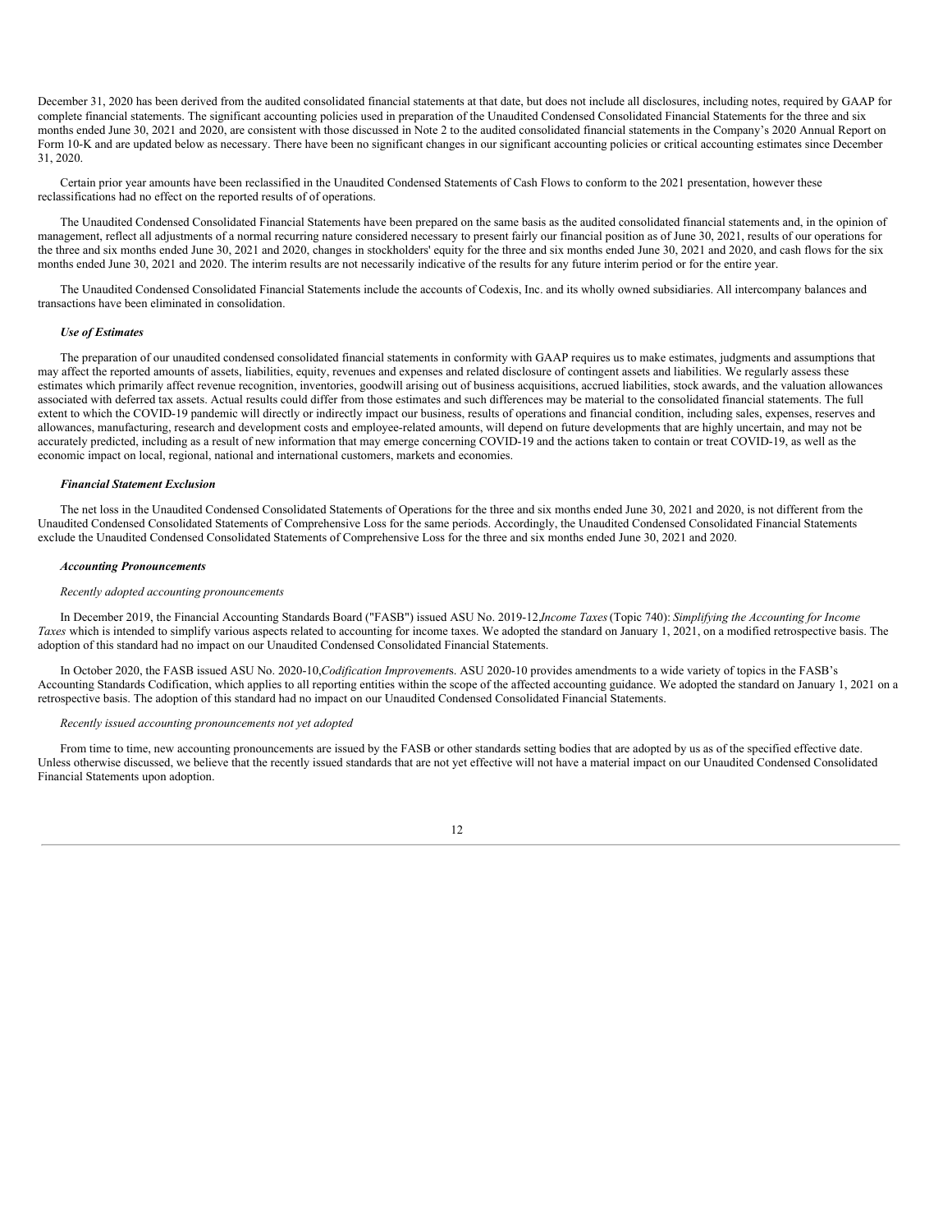December 31, 2020 has been derived from the audited consolidated financial statements at that date, but does not include all disclosures, including notes, required by GAAP for complete financial statements. The significant accounting policies used in preparation of the Unaudited Condensed Consolidated Financial Statements for the three and six months ended June 30, 2021 and 2020, are consistent with those discussed in Note 2 to the audited consolidated financial statements in the Company's 2020 Annual Report on Form 10-K and are updated below as necessary. There have been no significant changes in our significant accounting policies or critical accounting estimates since December 31, 2020.

Certain prior year amounts have been reclassified in the Unaudited Condensed Statements of Cash Flows to conform to the 2021 presentation, however these reclassifications had no effect on the reported results of of operations.

The Unaudited Condensed Consolidated Financial Statements have been prepared on the same basis as the audited consolidated financial statements and, in the opinion of management, reflect all adjustments of a normal recurring nature considered necessary to present fairly our financial position as of June 30, 2021, results of our operations for the three and six months ended June 30, 2021 and 2020, changes in stockholders' equity for the three and six months ended June 30, 2021 and 2020, and cash flows for the six months ended June 30, 2021 and 2020. The interim results are not necessarily indicative of the results for any future interim period or for the entire year.

The Unaudited Condensed Consolidated Financial Statements include the accounts of Codexis, Inc. and its wholly owned subsidiaries. All intercompany balances and transactions have been eliminated in consolidation.

## *Use of Estimates*

The preparation of our unaudited condensed consolidated financial statements in conformity with GAAP requires us to make estimates, judgments and assumptions that may affect the reported amounts of assets, liabilities, equity, revenues and expenses and related disclosure of contingent assets and liabilities. We regularly assess these estimates which primarily affect revenue recognition, inventories, goodwill arising out of business acquisitions, accrued liabilities, stock awards, and the valuation allowances associated with deferred tax assets. Actual results could differ from those estimates and such differences may be material to the consolidated financial statements. The full extent to which the COVID-19 pandemic will directly or indirectly impact our business, results of operations and financial condition, including sales, expenses, reserves and allowances, manufacturing, research and development costs and employee-related amounts, will depend on future developments that are highly uncertain, and may not be accurately predicted, including as a result of new information that may emerge concerning COVID-19 and the actions taken to contain or treat COVID-19, as well as the economic impact on local, regional, national and international customers, markets and economies.

# *Financial Statement Exclusion*

The net loss in the Unaudited Condensed Consolidated Statements of Operations for the three and six months ended June 30, 2021 and 2020, is not different from the Unaudited Condensed Consolidated Statements of Comprehensive Loss for the same periods. Accordingly, the Unaudited Condensed Consolidated Financial Statements exclude the Unaudited Condensed Consolidated Statements of Comprehensive Loss for the three and six months ended June 30, 2021 and 2020.

#### *Accounting Pronouncements*

#### *Recently adopted accounting pronouncements*

In December 2019, the Financial Accounting Standards Board ("FASB") issued ASU No. 2019-12,*Income Taxes*(Topic 740): *Simplifying the Accounting for Income Taxes* which is intended to simplify various aspects related to accounting for income taxes. We adopted the standard on January 1, 2021, on a modified retrospective basis. The adoption of this standard had no impact on our Unaudited Condensed Consolidated Financial Statements.

In October 2020, the FASB issued ASU No. 2020-10,*Codification Improvement*s. ASU 2020-10 provides amendments to a wide variety of topics in the FASB's Accounting Standards Codification, which applies to all reporting entities within the scope of the affected accounting guidance. We adopted the standard on January 1, 2021 on a retrospective basis. The adoption of this standard had no impact on our Unaudited Condensed Consolidated Financial Statements.

#### *Recently issued accounting pronouncements not yet adopted*

From time to time, new accounting pronouncements are issued by the FASB or other standards setting bodies that are adopted by us as of the specified effective date. Unless otherwise discussed, we believe that the recently issued standards that are not yet effective will not have a material impact on our Unaudited Condensed Consolidated Financial Statements upon adoption.

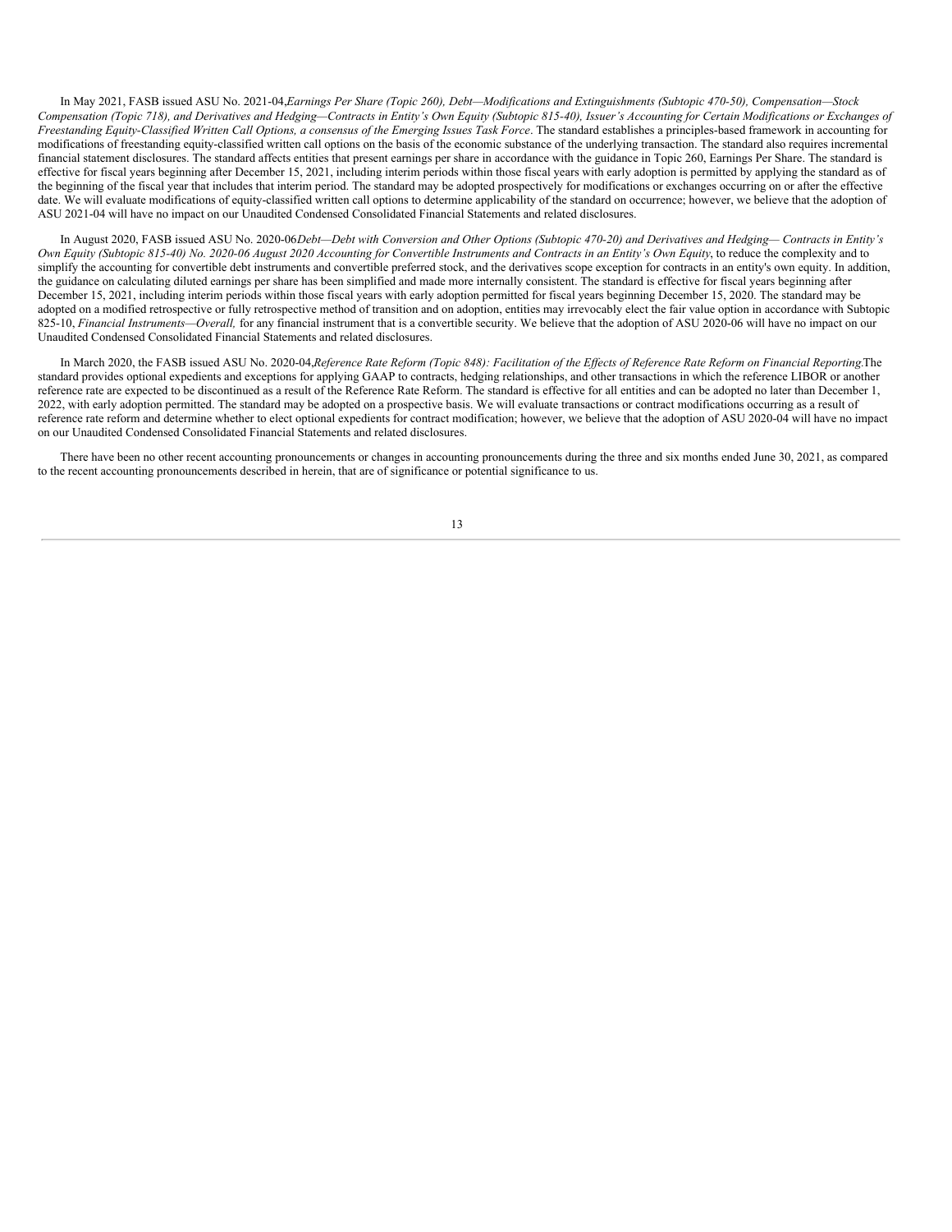In May 2021, FASB issued ASU No. 2021-04, Earnings Per Share (Topic 260), Debt-Modifications and Extinguishments (Subtopic 470-50), Compensation-Stock Compensation (Topic 718), and Derivatives and Hedging-Contracts in Entity's Own Equity (Subtopic 815-40), Issuer's Accounting for Certain Modifications or Exchanges of Freestanding Equity-Classified Written Call Options, a consensus of the Emerging Issues Task Force. The standard establishes a principles-based framework in accounting for modifications of freestanding equity-classified written call options on the basis of the economic substance of the underlying transaction. The standard also requires incremental financial statement disclosures. The standard affects entities that present earnings per share in accordance with the guidance in Topic 260, Earnings Per Share. The standard is effective for fiscal years beginning after December 15, 2021, including interim periods within those fiscal years with early adoption is permitted by applying the standard as of the beginning of the fiscal year that includes that interim period. The standard may be adopted prospectively for modifications or exchanges occurring on or after the effective date. We will evaluate modifications of equity-classified written call options to determine applicability of the standard on occurrence; however, we believe that the adoption of ASU 2021-04 will have no impact on our Unaudited Condensed Consolidated Financial Statements and related disclosures.

In August 2020, FASB issued ASU No. 2020-06Debt—Debt with Conversion and Other Options (Subtopic 470-20) and Derivatives and Hedging—Contracts in Entity's Own Equity (Subtopic 815-40) No. 2020-06 August 2020 Accounting for Convertible Instruments and Contracts in an Entity's Own Equity, to reduce the complexity and to simplify the accounting for convertible debt instruments and convertible preferred stock, and the derivatives scope exception for contracts in an entity's own equity. In addition, the guidance on calculating diluted earnings per share has been simplified and made more internally consistent. The standard is effective for fiscal years beginning after December 15, 2021, including interim periods within those fiscal years with early adoption permitted for fiscal years beginning December 15, 2020. The standard may be adopted on a modified retrospective or fully retrospective method of transition and on adoption, entities may irrevocably elect the fair value option in accordance with Subtopic 825-10, *Financial Instruments—Overall,* for any financial instrument that is a convertible security. We believe that the adoption of ASU 2020-06 will have no impact on our Unaudited Condensed Consolidated Financial Statements and related disclosures.

In March 2020, the FASB issued ASU No. 2020-04, Reference Rate Reform (Topic 848): Facilitation of the Effects of Reference Rate Reform on Financial Reporting. The standard provides optional expedients and exceptions for applying GAAP to contracts, hedging relationships, and other transactions in which the reference LIBOR or another reference rate are expected to be discontinued as a result of the Reference Rate Reform. The standard is effective for all entities and can be adopted no later than December 1, 2022, with early adoption permitted. The standard may be adopted on a prospective basis. We will evaluate transactions or contract modifications occurring as a result of reference rate reform and determine whether to elect optional expedients for contract modification; however, we believe that the adoption of ASU 2020-04 will have no impact on our Unaudited Condensed Consolidated Financial Statements and related disclosures.

There have been no other recent accounting pronouncements or changes in accounting pronouncements during the three and six months ended June 30, 2021, as compared to the recent accounting pronouncements described in herein, that are of significance or potential significance to us.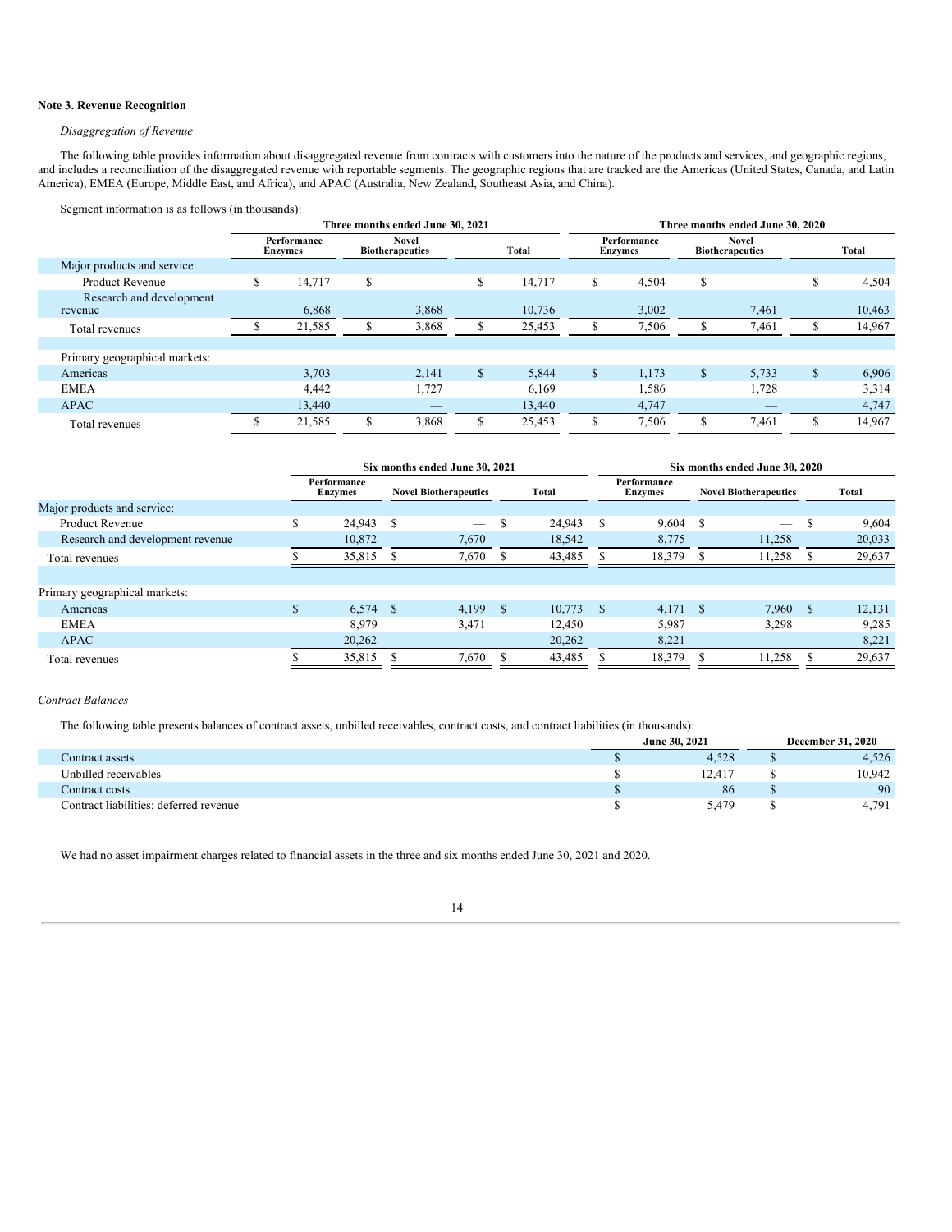# **Note 3. Revenue Recognition**

## *Disaggregation of Revenue*

The following table provides information about disaggregated revenue from contracts with customers into the nature of the products and services, and geographic regions, and includes a reconciliation of the disaggregated revenue with reportable segments. The geographic regions that are tracked are the Americas (United States, Canada, and Latin America), EMEA (Europe, Middle East, and Africa), and APAC (Australia, New Zealand, Southeast Asia, and China).

Segment information is as follows (in thousands):

|                                     | Three months ended June 30, 2021 |                               |   |                                        |   | Three months ended June 30, 2020 |             |                               |    |                                        |              |        |
|-------------------------------------|----------------------------------|-------------------------------|---|----------------------------------------|---|----------------------------------|-------------|-------------------------------|----|----------------------------------------|--------------|--------|
|                                     |                                  | Performance<br><b>Enzymes</b> |   | <b>Novel</b><br><b>Biotherapeutics</b> |   | Total                            |             | Performance<br><b>Enzymes</b> |    | <b>Novel</b><br><b>Biotherapeutics</b> |              | Total  |
| Major products and service:         |                                  |                               |   |                                        |   |                                  |             |                               |    |                                        |              |        |
| <b>Product Revenue</b>              | ъ                                | 14,717                        | S |                                        | S | 14,717                           | \$          | 4,504                         | \$ |                                        | S            | 4,504  |
| Research and development<br>revenue |                                  | 6,868                         |   | 3,868                                  |   | 10,736                           |             | 3,002                         |    | 7,461                                  |              | 10,463 |
| Total revenues                      |                                  | 21,585                        |   | 3,868                                  |   | 25,453                           |             | 7,506                         |    | 7,461                                  |              | 14,967 |
|                                     |                                  |                               |   |                                        |   |                                  |             |                               |    |                                        |              |        |
| Primary geographical markets:       |                                  |                               |   |                                        |   |                                  |             |                               |    |                                        |              |        |
| Americas                            |                                  | 3,703                         |   | 2.141                                  | S | 5,844                            | $\mathbf S$ | 1,173                         | \$ | 5,733                                  | $\mathbb{S}$ | 6,906  |
| <b>EMEA</b>                         |                                  | 4,442                         |   | 1,727                                  |   | 6,169                            |             | 1,586                         |    | 1,728                                  |              | 3,314  |
| <b>APAC</b>                         |                                  | 13,440                        |   | $\hspace{0.1mm}-\hspace{0.1mm}$        |   | 13,440                           |             | 4,747                         |    | $-$                                    |              | 4,747  |
| Total revenues                      |                                  | 21,585                        |   | 3,868                                  |   | 25,453                           | S           | 7,506                         |    | 7,461                                  |              | 14,967 |

|                                  |    |                               |          | Six months ended June 30, 2021 |   |        | Six months ended June 30, 2020 |                               |      |                              |               |        |
|----------------------------------|----|-------------------------------|----------|--------------------------------|---|--------|--------------------------------|-------------------------------|------|------------------------------|---------------|--------|
|                                  |    | Performance<br><b>Enzymes</b> |          | <b>Novel Biotherapeutics</b>   |   | Total  |                                | Performance<br><b>Enzymes</b> |      | <b>Novel Biotherapeutics</b> |               | Total  |
| Major products and service:      |    |                               |          |                                |   |        |                                |                               |      |                              |               |        |
| <b>Product Revenue</b>           | S  | 24.943                        | S        |                                | S | 24,943 | S                              | 9,604                         | - \$ | $\overline{\phantom{m}}$     | <sup>\$</sup> | 9,604  |
| Research and development revenue |    | 10,872                        |          | 7,670                          |   | 18,542 |                                | 8,775                         |      | 11,258                       |               | 20,033 |
| Total revenues                   |    | 35,815                        | <b>S</b> | 7,670                          |   | 43,485 |                                | 18,379                        |      | 11,258                       |               | 29,637 |
|                                  |    |                               |          |                                |   |        |                                |                               |      |                              |               |        |
| Primary geographical markets:    |    |                               |          |                                |   |        |                                |                               |      |                              |               |        |
| Americas                         | \$ | $6,574$ \$                    |          | $4,199$ \$                     |   | 10,773 | <sup>S</sup>                   | $4,171$ \$                    |      | 7,960                        | -S            | 12,131 |
| <b>EMEA</b>                      |    | 8,979                         |          | 3,471                          |   | 12,450 |                                | 5,987                         |      | 3,298                        |               | 9,285  |
| <b>APAC</b>                      |    | 20,262                        |          | _                              |   | 20,262 |                                | 8,221                         |      |                              |               | 8,221  |
| Total revenues                   |    | 35,815                        |          | 7,670                          |   | 43,485 |                                | 18,379                        |      | 11,258                       |               | 29,637 |

# *Contract Balances*

The following table presents balances of contract assets, unbilled receivables, contract costs, and contract liabilities (in thousands):

|                                        | June 30, 2021 | <b>December 31, 2020</b> |  |
|----------------------------------------|---------------|--------------------------|--|
| Contract assets                        | 4.528         | 4,526                    |  |
| Unbilled receivables                   | 12.417        | 10,942                   |  |
| Contract costs                         | 86            | 90                       |  |
| Contract liabilities: deferred revenue | 5.479         | 4,791                    |  |

We had no asset impairment charges related to financial assets in the three and six months ended June 30, 2021 and 2020.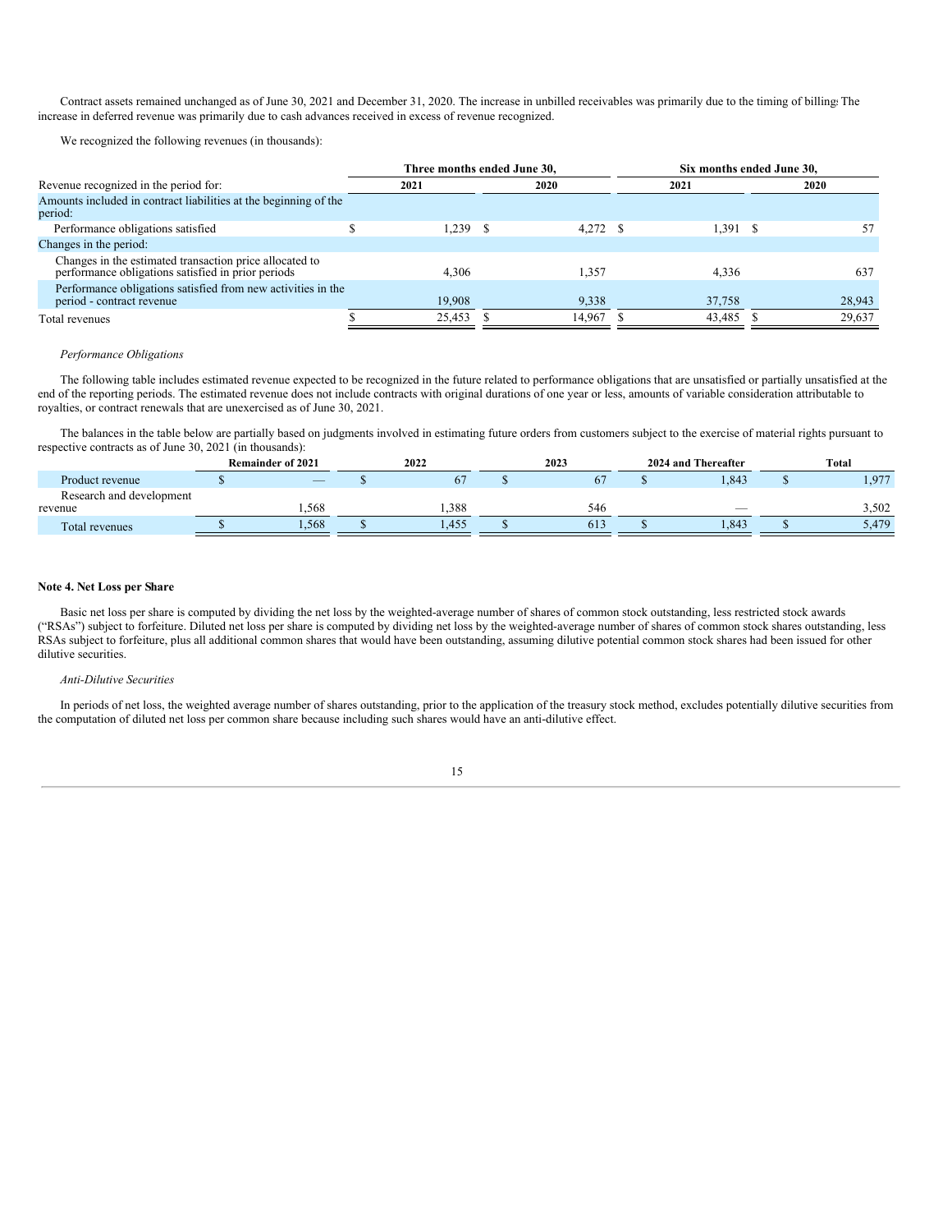Contract assets remained unchanged as of June 30, 2021 and December 31, 2020. The increase in unbilled receivables was primarily due to the timing of billings.The increase in deferred revenue was primarily due to cash advances received in excess of revenue recognized.

We recognized the following revenues (in thousands):

|                                                                                                               | Three months ended June 30, |        |      |          |      | Six months ended June 30, |  |        |  |
|---------------------------------------------------------------------------------------------------------------|-----------------------------|--------|------|----------|------|---------------------------|--|--------|--|
| Revenue recognized in the period for:                                                                         | 2021                        |        | 2020 |          | 2021 |                           |  | 2020   |  |
| Amounts included in contract liabilities at the beginning of the<br>period:                                   |                             |        |      |          |      |                           |  |        |  |
| Performance obligations satisfied                                                                             |                             | 1.239S |      | 4.272 \$ |      | 1,391 \$                  |  |        |  |
| Changes in the period:                                                                                        |                             |        |      |          |      |                           |  |        |  |
| Changes in the estimated transaction price allocated to<br>performance obligations satisfied in prior periods |                             | 4.306  |      | 1.357    |      | 4.336                     |  | 637    |  |
| Performance obligations satisfied from new activities in the<br>period - contract revenue                     |                             | 19.908 |      | 9,338    |      | 37,758                    |  | 28,943 |  |
| Total revenues                                                                                                |                             | 25.453 |      | 14.967   |      | 43,485                    |  | 29,637 |  |

### *Performance Obligations*

The following table includes estimated revenue expected to be recognized in the future related to performance obligations that are unsatisfied or partially unsatisfied at the end of the reporting periods. The estimated revenue does not include contracts with original durations of one year or less, amounts of variable consideration attributable to royalties, or contract renewals that are unexercised as of June 30, 2021.

The balances in the table below are partially based on judgments involved in estimating future orders from customers subject to the exercise of material rights pursuant to respective contracts as of June 30, 2021 (in thousands):

|                          | <b>Remainder of 2021</b> | 2022  | 2023 | 2024 and Thereafter | Total |
|--------------------------|--------------------------|-------|------|---------------------|-------|
| Product revenue          | $-$                      |       |      | 1,843               | 1,977 |
| Research and development |                          |       |      |                     |       |
| revenue                  | .568                     | .388  | 546  |                     | 3,502 |
| Total revenues           | .568                     | 1.455 | 613  | 1.843               | 5,479 |

# **Note 4. Net Loss per Share**

Basic net loss per share is computed by dividing the net loss by the weighted-average number of shares of common stock outstanding, less restricted stock awards ("RSAs") subject to forfeiture. Diluted net loss per share is computed by dividing net loss by the weighted-average number of shares of common stock shares outstanding, less RSAs subject to forfeiture, plus all additional common shares that would have been outstanding, assuming dilutive potential common stock shares had been issued for other dilutive securities.

# *Anti-Dilutive Securities*

In periods of net loss, the weighted average number of shares outstanding, prior to the application of the treasury stock method, excludes potentially dilutive securities from the computation of diluted net loss per common share because including such shares would have an anti-dilutive effect.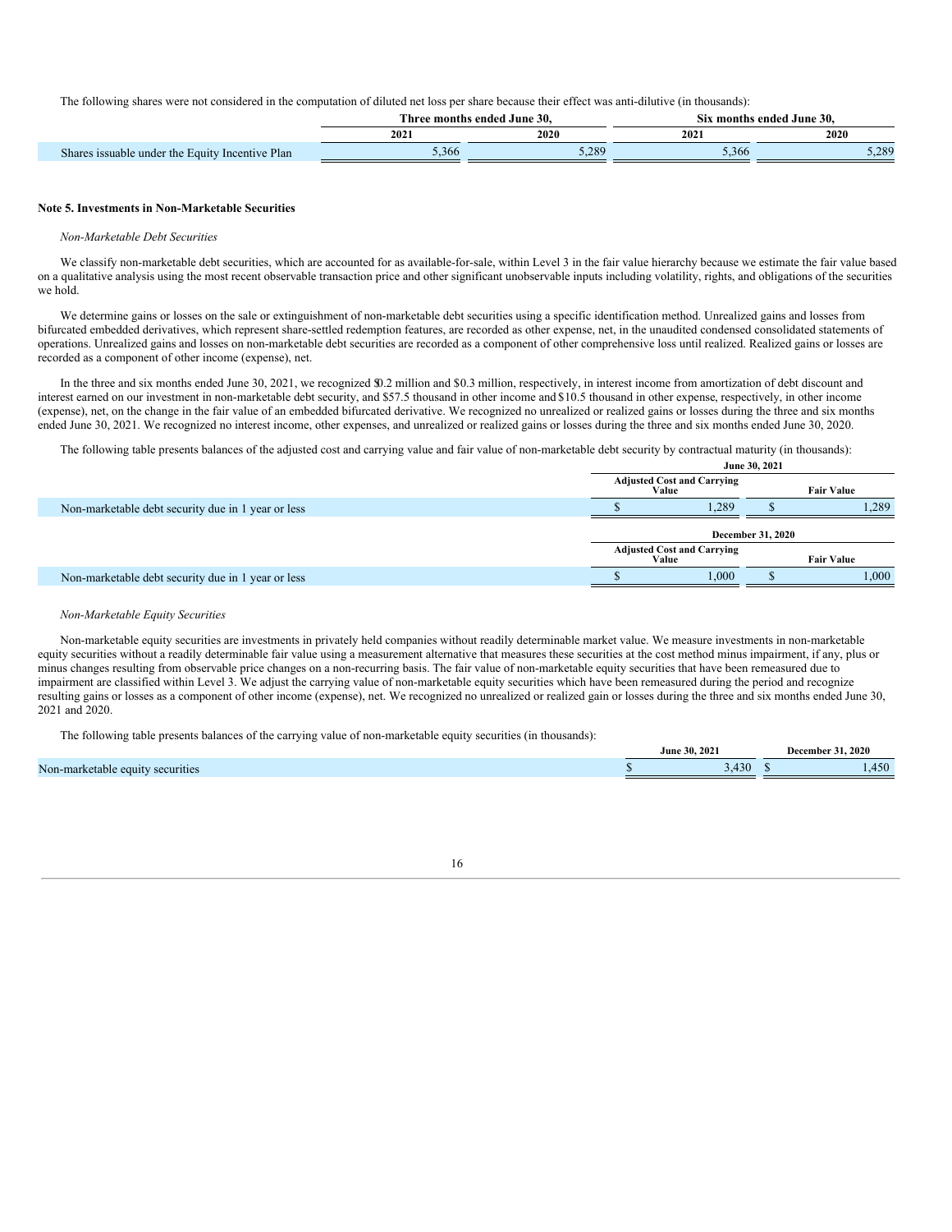The following shares were not considered in the computation of diluted net loss per share because their effect was anti-dilutive (in thousands):

|                                                                | months | June 30.<br>ended | months<br>יי | <b>June 30.</b><br>ended |
|----------------------------------------------------------------|--------|-------------------|--------------|--------------------------|
|                                                                | 202    | 2020              | 2021         | 2020                     |
| Plan<br>s issuable under the !<br>Incentive<br>Equity<br>share | 5.366  | 20                | 5.300        | ാറെ<br>2.284             |

#### **Note 5. Investments in Non-Marketable Securities**

### *Non-Marketable Debt Securities*

We classify non-marketable debt securities, which are accounted for as available-for-sale, within Level 3 in the fair value hierarchy because we estimate the fair value based on a qualitative analysis using the most recent observable transaction price and other significant unobservable inputs including volatility, rights, and obligations of the securities we hold.

We determine gains or losses on the sale or extinguishment of non-marketable debt securities using a specific identification method. Unrealized gains and losses from bifurcated embedded derivatives, which represent share-settled redemption features, are recorded as other expense, net, in the unaudited condensed consolidated statements of operations. Unrealized gains and losses on non-marketable debt securities are recorded as a component of other comprehensive loss until realized. Realized gains or losses are recorded as a component of other income (expense), net.

In the three and six months ended June 30, 2021, we recognized \$0.2 million and \$0.3 million, respectively, in interest income from amortization of debt discount and interest earned on our investment in non-marketable debt security, and \$57.5 thousand in other income and \$10.5 thousand in other expense, respectively, in other income (expense), net, on the change in the fair value of an embedded bifurcated derivative. We recognized no unrealized or realized gains or losses during the three and six months ended June 30, 2021. We recognized no interest income, other expenses, and unrealized or realized gains or losses during the three and six months ended June 30, 2020.

The following table presents balances of the adjusted cost and carrying value and fair value of non-marketable debt security by contractual maturity (in thousands):

|                                                    | Value | <b>Adjusted Cost and Carrying</b> |                          | <b>Fair Value</b> |
|----------------------------------------------------|-------|-----------------------------------|--------------------------|-------------------|
| Non-marketable debt security due in 1 year or less |       | 1.289                             |                          | 1.289             |
|                                                    |       |                                   | <b>December 31, 2020</b> |                   |
|                                                    | Value | <b>Adjusted Cost and Carrying</b> |                          | <b>Fair Value</b> |
| Non-marketable debt security due in 1 year or less |       | 1.000                             |                          | 1.000             |
|                                                    |       |                                   |                          |                   |

## *Non-Marketable Equity Securities*

Non-marketable equity securities are investments in privately held companies without readily determinable market value. We measure investments in non-marketable equity securities without a readily determinable fair value using a measurement alternative that measures these securities at the cost method minus impairment, if any, plus or minus changes resulting from observable price changes on a non-recurring basis. The fair value of non-marketable equity securities that have been remeasured due to impairment are classified within Level 3. We adjust the carrying value of non-marketable equity securities which have been remeasured during the period and recognize resulting gains or losses as a component of other income (expense), net. We recognized no unrealized or realized gain or losses during the three and six months ended June 30, 2021 and 2020.

The following table presents balances of the carrying value of non-marketable equity securities (in thousands):

|                                  | - |  | June 30, 202 <sup>-1</sup> | . 2020<br>December |
|----------------------------------|---|--|----------------------------|--------------------|
| Non-marketable equity securities |   |  | 5.430                      | .450               |
|                                  |   |  |                            |                    |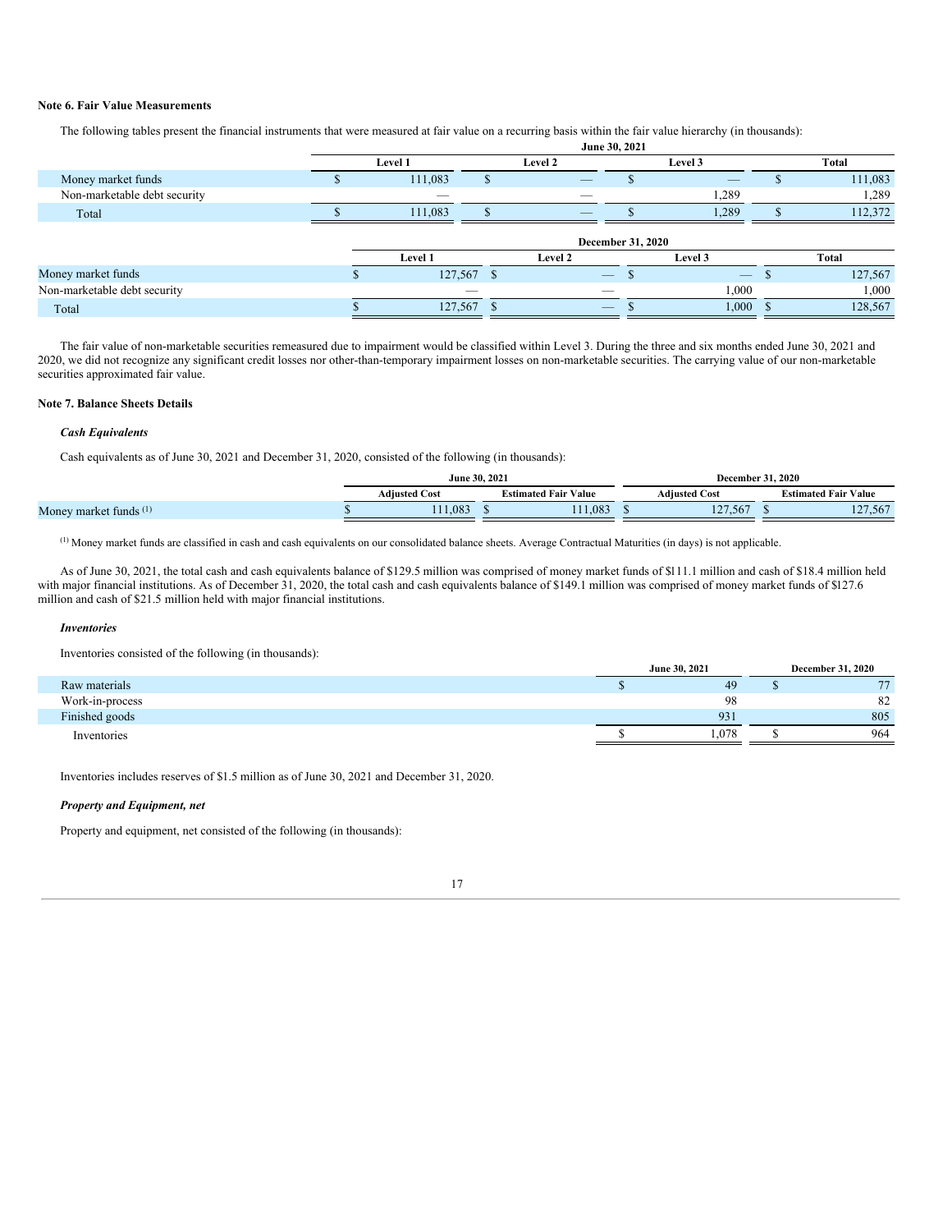### **Note 6. Fair Value Measurements**

The following tables present the financial instruments that were measured at fair value on a recurring basis within the fair value hierarchy (in thousands):

|                              |            |   | June 30, 2021            |                          |         |
|------------------------------|------------|---|--------------------------|--------------------------|---------|
|                              | Level 1    |   | Level 2                  | Level 3                  | Total   |
| Money market funds           | 111,083    | Ф | $\overline{\phantom{a}}$ | $\overline{\phantom{a}}$ | 111,083 |
| Non-marketable debt security | $-$        |   | _                        | 1,289                    | 1,289   |
| Total                        | 111.083    |   |                          | 1,289                    | 112,372 |
|                              |            |   | <b>December 31, 2020</b> |                          |         |
|                              |            |   |                          |                          |         |
|                              | Level 1    |   | <b>Level 2</b>           | Level 3                  | Total   |
| Money market funds           | 127,567 \$ |   | $\overline{\phantom{a}}$ | $\overline{\phantom{m}}$ | 127,567 |
| Non-marketable debt security |            |   | $-$                      | 1,000                    | 1,000   |
| Total                        | 127,567    |   | $\overline{\phantom{m}}$ | 1,000                    | 128,567 |

The fair value of non-marketable securities remeasured due to impairment would be classified within Level 3. During the three and six months ended June 30, 2021 and 2020, we did not recognize any significant credit losses nor other-than-temporary impairment losses on non-marketable securities. The carrying value of our non-marketable securities approximated fair value.

# **Note 7. Balance Sheets Details**

#### *Cash Equivalents*

Cash equivalents as of June 30, 2021 and December 31, 2020, consisted of the following (in thousands):

|                          | June 30, 2021        |  |                                  | 2020<br>December |                      |  |                      |  |
|--------------------------|----------------------|--|----------------------------------|------------------|----------------------|--|----------------------|--|
|                          | <b>Adiusted Cost</b> |  | .<br><b>Estimated Fair Value</b> |                  | <b>Adiusted Cost</b> |  | Estimated Fair Value |  |
| Money market funds $(1)$ | 11.083               |  | 111.083                          |                  | 127.567              |  | 127,567              |  |

 $<sup>(1)</sup>$  Money market funds are classified in cash and cash equivalents on our consolidated balance sheets. Average Contractual Maturities (in days) is not applicable.</sup>

As of June 30, 2021, the total cash and cash equivalents balance of \$129.5 million was comprised of money market funds of \$111.1 million and cash of \$18.4 million held with major financial institutions. As of December 31, 2020, the total cash and cash equivalents balance of \$149.1 million was comprised of money market funds of \$127.6 million and cash of \$21.5 million held with major financial institutions.

### *Inventories*

Inventories consisted of the following (in thousands):

|                 | June 30, 2021 | <b>December 31, 2020</b> |
|-----------------|---------------|--------------------------|
| Raw materials   | 49            | $\overline{a}$           |
| Work-in-process | 98            | 82                       |
| Finished goods  | 931           | 805                      |
| Inventories     | 1.078         | 964                      |

Inventories includes reserves of \$1.5 million as of June 30, 2021 and December 31, 2020.

# *Property and Equipment, net*

Property and equipment, net consisted of the following (in thousands):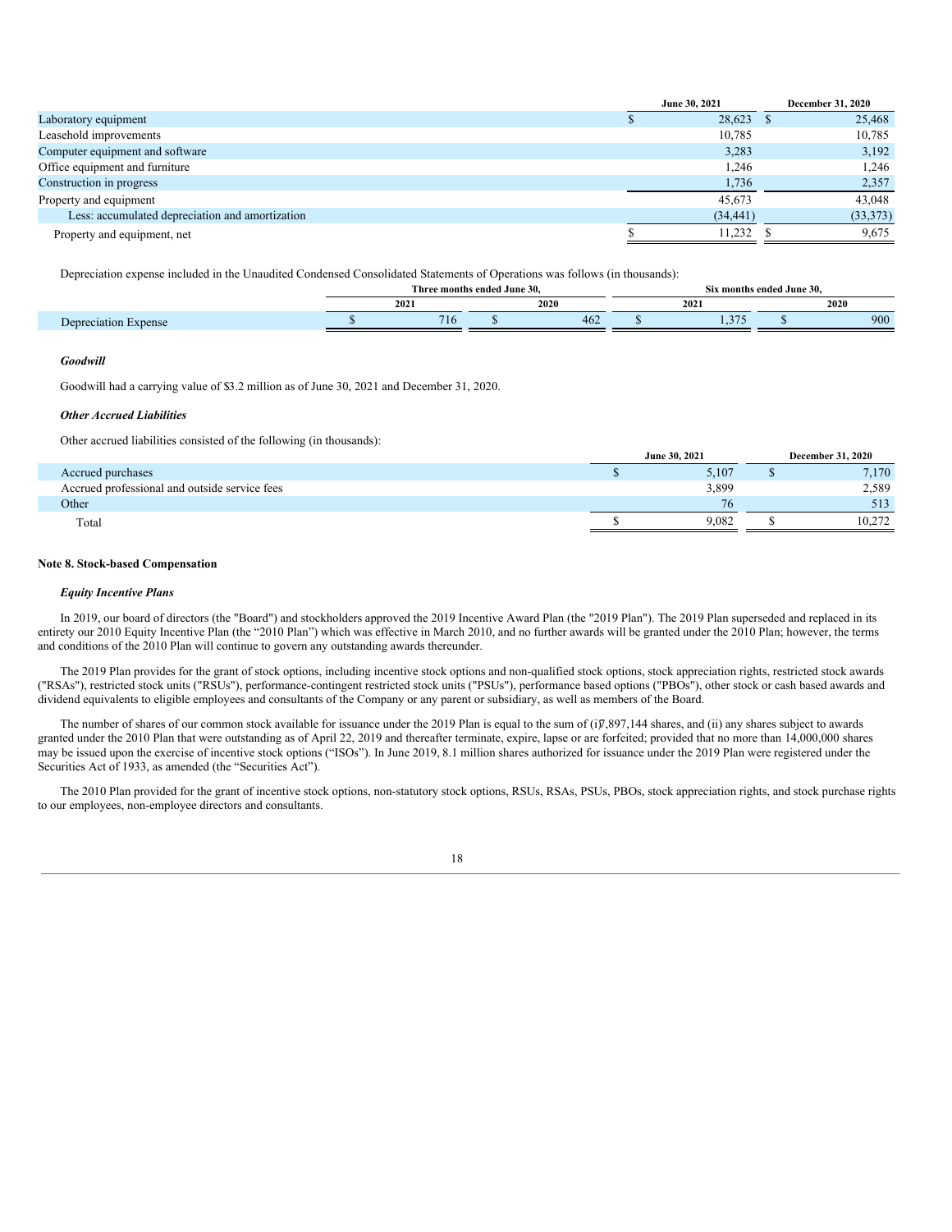|                                                 | June 30, 2021 | <b>December 31, 2020</b> |
|-------------------------------------------------|---------------|--------------------------|
| Laboratory equipment                            | $28,623$ \$   | 25,468                   |
| Leasehold improvements                          | 10.785        | 10,785                   |
| Computer equipment and software                 | 3,283         | 3,192                    |
| Office equipment and furniture                  | 1,246         | 1,246                    |
| Construction in progress                        | 1.736         | 2,357                    |
| Property and equipment                          | 45,673        | 43,048                   |
| Less: accumulated depreciation and amortization | (34, 441)     | (33,373)                 |
| Property and equipment, net                     | $11,232$ \$   | 9,675                    |

Depreciation expense included in the Unaudited Condensed Consolidated Statements of Operations was follows (in thousands):

|                   | <b>CONT</b><br>e months . | June 30.<br>≅ended ≀ |                 | c months ended June 30.<br>JЦ |                 |  |      |  |
|-------------------|---------------------------|----------------------|-----------------|-------------------------------|-----------------|--|------|--|
|                   | 202                       |                      | 2020            |                               | 202             |  | 2020 |  |
| Expense<br>iation | $-1$                      |                      | 46 <sub>4</sub> |                               | $\sim$ $-$<br>. |  | 900  |  |

## *Goodwill*

Goodwill had a carrying value of \$3.2 million as of June 30, 2021 and December 31, 2020.

## *Other Accrued Liabilities*

Other accrued liabilities consisted of the following (in thousands):

|                                               | June 30, 2021 | <b>December 31, 2020</b> |        |  |
|-----------------------------------------------|---------------|--------------------------|--------|--|
| Accrued purchases                             | 5.107         |                          | 7,170  |  |
| Accrued professional and outside service fees | 3,899         |                          | 2,589  |  |
| Other                                         | 76            |                          | 513    |  |
| Total                                         | 9.082         |                          | 10,272 |  |
|                                               |               |                          |        |  |

# **Note 8. Stock-based Compensation**

### *Equity Incentive Plans*

In 2019, our board of directors (the "Board") and stockholders approved the 2019 Incentive Award Plan (the "2019 Plan"). The 2019 Plan superseded and replaced in its entirety our 2010 Equity Incentive Plan (the "2010 Plan") which was effective in March 2010, and no further awards will be granted under the 2010 Plan; however, the terms and conditions of the 2010 Plan will continue to govern any outstanding awards thereunder.

The 2019 Plan provides for the grant of stock options, including incentive stock options and non-qualified stock options, stock appreciation rights, restricted stock awards ("RSAs"), restricted stock units ("RSUs"), performance-contingent restricted stock units ("PSUs"), performance based options ("PBOs"), other stock or cash based awards and dividend equivalents to eligible employees and consultants of the Company or any parent or subsidiary, as well as members of the Board.

The number of shares of our common stock available for issuance under the 2019 Plan is equal to the sum of  $(i)$ 7,897,144 shares, and  $(ii)$  any shares subject to awards granted under the 2010 Plan that were outstanding as of April 22, 2019 and thereafter terminate, expire, lapse or are forfeited; provided that no more than 14,000,000 shares may be issued upon the exercise of incentive stock options ("ISOs"). In June 2019, 8.1 million shares authorized for issuance under the 2019 Plan were registered under the Securities Act of 1933, as amended (the "Securities Act").

The 2010 Plan provided for the grant of incentive stock options, non-statutory stock options, RSUs, RSAs, PSUs, PBOs, stock appreciation rights, and stock purchase rights to our employees, non-employee directors and consultants.

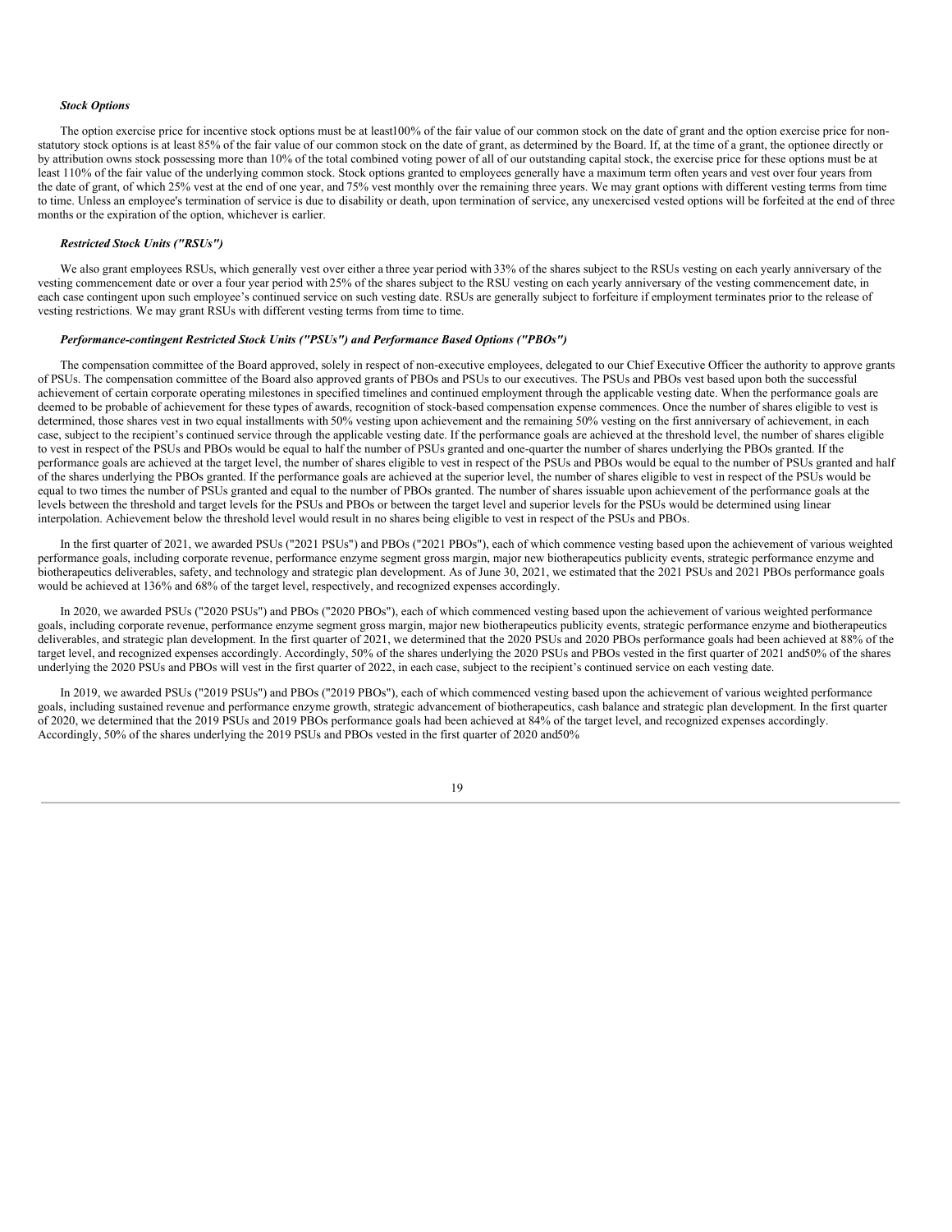### *Stock Options*

The option exercise price for incentive stock options must be at least100% of the fair value of our common stock on the date of grant and the option exercise price for nonstatutory stock options is at least 85% of the fair value of our common stock on the date of grant, as determined by the Board. If, at the time of a grant, the optionee directly or by attribution owns stock possessing more than 10% of the total combined voting power of all of our outstanding capital stock, the exercise price for these options must be at least 110% of the fair value of the underlying common stock. Stock options granted to employees generally have a maximum term often years and vest over four years from the date of grant, of which 25% vest at the end of one year, and 75% vest monthly over the remaining three years. We may grant options with different vesting terms from time to time. Unless an employee's termination of service is due to disability or death, upon termination of service, any unexercised vested options will be forfeited at the end of three months or the expiration of the option, whichever is earlier.

## *Restricted Stock Units ("RSUs")*

We also grant employees RSUs, which generally vest over either a three year period with 33% of the shares subject to the RSUs vesting on each yearly anniversary of the vesting commencement date or over a four year period with 25% of the shares subject to the RSU vesting on each yearly anniversary of the vesting commencement date, in each case contingent upon such employee's continued service on such vesting date. RSUs are generally subject to forfeiture if employment terminates prior to the release of vesting restrictions. We may grant RSUs with different vesting terms from time to time.

# *Performance-contingent Restricted Stock Units ("PSUs") and Performance Based Options ("PBOs")*

The compensation committee of the Board approved, solely in respect of non-executive employees, delegated to our Chief Executive Officer the authority to approve grants of PSUs. The compensation committee of the Board also approved grants of PBOs and PSUs to our executives. The PSUs and PBOs vest based upon both the successful achievement of certain corporate operating milestones in specified timelines and continued employment through the applicable vesting date. When the performance goals are deemed to be probable of achievement for these types of awards, recognition of stock-based compensation expense commences. Once the number of shares eligible to vest is determined, those shares vest in two equal installments with 50% vesting upon achievement and the remaining 50% vesting on the first anniversary of achievement, in each case, subject to the recipient's continued service through the applicable vesting date. If the performance goals are achieved at the threshold level, the number of shares eligible to vest in respect of the PSUs and PBOs would be equal to half the number of PSUs granted and one-quarter the number of shares underlying the PBOs granted. If the performance goals are achieved at the target level, the number of shares eligible to vest in respect of the PSUs and PBOs would be equal to the number of PSUs granted and half of the shares underlying the PBOs granted. If the performance goals are achieved at the superior level, the number of shares eligible to vest in respect of the PSUs would be equal to two times the number of PSUs granted and equal to the number of PBOs granted. The number of shares issuable upon achievement of the performance goals at the levels between the threshold and target levels for the PSUs and PBOs or between the target level and superior levels for the PSUs would be determined using linear interpolation. Achievement below the threshold level would result in no shares being eligible to vest in respect of the PSUs and PBOs.

In the first quarter of 2021, we awarded PSUs ("2021 PSUs") and PBOs ("2021 PBOs"), each of which commence vesting based upon the achievement of various weighted performance goals, including corporate revenue, performance enzyme segment gross margin, major new biotherapeutics publicity events, strategic performance enzyme and biotherapeutics deliverables, safety, and technology and strategic plan development. As of June 30, 2021, we estimated that the 2021 PSUs and 2021 PBOs performance goals would be achieved at 136% and 68% of the target level, respectively, and recognized expenses accordingly.

In 2020, we awarded PSUs ("2020 PSUs") and PBOs ("2020 PBOs"), each of which commenced vesting based upon the achievement of various weighted performance goals, including corporate revenue, performance enzyme segment gross margin, major new biotherapeutics publicity events, strategic performance enzyme and biotherapeutics deliverables, and strategic plan development. In the first quarter of 2021, we determined that the 2020 PSUs and 2020 PBOs performance goals had been achieved at 88% of the target level, and recognized expenses accordingly. Accordingly, 50% of the shares underlying the 2020 PSUs and PBOs vested in the first quarter of 2021 and50% of the shares underlying the 2020 PSUs and PBOs will vest in the first quarter of 2022, in each case, subject to the recipient's continued service on each vesting date.

In 2019, we awarded PSUs ("2019 PSUs") and PBOs ("2019 PBOs"), each of which commenced vesting based upon the achievement of various weighted performance goals, including sustained revenue and performance enzyme growth, strategic advancement of biotherapeutics, cash balance and strategic plan development. In the first quarter of 2020, we determined that the 2019 PSUs and 2019 PBOs performance goals had been achieved at 84% of the target level, and recognized expenses accordingly. Accordingly, 50% of the shares underlying the 2019 PSUs and PBOs vested in the first quarter of 2020 and50%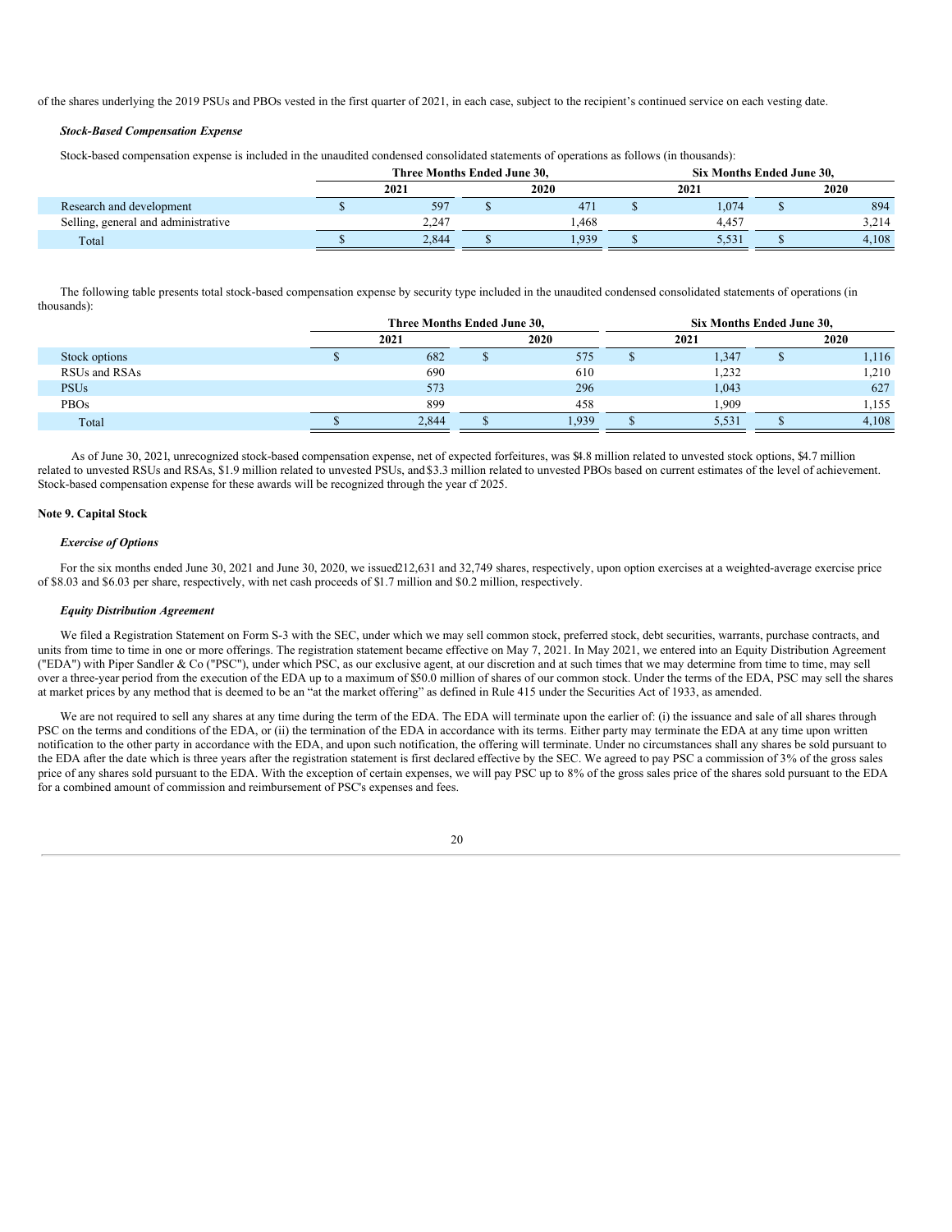of the shares underlying the 2019 PSUs and PBOs vested in the first quarter of 2021, in each case, subject to the recipient's continued service on each vesting date.

# *Stock-Based Compensation Expense*

Stock-based compensation expense is included in the unaudited condensed consolidated statements of operations as follows (in thousands):

|                                     | Three Months Ended June 30, |  | Six Months Ended June 30. |  |       |  |       |
|-------------------------------------|-----------------------------|--|---------------------------|--|-------|--|-------|
|                                     | 2021                        |  | 2020                      |  | 2021  |  | 2020  |
| Research and development            | 597                         |  | 471                       |  | 1,074 |  | 894   |
| Selling, general and administrative | 2,247                       |  | .468                      |  | 4.457 |  | 3,214 |
| Total                               | 2.844                       |  | 1,939                     |  | 5,531 |  | 4.108 |

The following table presents total stock-based compensation expense by security type included in the unaudited condensed consolidated statements of operations (in thousands):

|               | Three Months Ended June 30, |       |  |       |  | Six Months Ended June 30, |      |       |  |  |
|---------------|-----------------------------|-------|--|-------|--|---------------------------|------|-------|--|--|
|               |                             | 2021  |  | 2020  |  | 2021                      | 2020 |       |  |  |
| Stock options |                             | 682   |  | 575   |  | 1,347                     |      | 1,116 |  |  |
| RSUs and RSAs |                             | 690   |  | 610   |  | 1,232                     |      | ,210  |  |  |
| <b>PSUs</b>   |                             | 573   |  | 296   |  | 1,043                     |      | 627   |  |  |
| <b>PBOs</b>   |                             | 899   |  | 458   |  | 1.909                     |      | 1,155 |  |  |
| Total         |                             | 2,844 |  | 1.939 |  | 5,531                     |      | 4,108 |  |  |

As of June 30, 2021, unrecognized stock-based compensation expense, net of expected forfeitures, was \$4.8 million related to unvested stock options, \$4.7 million related to unvested RSUs and RSAs, \$1.9 million related to unvested PSUs, and \$3.3 million related to unvested PBOs based on current estimates of the level of achievement. Stock-based compensation expense for these awards will be recognized through the year of 2025.

# **Note 9. Capital Stock**

# *Exercise of Options*

For the six months ended June 30, 2021 and June 30, 2020, we issued212,631 and 32,749 shares, respectively, upon option exercises at a weighted-average exercise price of \$8.03 and \$6.03 per share, respectively, with net cash proceeds of \$1.7 million and \$0.2 million, respectively.

### *Equity Distribution Agreement*

We filed a Registration Statement on Form S-3 with the SEC, under which we may sell common stock, preferred stock, debt securities, warrants, purchase contracts, and units from time to time in one or more offerings. The registration statement became effective on May 7, 2021. In May 2021, we entered into an Equity Distribution Agreement ("EDA") with Piper Sandler & Co ("PSC"), under which PSC, as our exclusive agent, at our discretion and at such times that we may determine from time to time, may sell over a three-year period from the execution of the EDA up to a maximum of \$50.0 million of shares of our common stock. Under the terms of the EDA, PSC may sell the shares at market prices by any method that is deemed to be an "at the market offering" as defined in Rule 415 under the Securities Act of 1933, as amended.

We are not required to sell any shares at any time during the term of the EDA. The EDA will terminate upon the earlier of: (i) the issuance and sale of all shares through PSC on the terms and conditions of the EDA, or (ii) the termination of the EDA in accordance with its terms. Either party may terminate the EDA at any time upon written notification to the other party in accordance with the EDA, and upon such notification, the offering will terminate. Under no circumstances shall any shares be sold pursuant to the EDA after the date which is three years after the registration statement is first declared effective by the SEC. We agreed to pay PSC a commission of 3% of the gross sales price of any shares sold pursuant to the EDA. With the exception of certain expenses, we will pay PSC up to 8% of the gross sales price of the shares sold pursuant to the EDA for a combined amount of commission and reimbursement of PSC's expenses and fees.

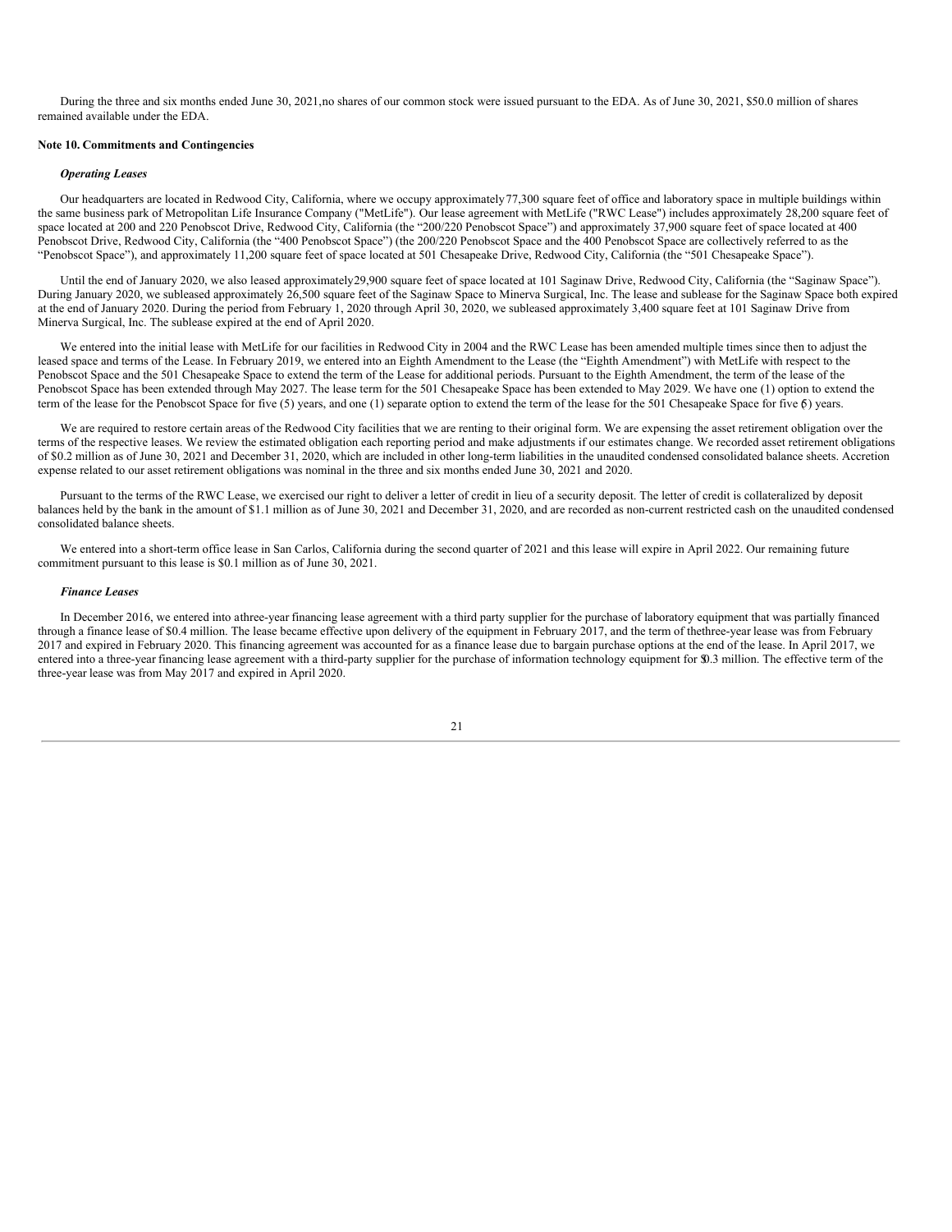During the three and six months ended June 30, 2021,no shares of our common stock were issued pursuant to the EDA. As of June 30, 2021, \$50.0 million of shares remained available under the EDA.

# **Note 10. Commitments and Contingencies**

### *Operating Leases*

Our headquarters are located in Redwood City, California, where we occupy approximately77,300 square feet of office and laboratory space in multiple buildings within the same business park of Metropolitan Life Insurance Company ("MetLife"). Our lease agreement with MetLife ("RWC Lease") includes approximately 28,200 square feet of space located at 200 and 220 Penobscot Drive, Redwood City, California (the "200/220 Penobscot Space") and approximately 37,900 square feet of space located at 400 Penobscot Drive, Redwood City, California (the "400 Penobscot Space") (the 200/220 Penobscot Space and the 400 Penobscot Space are collectively referred to as the "Penobscot Space"), and approximately 11,200 square feet of space located at 501 Chesapeake Drive, Redwood City, California (the "501 Chesapeake Space").

Until the end of January 2020, we also leased approximately29,900 square feet of space located at 101 Saginaw Drive, Redwood City, California (the "Saginaw Space"). During January 2020, we subleased approximately 26,500 square feet of the Saginaw Space to Minerva Surgical, Inc. The lease and sublease for the Saginaw Space both expired at the end of January 2020. During the period from February 1, 2020 through April 30, 2020, we subleased approximately 3,400 square feet at 101 Saginaw Drive from Minerva Surgical, Inc. The sublease expired at the end of April 2020.

We entered into the initial lease with MetLife for our facilities in Redwood City in 2004 and the RWC Lease has been amended multiple times since then to adjust the leased space and terms of the Lease. In February 2019, we entered into an Eighth Amendment to the Lease (the "Eighth Amendment") with MetLife with respect to the Penobscot Space and the 501 Chesapeake Space to extend the term of the Lease for additional periods. Pursuant to the Eighth Amendment, the term of the lease of the Penobscot Space has been extended through May 2027. The lease term for the 501 Chesapeake Space has been extended to May 2029. We have one (1) option to extend the term of the lease for the Penobscot Space for five (5) years, and one (1) separate option to extend the term of the lease for the 501 Chesapeake Space for five (5) years.

We are required to restore certain areas of the Redwood City facilities that we are renting to their original form. We are expensing the asset retirement obligation over the terms of the respective leases. We review the estimated obligation each reporting period and make adjustments if our estimates change. We recorded asset retirement obligations of \$0.2 million as of June 30, 2021 and December 31, 2020, which are included in other long-term liabilities in the unaudited condensed consolidated balance sheets. Accretion expense related to our asset retirement obligations was nominal in the three and six months ended June 30, 2021 and 2020.

Pursuant to the terms of the RWC Lease, we exercised our right to deliver a letter of credit in lieu of a security deposit. The letter of credit is collateralized by deposit balances held by the bank in the amount of \$1.1 million as of June 30, 2021 and December 31, 2020, and are recorded as non-current restricted cash on the unaudited condensed consolidated balance sheets.

We entered into a short-term office lease in San Carlos, California during the second quarter of 2021 and this lease will expire in April 2022. Our remaining future commitment pursuant to this lease is \$0.1 million as of June 30, 2021.

### *Finance Leases*

In December 2016, we entered into athree-year financing lease agreement with a third party supplier for the purchase of laboratory equipment that was partially financed through a finance lease of \$0.4 million. The lease became effective upon delivery of the equipment in February 2017, and the term of thethree-year lease was from February 2017 and expired in February 2020. This financing agreement was accounted for as a finance lease due to bargain purchase options at the end of the lease. In April 2017, we entered into a three-year financing lease agreement with a third-party supplier for the purchase of information technology equipment for \$0.3 million. The effective term of the three-year lease was from May 2017 and expired in April 2020.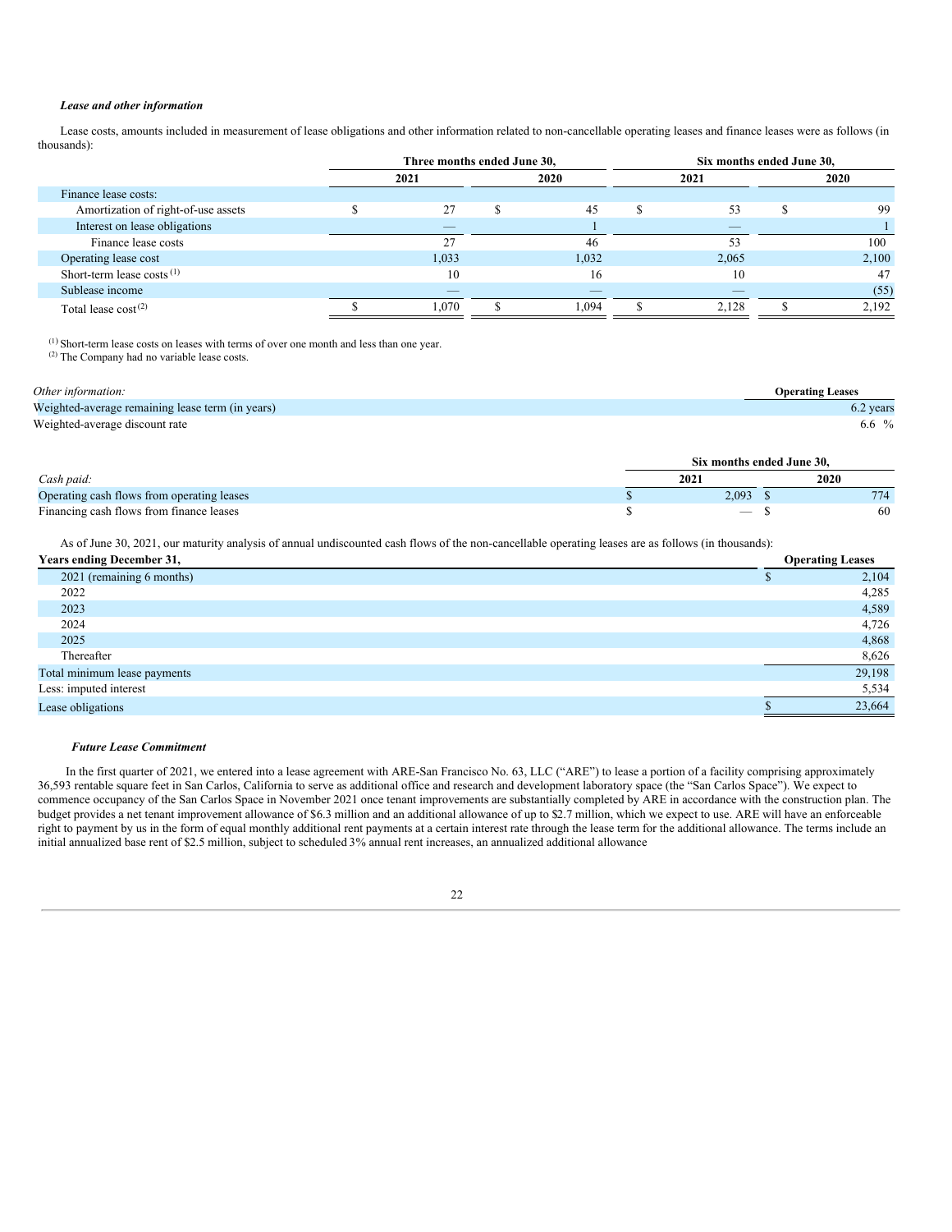### *Lease and other information*

Lease costs, amounts included in measurement of lease obligations and other information related to non-cancellable operating leases and finance leases were as follows (in thousands):

|                                     | Three months ended June 30, |  | Six months ended June 30, |  |                          |      |       |  |
|-------------------------------------|-----------------------------|--|---------------------------|--|--------------------------|------|-------|--|
|                                     | 2021                        |  | 2020                      |  | 2021                     | 2020 |       |  |
| Finance lease costs:                |                             |  |                           |  |                          |      |       |  |
| Amortization of right-of-use assets | 27                          |  | 45                        |  | 53                       |      | 99    |  |
| Interest on lease obligations       | _                           |  |                           |  |                          |      |       |  |
| Finance lease costs                 | 27                          |  | 46                        |  |                          |      | 100   |  |
| Operating lease cost                | 1,033                       |  | 1,032                     |  | 2,065                    |      | 2,100 |  |
| Short-term lease costs $(1)$        | 10                          |  | 16                        |  | 10                       |      | 47    |  |
| Sublease income                     | _                           |  | $-$                       |  | $\overline{\phantom{a}}$ |      | (55)  |  |
| Total lease $cost^{(2)}$            | .070                        |  | 1.094                     |  | 2.128                    |      | 2.192 |  |

 $(1)$  Short-term lease costs on leases with terms of over one month and less than one year.

(2) The Company had no variable lease costs.

| Other information:                               | <b>Operating Leases</b> |
|--------------------------------------------------|-------------------------|
| Weighted-average remaining lease term (in years) | 6.2 years               |
| Weighted-average discount rate                   | 6.6 $%$                 |

|                                            | Six months ended June 30. |      |
|--------------------------------------------|---------------------------|------|
| Cash paid:                                 | 2021                      | 2020 |
| Operating cash flows from operating leases | 2.093                     | 774  |
| Financing cash flows from finance leases   | $\overline{\phantom{a}}$  | 60   |

As of June 30, 2021, our maturity analysis of annual undiscounted cash flows of the non-cancellable operating leases are as follows (in thousands):

| <b>Years ending December 31,</b><br><b>Operating Leases</b> |        |
|-------------------------------------------------------------|--------|
| 2021 (remaining 6 months)                                   | 2,104  |
| 2022                                                        | 4,285  |
| 2023                                                        | 4,589  |
| 2024                                                        | 4,726  |
| 2025                                                        | 4,868  |
| Thereafter                                                  | 8,626  |
| Total minimum lease payments                                | 29,198 |
| Less: imputed interest                                      | 5,534  |
| Lease obligations                                           | 23,664 |

### *Future Lease Commitment*

In the first quarter of 2021, we entered into a lease agreement with ARE-San Francisco No. 63, LLC ("ARE") to lease a portion of a facility comprising approximately 36,593 rentable square feet in San Carlos, California to serve as additional office and research and development laboratory space (the "San Carlos Space"). We expect to commence occupancy of the San Carlos Space in November 2021 once tenant improvements are substantially completed by ARE in accordance with the construction plan. The budget provides a net tenant improvement allowance of \$6.3 million and an additional allowance of up to \$2.7 million, which we expect to use. ARE will have an enforceable right to payment by us in the form of equal monthly additional rent payments at a certain interest rate through the lease term for the additional allowance. The terms include an initial annualized base rent of \$2.5 million, subject to scheduled 3% annual rent increases, an annualized additional allowance

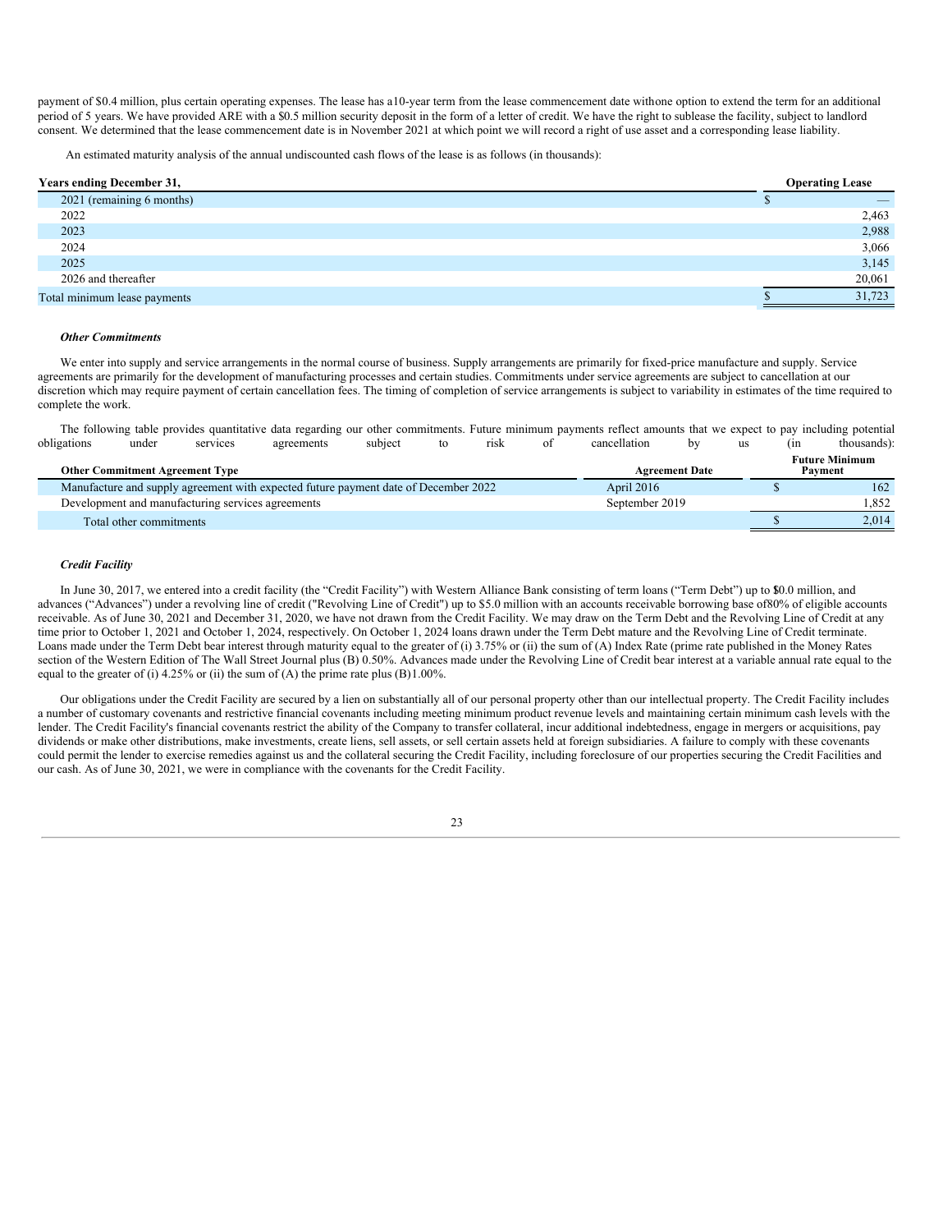payment of \$0.4 million, plus certain operating expenses. The lease has a10-year term from the lease commencement date withone option to extend the term for an additional period of 5 years. We have provided ARE with a \$0.5 million security deposit in the form of a letter of credit. We have the right to sublease the facility, subject to landlord consent. We determined that the lease commencement date is in November 2021 at which point we will record a right of use asset and a corresponding lease liability.

An estimated maturity analysis of the annual undiscounted cash flows of the lease is as follows (in thousands):

| <b>Years ending December 31,</b> |  |        |  |
|----------------------------------|--|--------|--|
| 2021 (remaining 6 months)        |  |        |  |
| 2022                             |  | 2,463  |  |
| 2023                             |  | 2,988  |  |
| 2024                             |  | 3,066  |  |
| 2025                             |  | 3,145  |  |
| 2026 and thereafter              |  | 20,061 |  |
| Total minimum lease payments     |  | 31,723 |  |

### *Other Commitments*

We enter into supply and service arrangements in the normal course of business. Supply arrangements are primarily for fixed-price manufacture and supply. Service agreements are primarily for the development of manufacturing processes and certain studies. Commitments under service agreements are subject to cancellation at our discretion which may require payment of certain cancellation fees. The timing of completion of service arrangements is subject to variability in estimates of the time required to complete the work.

The following table provides quantitative data regarding our other commitments. Future minimum payments reflect amounts that we expect to pay including potential obligations under services agreements subject to risk of cancellation by us (in thousands):

| <b>Other Commitment Agreement Type</b>                                              | <b>Agreement Date</b> | <b>Future Minimum</b><br>Payment |
|-------------------------------------------------------------------------------------|-----------------------|----------------------------------|
| Manufacture and supply agreement with expected future payment date of December 2022 | April 2016            | 162                              |
| Development and manufacturing services agreements                                   | September 2019        | .852                             |
| Total other commitments                                                             |                       | 2.014                            |

### *Credit Facility*

In June 30, 2017, we entered into a credit facility (the "Credit Facility") with Western Alliance Bank consisting of term loans ("Term Debt") up to 1\$0.0 million, and advances ("Advances") under a revolving line of credit ("Revolving Line of Credit") up to \$5.0 million with an accounts receivable borrowing base of80% of eligible accounts receivable. As of June 30, 2021 and December 31, 2020, we have not drawn from the Credit Facility. We may draw on the Term Debt and the Revolving Line of Credit at any time prior to October 1, 2021 and October 1, 2024, respectively. On October 1, 2024 loans drawn under the Term Debt mature and the Revolving Line of Credit terminate. Loans made under the Term Debt bear interest through maturity equal to the greater of (i) 3.75% or (ii) the sum of (A) Index Rate (prime rate published in the Money Rates section of the Western Edition of The Wall Street Journal plus (B) 0.50%. Advances made under the Revolving Line of Credit bear interest at a variable annual rate equal to the equal to the greater of (i)  $4.25\%$  or (ii) the sum of (A) the prime rate plus (B)1.00%.

Our obligations under the Credit Facility are secured by a lien on substantially all of our personal property other than our intellectual property. The Credit Facility includes a number of customary covenants and restrictive financial covenants including meeting minimum product revenue levels and maintaining certain minimum cash levels with the lender. The Credit Facility's financial covenants restrict the ability of the Company to transfer collateral, incur additional indebtedness, engage in mergers or acquisitions, pay dividends or make other distributions, make investments, create liens, sell assets, or sell certain assets held at foreign subsidiaries. A failure to comply with these covenants could permit the lender to exercise remedies against us and the collateral securing the Credit Facility, including foreclosure of our properties securing the Credit Facilities and our cash. As of June 30, 2021, we were in compliance with the covenants for the Credit Facility.

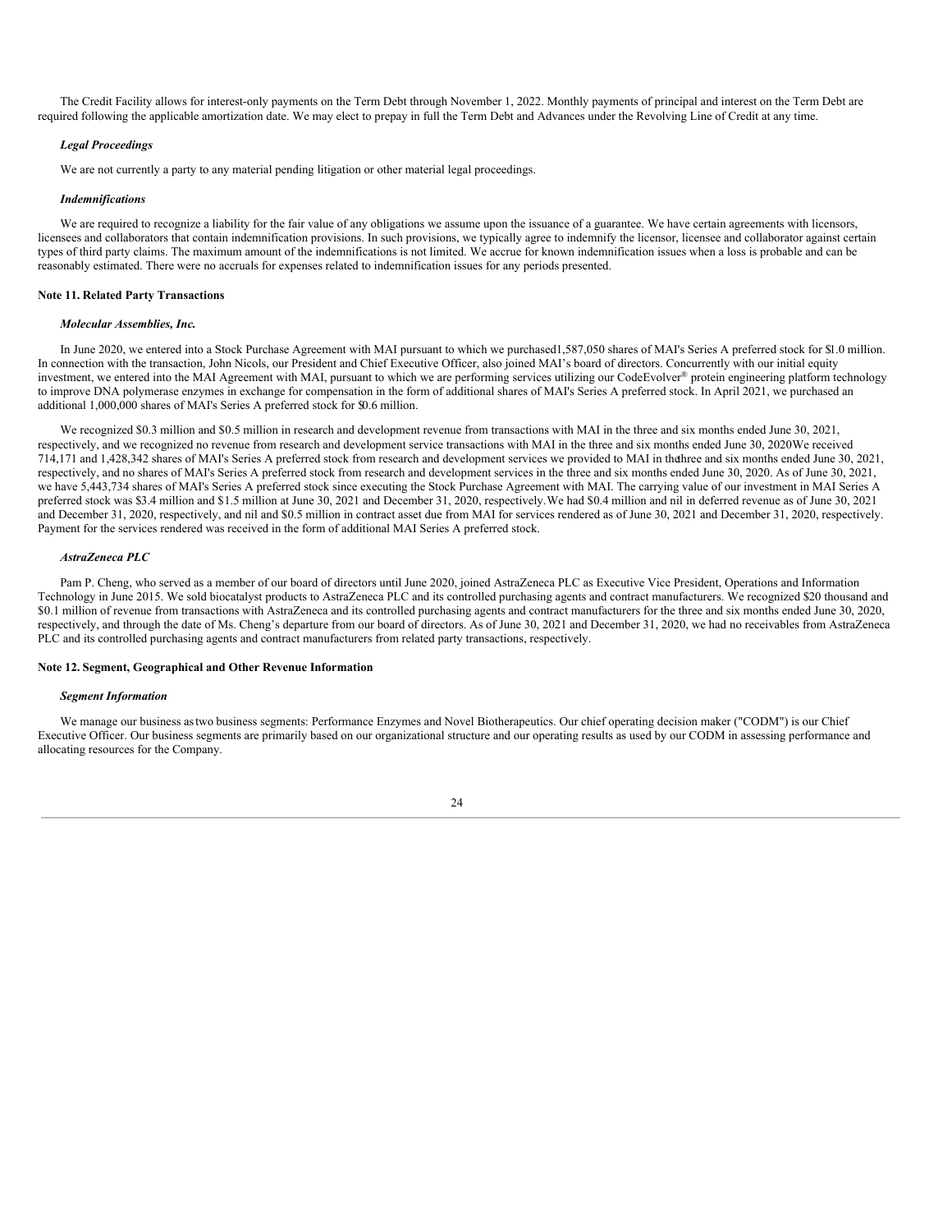The Credit Facility allows for interest-only payments on the Term Debt through November 1, 2022. Monthly payments of principal and interest on the Term Debt are required following the applicable amortization date. We may elect to prepay in full the Term Debt and Advances under the Revolving Line of Credit at any time.

#### *Legal Proceedings*

We are not currently a party to any material pending litigation or other material legal proceedings.

#### *Indemnifications*

We are required to recognize a liability for the fair value of any obligations we assume upon the issuance of a guarantee. We have certain agreements with licensors, licensees and collaborators that contain indemnification provisions. In such provisions, we typically agree to indemnify the licensor, licensee and collaborator against certain types of third party claims. The maximum amount of the indemnifications is not limited. We accrue for known indemnification issues when a loss is probable and can be reasonably estimated. There were no accruals for expenses related to indemnification issues for any periods presented.

#### **Note 11. Related Party Transactions**

## *Molecular Assemblies, Inc.*

In June 2020, we entered into a Stock Purchase Agreement with MAI pursuant to which we purchased1,587,050 shares of MAI's Series A preferred stock for \$1.0 million. In connection with the transaction, John Nicols, our President and Chief Executive Officer, also joined MAI's board of directors. Concurrently with our initial equity investment, we entered into the MAI Agreement with MAI, pursuant to which we are performing services utilizing our CodeEvolver® protein engineering platform technology to improve DNA polymerase enzymes in exchange for compensation in the form of additional shares of MAI's Series A preferred stock. In April 2021, we purchased an additional 1,000,000 shares of MAI's Series A preferred stock for \$0.6 million.

We recognized \$0.3 million and \$0.5 million in research and development revenue from transactions with MAI in the three and six months ended June 30, 2021, respectively, and we recognized no revenue from research and development service transactions with MAI in the three and six months ended June 30, 2020.We received 714,171 and 1,428,342 shares of MAI's Series A preferred stock from research and development services we provided to MAI in thethree and six months ended June 30, 2021, respectively, and no shares of MAI's Series A preferred stock from research and development services in the three and six months ended June 30, 2020. As of June 30, 2021, we have 5,443,734 shares of MAI's Series A preferred stock since executing the Stock Purchase Agreement with MAI. The carrying value of our investment in MAI Series A preferred stock was \$3.4 million and \$1.5 million at June 30, 2021 and December 31, 2020, respectively.We had \$0.4 million and nil in deferred revenue as of June 30, 2021 and December 31, 2020, respectively, and nil and \$0.5 million in contract asset due from MAI for services rendered as of June 30, 2021 and December 31, 2020, respectively. Payment for the services rendered was received in the form of additional MAI Series A preferred stock.

#### *AstraZeneca PLC*

Pam P. Cheng, who served as a member of our board of directors until June 2020, joined AstraZeneca PLC as Executive Vice President, Operations and Information Technology in June 2015. We sold biocatalyst products to AstraZeneca PLC and its controlled purchasing agents and contract manufacturers. We recognized \$20 thousand and \$0.1 million of revenue from transactions with AstraZeneca and its controlled purchasing agents and contract manufacturers for the three and six months ended June 30, 2020, respectively, and through the date of Ms. Cheng's departure from our board of directors. As of June 30, 2021 and December 31, 2020, we had no receivables from AstraZeneca PLC and its controlled purchasing agents and contract manufacturers from related party transactions, respectively.

### **Note 12. Segment, Geographical and Other Revenue Information**

#### *Segment Information*

We manage our business astwo business segments: Performance Enzymes and Novel Biotherapeutics. Our chief operating decision maker ("CODM") is our Chief Executive Officer. Our business segments are primarily based on our organizational structure and our operating results as used by our CODM in assessing performance and allocating resources for the Company.

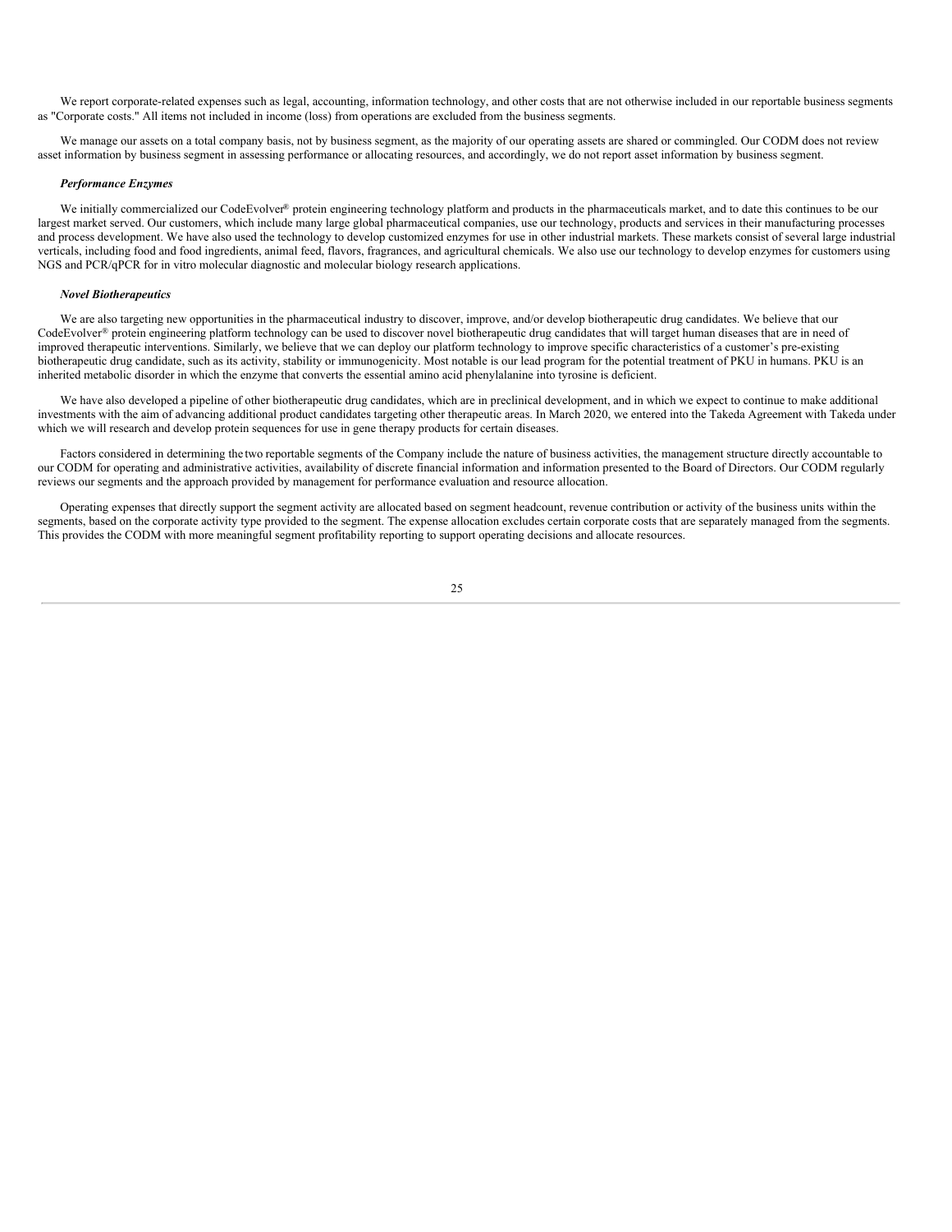We report corporate-related expenses such as legal, accounting, information technology, and other costs that are not otherwise included in our reportable business segments as "Corporate costs." All items not included in income (loss) from operations are excluded from the business segments.

We manage our assets on a total company basis, not by business segment, as the majority of our operating assets are shared or commingled. Our CODM does not review asset information by business segment in assessing performance or allocating resources, and accordingly, we do not report asset information by business segment.

### *Performance Enzymes*

We initially commercialized our CodeEvolver® protein engineering technology platform and products in the pharmaceuticals market, and to date this continues to be our largest market served. Our customers, which include many large global pharmaceutical companies, use our technology, products and services in their manufacturing processes and process development. We have also used the technology to develop customized enzymes for use in other industrial markets. These markets consist of several large industrial verticals, including food and food ingredients, animal feed, flavors, fragrances, and agricultural chemicals. We also use our technology to develop enzymes for customers using NGS and PCR/qPCR for in vitro molecular diagnostic and molecular biology research applications.

### *Novel Biotherapeutics*

We are also targeting new opportunities in the pharmaceutical industry to discover, improve, and/or develop biotherapeutic drug candidates. We believe that our CodeEvolver® protein engineering platform technology can be used to discover novel biotherapeutic drug candidates that will target human diseases that are in need of improved therapeutic interventions. Similarly, we believe that we can deploy our platform technology to improve specific characteristics of a customer's pre-existing biotherapeutic drug candidate, such as its activity, stability or immunogenicity. Most notable is our lead program for the potential treatment of PKU in humans. PKU is an inherited metabolic disorder in which the enzyme that converts the essential amino acid phenylalanine into tyrosine is deficient.

We have also developed a pipeline of other biotherapeutic drug candidates, which are in preclinical development, and in which we expect to continue to make additional investments with the aim of advancing additional product candidates targeting other therapeutic areas. In March 2020, we entered into the Takeda Agreement with Takeda under which we will research and develop protein sequences for use in gene therapy products for certain diseases.

Factors considered in determining the two reportable segments of the Company include the nature of business activities, the management structure directly accountable to our CODM for operating and administrative activities, availability of discrete financial information and information presented to the Board of Directors. Our CODM regularly reviews our segments and the approach provided by management for performance evaluation and resource allocation.

Operating expenses that directly support the segment activity are allocated based on segment headcount, revenue contribution or activity of the business units within the segments, based on the corporate activity type provided to the segment. The expense allocation excludes certain corporate costs that are separately managed from the segments. This provides the CODM with more meaningful segment profitability reporting to support operating decisions and allocate resources.

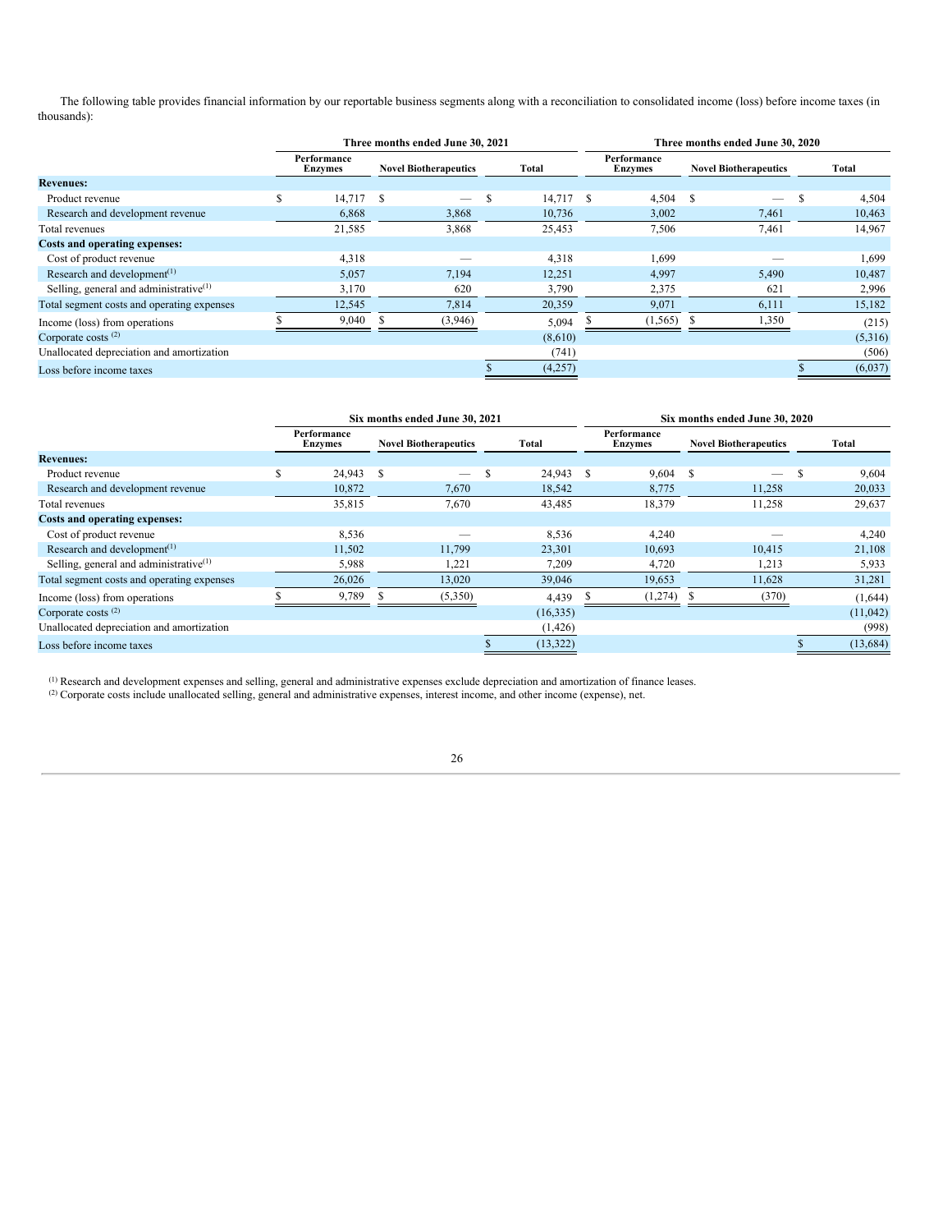The following table provides financial information by our reportable business segments along with a reconciliation to consolidated income (loss) before income taxes (in thousands):

|                                            |                        | Three months ended June 30, 2021 |                              |                          |       |           |                               | Three months ended June 30, 2020 |                                |  |         |  |  |
|--------------------------------------------|------------------------|----------------------------------|------------------------------|--------------------------|-------|-----------|-------------------------------|----------------------------------|--------------------------------|--|---------|--|--|
|                                            | Performance<br>Enzymes |                                  | <b>Novel Biotherapeutics</b> |                          | Total |           | Performance<br><b>Enzymes</b> |                                  | <b>Novel Biotherapeutics</b>   |  | Total   |  |  |
| <b>Revenues:</b>                           |                        |                                  |                              |                          |       |           |                               |                                  |                                |  |         |  |  |
| Product revenue                            | S.                     | 14,717                           | S                            | $\overline{\phantom{0}}$ |       | 14,717 \$ |                               | 4,504                            | -S<br>$\overline{\phantom{m}}$ |  | 4,504   |  |  |
| Research and development revenue           |                        | 6,868                            |                              | 3,868                    |       | 10,736    |                               | 3,002                            | 7,461                          |  | 10,463  |  |  |
| Total revenues                             |                        | 21,585                           |                              | 3,868                    |       | 25,453    |                               | 7,506                            | 7,461                          |  | 14,967  |  |  |
| Costs and operating expenses:              |                        |                                  |                              |                          |       |           |                               |                                  |                                |  |         |  |  |
| Cost of product revenue                    |                        | 4,318                            |                              |                          |       | 4,318     |                               | 1,699                            |                                |  | 1,699   |  |  |
| Research and development $(1)$             |                        | 5,057                            |                              | 7.194                    |       | 12,251    |                               | 4,997                            | 5,490                          |  | 10,487  |  |  |
| Selling, general and administrative $(1)$  |                        | 3,170                            |                              | 620                      |       | 3,790     |                               | 2,375                            | 621                            |  | 2,996   |  |  |
| Total segment costs and operating expenses |                        | 12,545                           |                              | 7,814                    |       | 20,359    |                               | 9,071                            | 6,111                          |  | 15,182  |  |  |
| Income (loss) from operations              |                        | 9,040                            |                              | (3,946)                  |       | 5,094     |                               | (1, 565)                         | 1,350                          |  | (215)   |  |  |
| Corporate costs $(2)$                      |                        |                                  |                              |                          |       | (8,610)   |                               |                                  |                                |  | (5,316) |  |  |
| Unallocated depreciation and amortization  |                        |                                  |                              |                          |       | (741)     |                               |                                  |                                |  | (506)   |  |  |
| Loss before income taxes                   |                        |                                  |                              |                          |       | (4,257)   |                               |                                  |                                |  | (6,037) |  |  |

|                                            |                               |               | Six months ended June 30, 2021 |   |           |               |                               |   | Six months ended June 30, 2020 |          |           |
|--------------------------------------------|-------------------------------|---------------|--------------------------------|---|-----------|---------------|-------------------------------|---|--------------------------------|----------|-----------|
|                                            | Performance<br><b>Enzymes</b> |               | <b>Novel Biotherapeutics</b>   |   | Total     |               | Performance<br><b>Enzymes</b> |   | <b>Novel Biotherapeutics</b>   |          | Total     |
| <b>Revenues:</b>                           |                               |               |                                |   |           |               |                               |   |                                |          |           |
| Product revenue                            | \$<br>24,943                  | <sup>\$</sup> |                                | S | 24,943    | <sup>\$</sup> | 9,604                         | S | $\overline{\phantom{a}}$       | <b>S</b> | 9,604     |
| Research and development revenue           | 10,872                        |               | 7,670                          |   | 18,542    |               | 8,775                         |   | 11,258                         |          | 20,033    |
| Total revenues                             | 35,815                        |               | 7,670                          |   | 43,485    |               | 18,379                        |   | 11,258                         |          | 29,637    |
| <b>Costs and operating expenses:</b>       |                               |               |                                |   |           |               |                               |   |                                |          |           |
| Cost of product revenue                    | 8,536                         |               |                                |   | 8,536     |               | 4,240                         |   |                                |          | 4,240     |
| Research and development $(1)$             | 11,502                        |               | 11,799                         |   | 23,301    |               | 10,693                        |   | 10,415                         |          | 21,108    |
| Selling, general and administrative $(1)$  | 5,988                         |               | 1,221                          |   | 7,209     |               | 4,720                         |   | 1,213                          |          | 5,933     |
| Total segment costs and operating expenses | 26,026                        |               | 13,020                         |   | 39,046    |               | 19,653                        |   | 11,628                         |          | 31,281    |
| Income (loss) from operations              | 9,789                         |               | (5,350)                        |   | 4,439     |               | (1,274)                       |   | (370)                          |          | (1,644)   |
| Corporate costs $(2)$                      |                               |               |                                |   | (16, 335) |               |                               |   |                                |          | (11,042)  |
| Unallocated depreciation and amortization  |                               |               |                                |   | (1,426)   |               |                               |   |                                |          | (998)     |
| Loss before income taxes                   |                               |               |                                |   | (13, 322) |               |                               |   |                                |          | (13, 684) |

Research and development expenses and selling, general and administrative expenses exclude depreciation and amortization of finance leases. (1)

Corporate costs include unallocated selling, general and administrative expenses, interest income, and other income (expense), net. (2)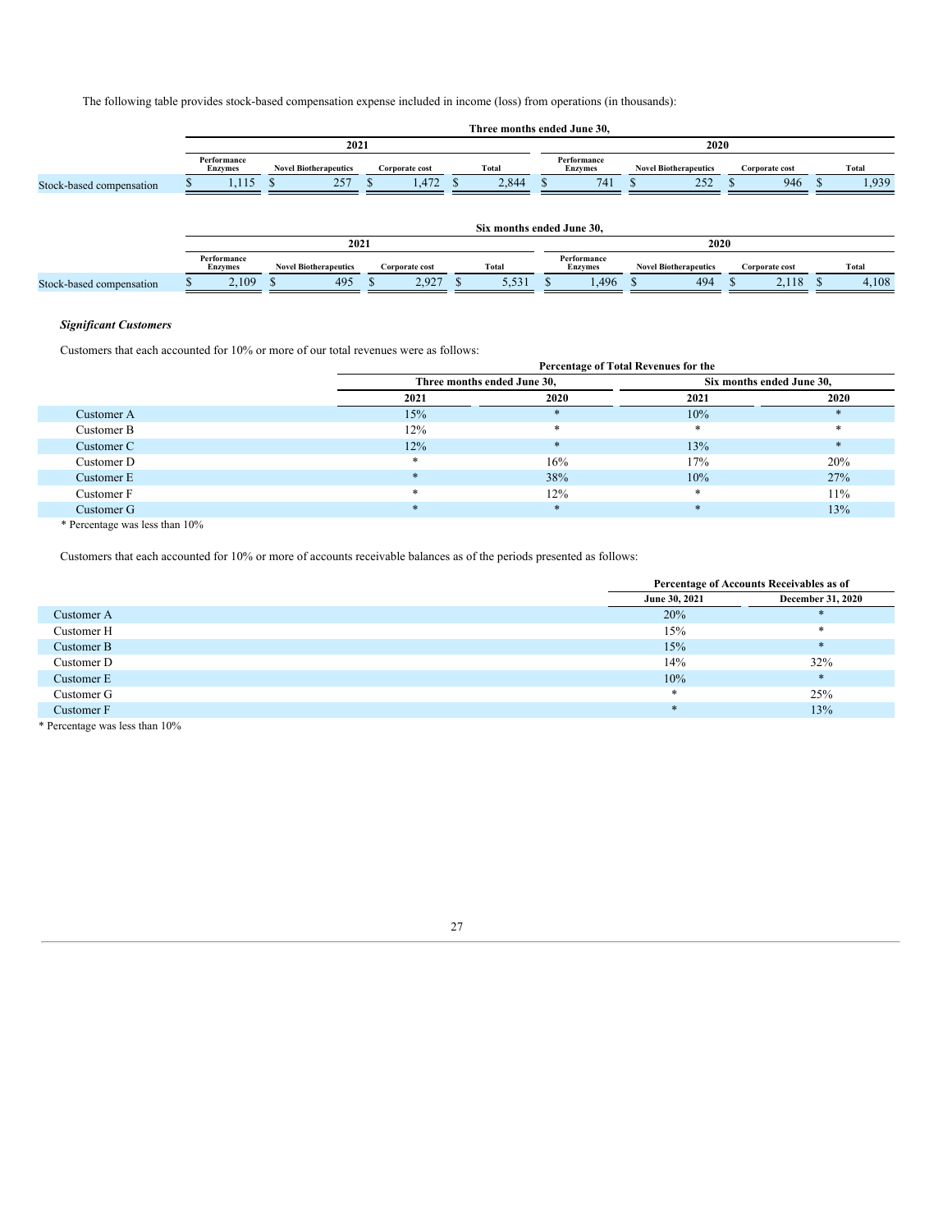The following table provides stock-based compensation expense included in income (loss) from operations (in thousands):

|                          | Three months ended June 30,                                                     |                               |  |                                                |  |       |  |                               |      |                               |                              |                |  |                |  |       |
|--------------------------|---------------------------------------------------------------------------------|-------------------------------|--|------------------------------------------------|--|-------|--|-------------------------------|------|-------------------------------|------------------------------|----------------|--|----------------|--|-------|
|                          |                                                                                 |                               |  | 2021                                           |  |       |  |                               | 2020 |                               |                              |                |  |                |  |       |
|                          |                                                                                 | Performance<br><b>Enzymes</b> |  | <b>Novel Biotherapeutics</b><br>Corporate cost |  |       |  | Total                         |      | Performance<br><b>Enzymes</b> | <b>Novel Biotherapeutics</b> |                |  | Corporate cost |  | Total |
| Stock-based compensation |                                                                                 | 1,115                         |  | 257                                            |  | l.472 |  | 2.844                         |      | 741                           |                              | 252            |  | 946            |  | 1,939 |
|                          | Six months ended June 30,                                                       |                               |  |                                                |  |       |  |                               |      |                               |                              |                |  |                |  |       |
|                          |                                                                                 |                               |  | 2021                                           |  |       |  |                               |      |                               |                              | 2020           |  |                |  |       |
|                          | Performance<br><b>Novel Biotherapeutics</b><br><b>Enzymes</b><br>Corporate cost |                               |  |                                                |  | Total |  | Performance<br><b>Enzymes</b> |      | <b>Novel Biotherapeutics</b>  |                              | Corporate cost |  | Total          |  |       |
| Stock-based compensation |                                                                                 | 2.109                         |  | 495                                            |  | 2.927 |  | 5,531                         |      | 1,496                         |                              | 494            |  | 2.118          |  | 4,108 |

# *Significant Customers*

Customers that each accounted for 10% or more of our total revenues were as follows:

|            |                             | Percentage of Total Revenues for the |                           |      |  |  |  |  |  |  |  |  |
|------------|-----------------------------|--------------------------------------|---------------------------|------|--|--|--|--|--|--|--|--|
|            | Three months ended June 30, |                                      | Six months ended June 30, |      |  |  |  |  |  |  |  |  |
|            | 2021                        | 2020                                 | 2021                      | 2020 |  |  |  |  |  |  |  |  |
| Customer A | 15%                         |                                      | 10%                       |      |  |  |  |  |  |  |  |  |
| Customer B | 12%                         | $\ast$                               | *                         |      |  |  |  |  |  |  |  |  |
| Customer C | 12%                         | $\ast$                               | 13%                       |      |  |  |  |  |  |  |  |  |
| Customer D | $\ast$                      | 16%                                  | 17%                       | 20%  |  |  |  |  |  |  |  |  |
| Customer E | $*$                         | 38%                                  | 10%                       | 27%  |  |  |  |  |  |  |  |  |
| Customer F | *                           | 12%                                  | *                         | 11%  |  |  |  |  |  |  |  |  |
| Customer G |                             |                                      | $\ast$                    | 13%  |  |  |  |  |  |  |  |  |

\* Percentage was less than 10%

Customers that each accounted for 10% or more of accounts receivable balances as of the periods presented as follows:

|            |               | Percentage of Accounts Receivables as of |
|------------|---------------|------------------------------------------|
|            | June 30, 2021 | <b>December 31, 2020</b>                 |
| Customer A | 20%           |                                          |
| Customer H | 15%           | *                                        |
| Customer B | 15%           | *                                        |
| Customer D | 14%           | 32%                                      |
| Customer E | 10%           | $\ast$                                   |
| Customer G | $\ast$        | 25%                                      |
| Customer F | $\ast$        | 13%                                      |
|            |               |                                          |

\* Percentage was less than 10%

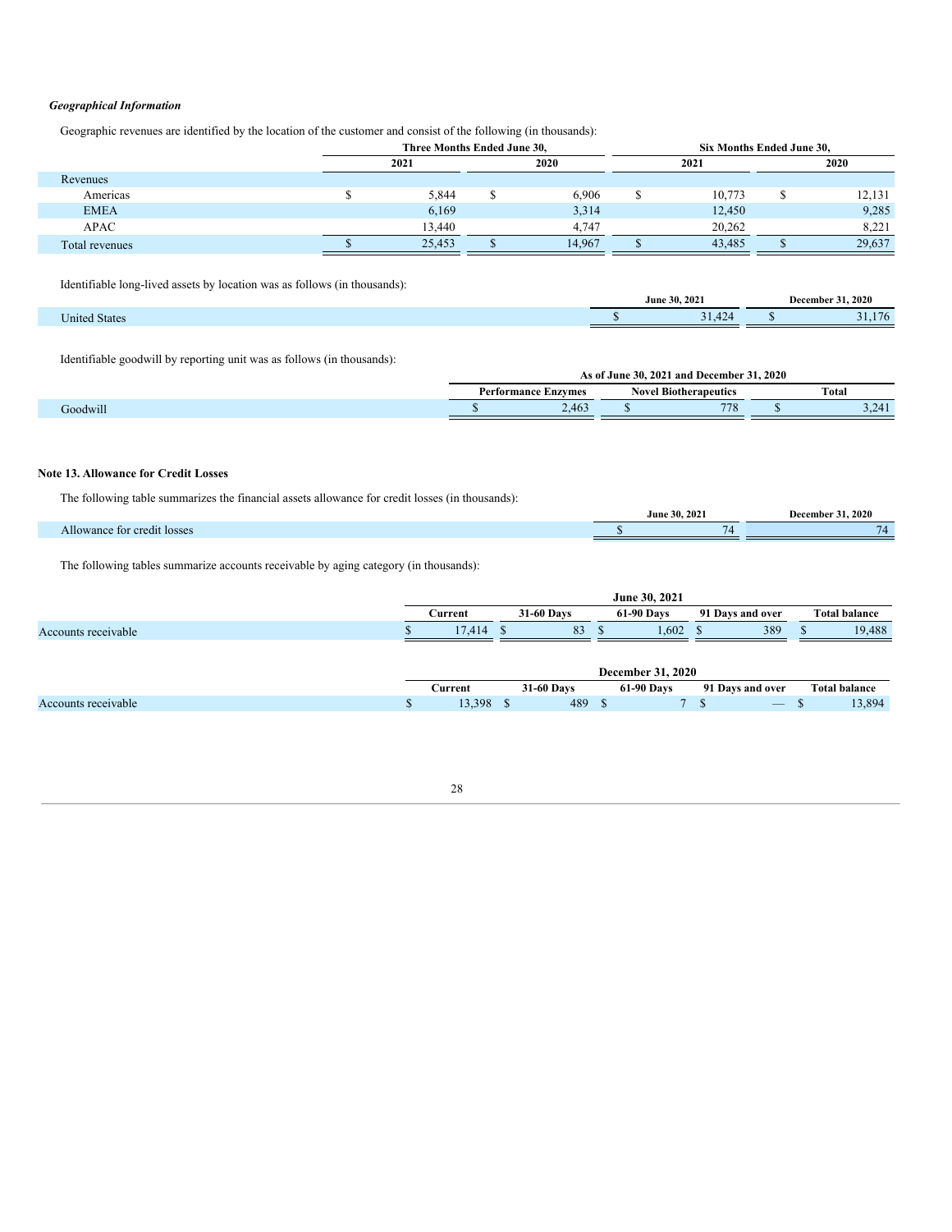# *Geographical Information*

Geographic revenues are identified by the location of the customer and consist of the following (in thousands):

|                | Three Months Ended June 30. |        | Six Months Ended June 30, |        |  |        |  |
|----------------|-----------------------------|--------|---------------------------|--------|--|--------|--|
|                | 2021                        | 2020   |                           | 2021   |  | 2020   |  |
| Revenues       |                             |        |                           |        |  |        |  |
| Americas       | 5,844                       | 6.906  |                           | 10,773 |  | 12,131 |  |
| <b>EMEA</b>    | 6,169                       | 3,314  |                           | 12,450 |  | 9,285  |  |
| <b>APAC</b>    | 13.440                      | 4.747  |                           | 20.262 |  | 8,221  |  |
| Total revenues | 25.453                      | 14.967 |                           | 43,485 |  | 29,637 |  |

Identifiable long-lived assets by location was as follows (in thousands):

|                      | June 30, 2021 | \$1, 2020<br>December |                        |  |
|----------------------|---------------|-----------------------|------------------------|--|
| <b>United States</b> | ---           |                       | $\sim$ $\sim$<br>$\mu$ |  |

Identifiable goodwill by reporting unit was as follows (in thousands):

|                |             |         | As of June 30, 2021 | <b>l</b> and December :      | r 31. 2020 |                |
|----------------|-------------|---------|---------------------|------------------------------|------------|----------------|
|                | Performance | Enzymes |                     | <b>Novel Biotherapeutics</b> |            | Total          |
| $-1$<br>ndwill |             | 2,463   |                     | 770<br>110                   |            | 2.0.11<br>3.Z4 |

# **Note 13. Allowance for Credit Losses**

The following table summarizes the financial assets allowance for credit losses (in thousands):

|                                    | June 30, 2021 | . 2020<br>December |
|------------------------------------|---------------|--------------------|
| t losses<br>llowance for<br>credit |               |                    |
|                                    |               |                    |

The following tables summarize accounts receivable by aging category (in thousands):

|                     | June 30, 2021 |                   |            |                   |                          |                  |                  |                      |                      |  |
|---------------------|---------------|-------------------|------------|-------------------|--------------------------|------------------|------------------|----------------------|----------------------|--|
|                     | Current       | <b>31-60 Days</b> |            | <b>61-90 Days</b> |                          | 91 Days and over |                  | <b>Total balance</b> |                      |  |
| Accounts receivable | 17.414        |                   | 83         |                   | 1.602                    |                  | 389              |                      | 19.488               |  |
|                     |               |                   |            |                   |                          |                  |                  |                      |                      |  |
|                     |               |                   |            |                   | <b>December 31, 2020</b> |                  |                  |                      |                      |  |
|                     | Current       |                   | 31-60 Days |                   | 61-90 Days               |                  | 91 Days and over |                      | <b>Total balance</b> |  |

<span id="page-27-0"></span>Accounts receivable <br>  $\text{S}$  13,398 \$ 489 \$ 7 \$  $\text{S}$  13,894

| I<br>w<br>۹ |
|-------------|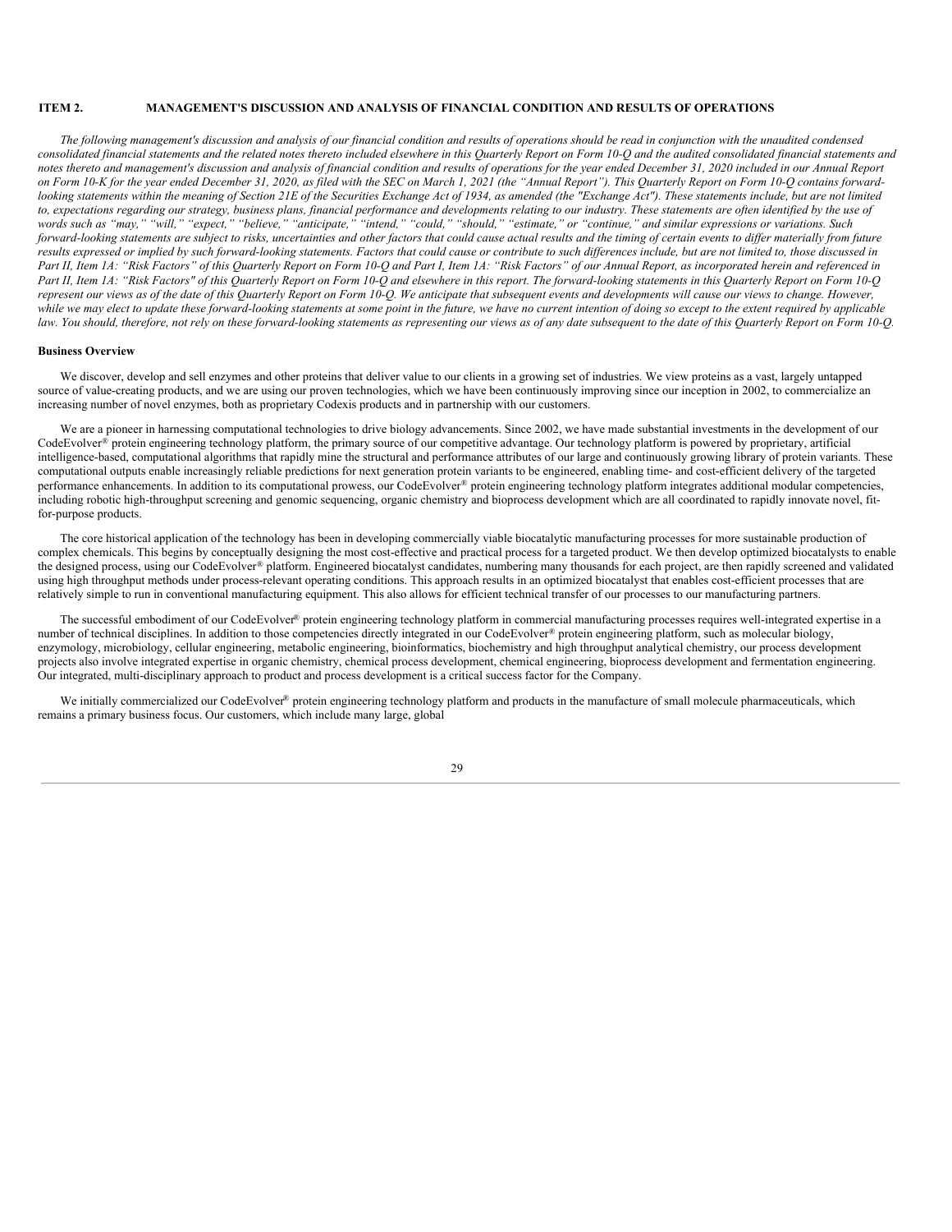# **ITEM 2. MANAGEMENT'S DISCUSSION AND ANALYSIS OF FINANCIAL CONDITION AND RESULTS OF OPERATIONS**

The following management's discussion and analysis of our financial condition and results of operations should be read in conjunction with the unaudited condensed consolidated financial statements and the related notes thereto included elsewhere in this Quarterly Report on Form 10-Q and the audited consolidated financial statements and notes thereto and management's discussion and analysis of financial condition and results of operations for the year ended December 31, 2020 included in our Annual Report on Form 10-K for the year ended December 31, 2020, as filed with the SEC on March 1, 2021 (the "Annual Report"). This Quarterly Report on Form 10-Q contains forwardlooking statements within the meaning of Section 21E of the Securities Exchange Act of 1934, as amended (the "Exchange Act"). These statements include, but are not limited to, expectations regarding our strategy, business plans, financial performance and developments relating to our industry. These statements are often identified by the use of words such as "may," "will," "expect," "believe," "anticipate," "intend," "could," "should," "estimate," or "continue," and similar expressions or variations. Such forward-looking statements are subject to risks, uncertainties and other factors that could cause actual results and the timing of certain events to differ materially from future results expressed or implied by such forward-looking statements. Factors that could cause or contribute to such differences include, but are not limited to, those discussed in Part II, Item 1A: "Risk Factors" of this Quarterly Report on Form 10-Q and Part I, Item 1A: "Risk Factors" of our Annual Report, as incorporated herein and referenced in Part II, Item 1A: "Risk Factors" of this Quarterly Report on Form 10-Q and elsewhere in this report. The forward-looking statements in this Quarterly Report on Form 10-Q represent our views as of the date of this Quarterly Report on Form 10-Q. We anticipate that subsequent events and developments will cause our views to change. However, while we may elect to update these forward-looking statements at some point in the future, we have no current intention of doing so except to the extent required by applicable law. You should, therefore, not rely on these forward-looking statements as representing our views as of any date subsequent to the date of this Quarterly Report on Form 10-Q.

# **Business Overview**

We discover, develop and sell enzymes and other proteins that deliver value to our clients in a growing set of industries. We view proteins as a vast, largely untapped source of value-creating products, and we are using our proven technologies, which we have been continuously improving since our inception in 2002, to commercialize an increasing number of novel enzymes, both as proprietary Codexis products and in partnership with our customers.

We are a pioneer in harnessing computational technologies to drive biology advancements. Since 2002, we have made substantial investments in the development of our CodeEvolver® protein engineering technology platform, the primary source of our competitive advantage. Our technology platform is powered by proprietary, artificial intelligence-based, computational algorithms that rapidly mine the structural and performance attributes of our large and continuously growing library of protein variants. These computational outputs enable increasingly reliable predictions for next generation protein variants to be engineered, enabling time- and cost-efficient delivery of the targeted performance enhancements. In addition to its computational prowess, our CodeEvolver® protein engineering technology platform integrates additional modular competencies, including robotic high-throughput screening and genomic sequencing, organic chemistry and bioprocess development which are all coordinated to rapidly innovate novel, fitfor-purpose products.

The core historical application of the technology has been in developing commercially viable biocatalytic manufacturing processes for more sustainable production of complex chemicals. This begins by conceptually designing the most cost-effective and practical process for a targeted product. We then develop optimized biocatalysts to enable the designed process, using our CodeEvolver® platform. Engineered biocatalyst candidates, numbering many thousands for each project, are then rapidly screened and validated using high throughput methods under process-relevant operating conditions. This approach results in an optimized biocatalyst that enables cost-efficient processes that are relatively simple to run in conventional manufacturing equipment. This also allows for efficient technical transfer of our processes to our manufacturing partners.

The successful embodiment of our CodeEvolver® protein engineering technology platform in commercial manufacturing processes requires well-integrated expertise in a number of technical disciplines. In addition to those competencies directly integrated in our CodeEvolver® protein engineering platform, such as molecular biology, enzymology, microbiology, cellular engineering, metabolic engineering, bioinformatics, biochemistry and high throughput analytical chemistry, our process development projects also involve integrated expertise in organic chemistry, chemical process development, chemical engineering, bioprocess development and fermentation engineering. Our integrated, multi-disciplinary approach to product and process development is a critical success factor for the Company.

We initially commercialized our CodeEvolver® protein engineering technology platform and products in the manufacture of small molecule pharmaceuticals, which remains a primary business focus. Our customers, which include many large, global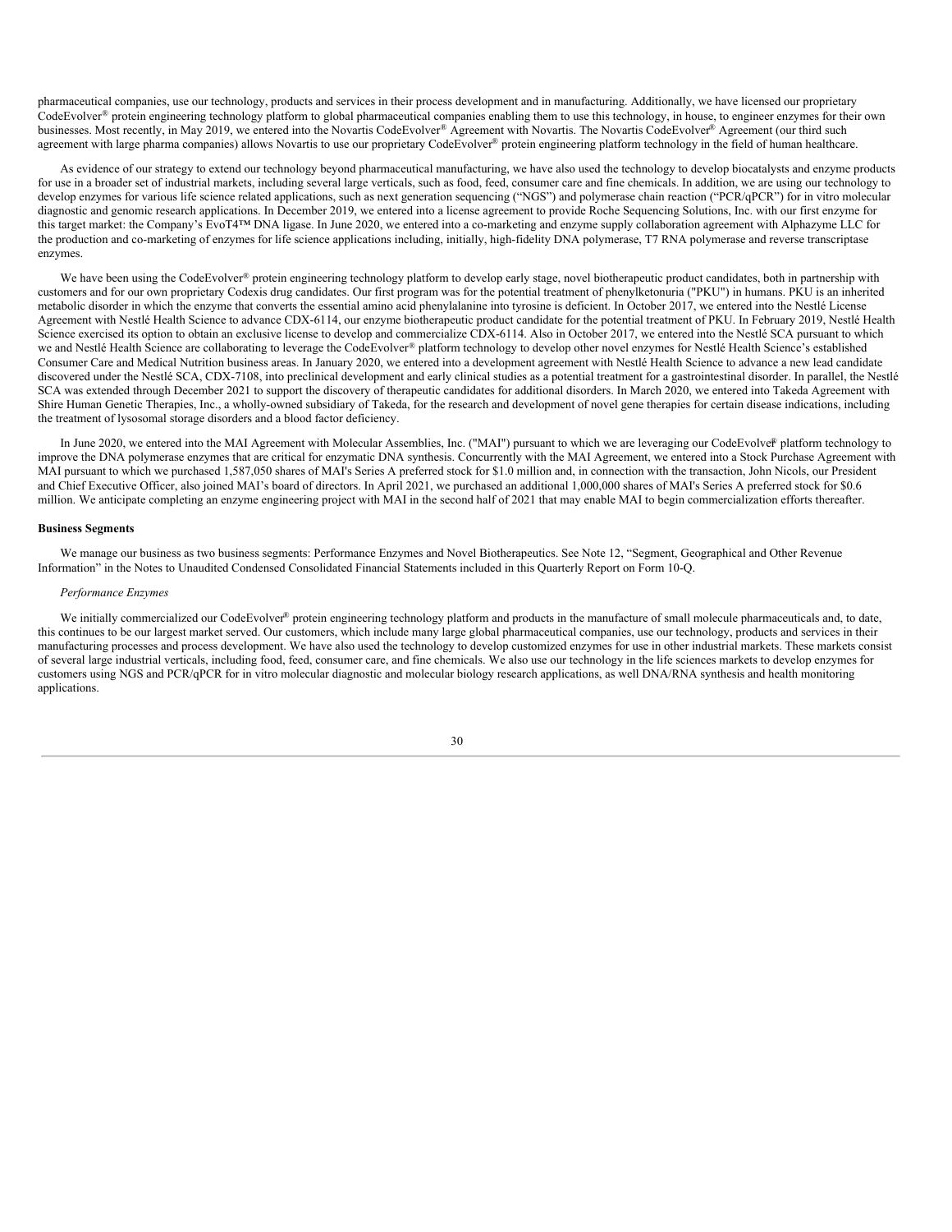pharmaceutical companies, use our technology, products and services in their process development and in manufacturing. Additionally, we have licensed our proprietary CodeEvolver<sup>®</sup> protein engineering technology platform to global pharmaceutical companies enabling them to use this technology, in house, to engineer enzymes for their own businesses. Most recently, in May 2019, we entered into the Novartis CodeEvolver® Agreement with Novartis. The Novartis CodeEvolver® Agreement (our third such agreement with large pharma companies) allows Novartis to use our proprietary CodeEvolver® protein engineering platform technology in the field of human healthcare.

As evidence of our strategy to extend our technology beyond pharmaceutical manufacturing, we have also used the technology to develop biocatalysts and enzyme products for use in a broader set of industrial markets, including several large verticals, such as food, feed, consumer care and fine chemicals. In addition, we are using our technology to develop enzymes for various life science related applications, such as next generation sequencing ("NGS") and polymerase chain reaction ("PCR/qPCR") for in vitro molecular diagnostic and genomic research applications. In December 2019, we entered into a license agreement to provide Roche Sequencing Solutions, Inc. with our first enzyme for this target market: the Company's EvoT4™ DNA ligase. In June 2020, we entered into a co-marketing and enzyme supply collaboration agreement with Alphazyme LLC for the production and co-marketing of enzymes for life science applications including, initially, high-fidelity DNA polymerase, T7 RNA polymerase and reverse transcriptase enzymes.

We have been using the CodeEvolver® protein engineering technology platform to develop early stage, novel biotherapeutic product candidates, both in partnership with customers and for our own proprietary Codexis drug candidates. Our first program was for the potential treatment of phenylketonuria ("PKU") in humans. PKU is an inherited metabolic disorder in which the enzyme that converts the essential amino acid phenylalanine into tyrosine is deficient. In October 2017, we entered into the Nestlé License Agreement with Nestlé Health Science to advance CDX-6114, our enzyme biotherapeutic product candidate for the potential treatment of PKU. In February 2019, Nestlé Health Science exercised its option to obtain an exclusive license to develop and commercialize CDX-6114. Also in October 2017, we entered into the Nestlé SCA pursuant to which we and Nestlé Health Science are collaborating to leverage the CodeEvolver® platform technology to develop other novel enzymes for Nestlé Health Science's established Consumer Care and Medical Nutrition business areas. In January 2020, we entered into a development agreement with Nestlé Health Science to advance a new lead candidate discovered under the Nestlé SCA, CDX-7108, into preclinical development and early clinical studies as a potential treatment for a gastrointestinal disorder. In parallel, the Nestlé SCA was extended through December 2021 to support the discovery of therapeutic candidates for additional disorders. In March 2020, we entered into Takeda Agreement with Shire Human Genetic Therapies, Inc., a wholly-owned subsidiary of Takeda, for the research and development of novel gene therapies for certain disease indications, including the treatment of lysosomal storage disorders and a blood factor deficiency.

In June 2020, we entered into the MAI Agreement with Molecular Assemblies, Inc. ("MAI") pursuant to which we are leveraging our CodeEvolver platform technology to improve the DNA polymerase enzymes that are critical for enzymatic DNA synthesis. Concurrently with the MAI Agreement, we entered into a Stock Purchase Agreement with MAI pursuant to which we purchased 1,587,050 shares of MAI's Series A preferred stock for \$1.0 million and, in connection with the transaction, John Nicols, our President and Chief Executive Officer, also joined MAI's board of directors. In April 2021, we purchased an additional 1,000,000 shares of MAI's Series A preferred stock for \$0.6 million. We anticipate completing an enzyme engineering project with MAI in the second half of 2021 that may enable MAI to begin commercialization efforts thereafter.

# **Business Segments**

We manage our business as two business segments: Performance Enzymes and Novel Biotherapeutics. See Note 12, "Segment, Geographical and Other Revenue Information" in the Notes to Unaudited Condensed Consolidated Financial Statements included in this Quarterly Report on Form 10-Q.

#### *Performance Enzymes*

We initially commercialized our CodeEvolver® protein engineering technology platform and products in the manufacture of small molecule pharmaceuticals and, to date, this continues to be our largest market served. Our customers, which include many large global pharmaceutical companies, use our technology, products and services in their manufacturing processes and process development. We have also used the technology to develop customized enzymes for use in other industrial markets. These markets consist of several large industrial verticals, including food, feed, consumer care, and fine chemicals. We also use our technology in the life sciences markets to develop enzymes for customers using NGS and PCR/qPCR for in vitro molecular diagnostic and molecular biology research applications, as well DNA/RNA synthesis and health monitoring applications.

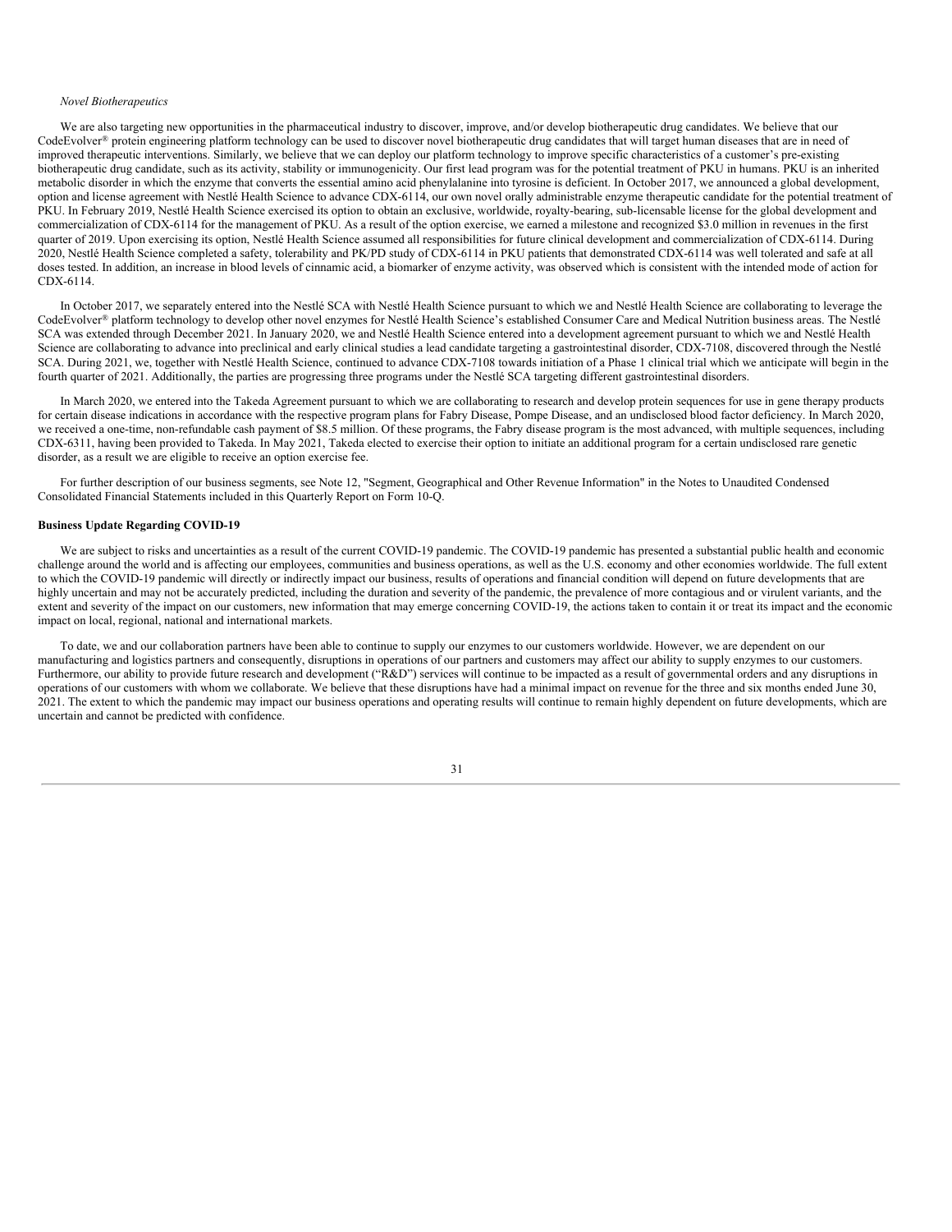# *Novel Biotherapeutics*

We are also targeting new opportunities in the pharmaceutical industry to discover, improve, and/or develop biotherapeutic drug candidates. We believe that our CodeEvolver® protein engineering platform technology can be used to discover novel biotherapeutic drug candidates that will target human diseases that are in need of improved therapeutic interventions. Similarly, we believe that we can deploy our platform technology to improve specific characteristics of a customer's pre-existing biotherapeutic drug candidate, such as its activity, stability or immunogenicity. Our first lead program was for the potential treatment of PKU in humans. PKU is an inherited metabolic disorder in which the enzyme that converts the essential amino acid phenylalanine into tyrosine is deficient. In October 2017, we announced a global development, option and license agreement with Nestlé Health Science to advance CDX-6114, our own novel orally administrable enzyme therapeutic candidate for the potential treatment of PKU. In February 2019, Nestlé Health Science exercised its option to obtain an exclusive, worldwide, royalty-bearing, sub-licensable license for the global development and commercialization of CDX-6114 for the management of PKU. As a result of the option exercise, we earned a milestone and recognized \$3.0 million in revenues in the first quarter of 2019. Upon exercising its option, Nestlé Health Science assumed all responsibilities for future clinical development and commercialization of CDX-6114. During 2020, Nestlé Health Science completed a safety, tolerability and PK/PD study of CDX-6114 in PKU patients that demonstrated CDX-6114 was well tolerated and safe at all doses tested. In addition, an increase in blood levels of cinnamic acid, a biomarker of enzyme activity, was observed which is consistent with the intended mode of action for CDX-6114.

In October 2017, we separately entered into the Nestlé SCA with Nestlé Health Science pursuant to which we and Nestlé Health Science are collaborating to leverage the CodeEvolver® platform technology to develop other novel enzymes for Nestlé Health Science's established Consumer Care and Medical Nutrition business areas. The Nestlé SCA was extended through December 2021. In January 2020, we and Nestlé Health Science entered into a development agreement pursuant to which we and Nestlé Health Science are collaborating to advance into preclinical and early clinical studies a lead candidate targeting a gastrointestinal disorder, CDX-7108, discovered through the Nestlé SCA. During 2021, we, together with Nestlé Health Science, continued to advance CDX-7108 towards initiation of a Phase 1 clinical trial which we anticipate will begin in the fourth quarter of 2021. Additionally, the parties are progressing three programs under the Nestlé SCA targeting different gastrointestinal disorders.

In March 2020, we entered into the Takeda Agreement pursuant to which we are collaborating to research and develop protein sequences for use in gene therapy products for certain disease indications in accordance with the respective program plans for Fabry Disease, Pompe Disease, and an undisclosed blood factor deficiency. In March 2020, we received a one-time, non-refundable cash payment of \$8.5 million. Of these programs, the Fabry disease program is the most advanced, with multiple sequences, including CDX-6311, having been provided to Takeda. In May 2021, Takeda elected to exercise their option to initiate an additional program for a certain undisclosed rare genetic disorder, as a result we are eligible to receive an option exercise fee.

For further description of our business segments, see Note 12, "Segment, Geographical and Other Revenue Information" in the Notes to Unaudited Condensed Consolidated Financial Statements included in this Quarterly Report on Form 10-Q.

### **Business Update Regarding COVID-19**

We are subject to risks and uncertainties as a result of the current COVID-19 pandemic. The COVID-19 pandemic has presented a substantial public health and economic challenge around the world and is affecting our employees, communities and business operations, as well as the U.S. economy and other economies worldwide. The full extent to which the COVID-19 pandemic will directly or indirectly impact our business, results of operations and financial condition will depend on future developments that are highly uncertain and may not be accurately predicted, including the duration and severity of the pandemic, the prevalence of more contagious and or virulent variants, and the extent and severity of the impact on our customers, new information that may emerge concerning COVID-19, the actions taken to contain it or treat its impact and the economic impact on local, regional, national and international markets.

To date, we and our collaboration partners have been able to continue to supply our enzymes to our customers worldwide. However, we are dependent on our manufacturing and logistics partners and consequently, disruptions in operations of our partners and customers may affect our ability to supply enzymes to our customers. Furthermore, our ability to provide future research and development ("R&D") services will continue to be impacted as a result of governmental orders and any disruptions in operations of our customers with whom we collaborate. We believe that these disruptions have had a minimal impact on revenue for the three and six months ended June 30, 2021. The extent to which the pandemic may impact our business operations and operating results will continue to remain highly dependent on future developments, which are uncertain and cannot be predicted with confidence.

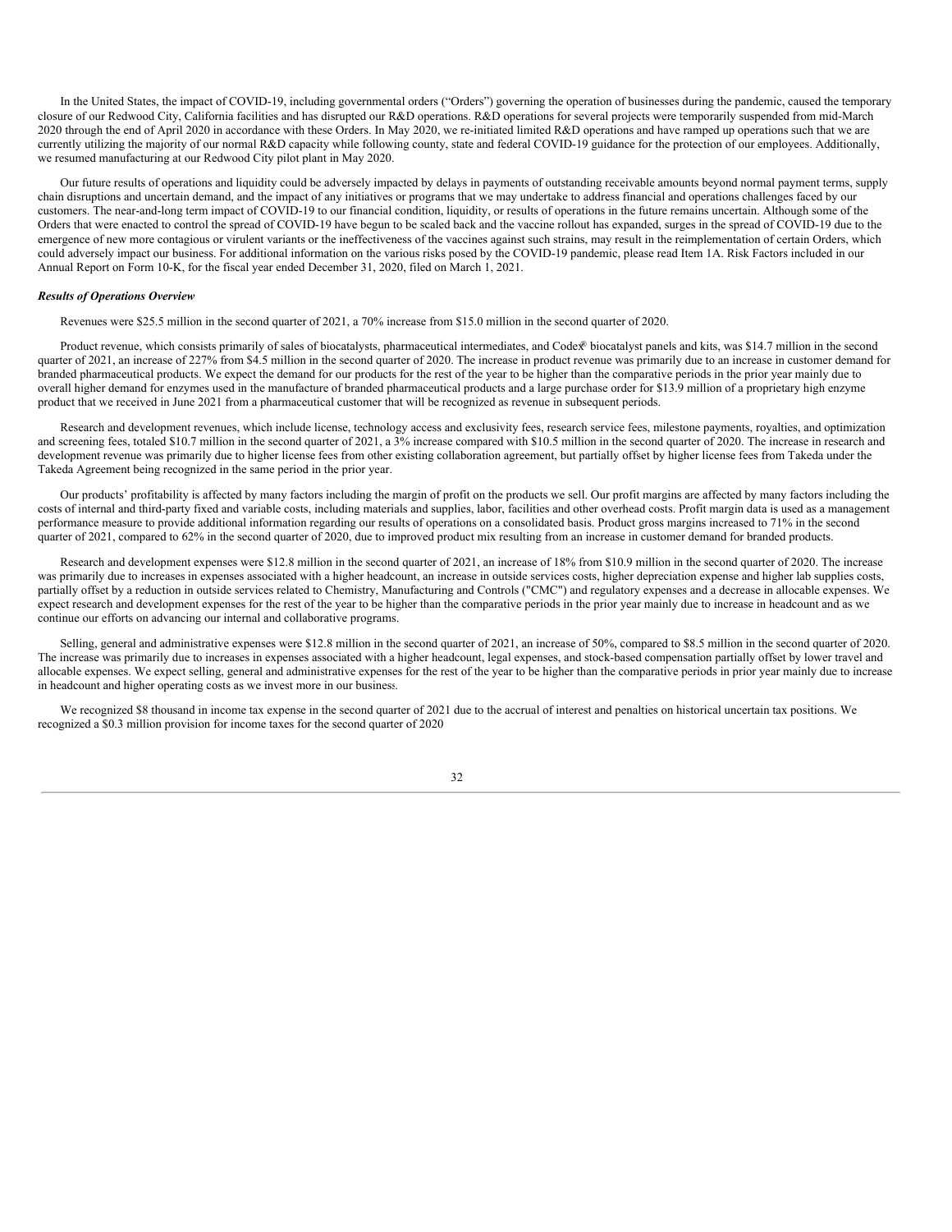In the United States, the impact of COVID-19, including governmental orders ("Orders") governing the operation of businesses during the pandemic, caused the temporary closure of our Redwood City, California facilities and has disrupted our R&D operations. R&D operations for several projects were temporarily suspended from mid-March 2020 through the end of April 2020 in accordance with these Orders. In May 2020, we re-initiated limited R&D operations and have ramped up operations such that we are currently utilizing the majority of our normal R&D capacity while following county, state and federal COVID-19 guidance for the protection of our employees. Additionally, we resumed manufacturing at our Redwood City pilot plant in May 2020.

Our future results of operations and liquidity could be adversely impacted by delays in payments of outstanding receivable amounts beyond normal payment terms, supply chain disruptions and uncertain demand, and the impact of any initiatives or programs that we may undertake to address financial and operations challenges faced by our customers. The near-and-long term impact of COVID-19 to our financial condition, liquidity, or results of operations in the future remains uncertain. Although some of the Orders that were enacted to control the spread of COVID-19 have begun to be scaled back and the vaccine rollout has expanded, surges in the spread of COVID-19 due to the emergence of new more contagious or virulent variants or the ineffectiveness of the vaccines against such strains, may result in the reimplementation of certain Orders, which could adversely impact our business. For additional information on the various risks posed by the COVID-19 pandemic, please read Item 1A. Risk Factors included in our Annual Report on Form 10-K, for the fiscal year ended December 31, 2020, filed on March 1, 2021.

#### *Results of Operations Overview*

Revenues were \$25.5 million in the second quarter of 2021, a 70% increase from \$15.0 million in the second quarter of 2020.

Product revenue, which consists primarily of sales of biocatalysts, pharmaceutical intermediates, and Codex<sup>®</sup> biocatalyst panels and kits, was \$14.7 million in the second quarter of 2021, an increase of 227% from \$4.5 million in the second quarter of 2020. The increase in product revenue was primarily due to an increase in customer demand for branded pharmaceutical products. We expect the demand for our products for the rest of the year to be higher than the comparative periods in the prior year mainly due to overall higher demand for enzymes used in the manufacture of branded pharmaceutical products and a large purchase order for \$13.9 million of a proprietary high enzyme product that we received in June 2021 from a pharmaceutical customer that will be recognized as revenue in subsequent periods.

Research and development revenues, which include license, technology access and exclusivity fees, research service fees, milestone payments, royalties, and optimization and screening fees, totaled \$10.7 million in the second quarter of 2021, a 3% increase compared with \$10.5 million in the second quarter of 2020. The increase in research and development revenue was primarily due to higher license fees from other existing collaboration agreement, but partially offset by higher license fees from Takeda under the Takeda Agreement being recognized in the same period in the prior year.

Our products' profitability is affected by many factors including the margin of profit on the products we sell. Our profit margins are affected by many factors including the costs of internal and third-party fixed and variable costs, including materials and supplies, labor, facilities and other overhead costs. Profit margin data is used as a management performance measure to provide additional information regarding our results of operations on a consolidated basis. Product gross margins increased to 71% in the second quarter of 2021, compared to 62% in the second quarter of 2020, due to improved product mix resulting from an increase in customer demand for branded products.

Research and development expenses were \$12.8 million in the second quarter of 2021, an increase of 18% from \$10.9 million in the second quarter of 2020. The increase was primarily due to increases in expenses associated with a higher headcount, an increase in outside services costs, higher depreciation expense and higher lab supplies costs, partially offset by a reduction in outside services related to Chemistry, Manufacturing and Controls ("CMC") and regulatory expenses and a decrease in allocable expenses. We expect research and development expenses for the rest of the year to be higher than the comparative periods in the prior year mainly due to increase in headcount and as we continue our efforts on advancing our internal and collaborative programs.

Selling, general and administrative expenses were \$12.8 million in the second quarter of 2021, an increase of 50%, compared to \$8.5 million in the second quarter of 2020. The increase was primarily due to increases in expenses associated with a higher headcount, legal expenses, and stock-based compensation partially offset by lower travel and allocable expenses. We expect selling, general and administrative expenses for the rest of the year to be higher than the comparative periods in prior year mainly due to increase in headcount and higher operating costs as we invest more in our business.

We recognized \$8 thousand in income tax expense in the second quarter of 2021 due to the accrual of interest and penalties on historical uncertain tax positions. We recognized a \$0.3 million provision for income taxes for the second quarter of 2020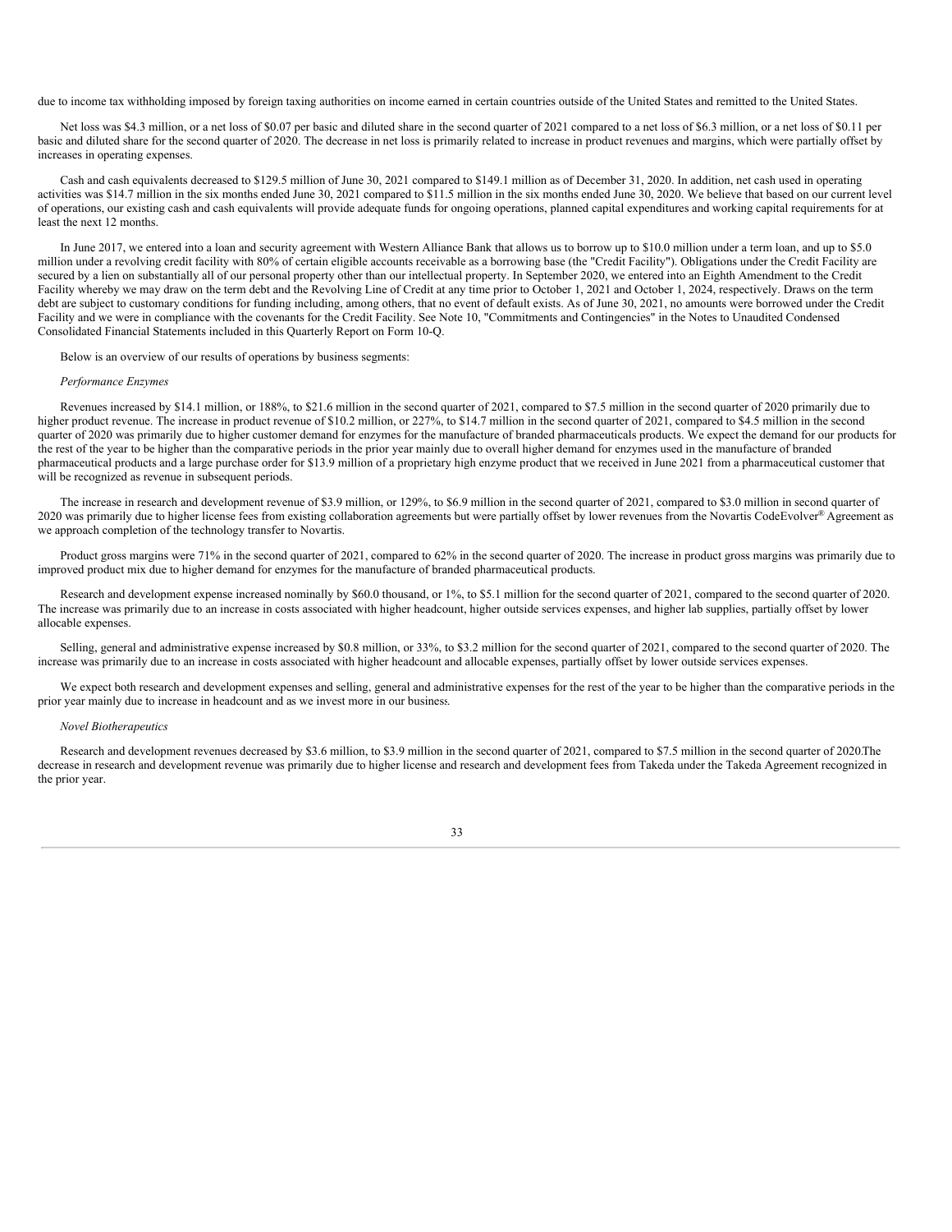due to income tax withholding imposed by foreign taxing authorities on income earned in certain countries outside of the United States and remitted to the United States.

Net loss was \$4.3 million, or a net loss of \$0.07 per basic and diluted share in the second quarter of 2021 compared to a net loss of \$6.3 million, or a net loss of \$0.11 per basic and diluted share for the second quarter of 2020. The decrease in net loss is primarily related to increase in product revenues and margins, which were partially offset by increases in operating expenses.

Cash and cash equivalents decreased to \$129.5 million of June 30, 2021 compared to \$149.1 million as of December 31, 2020. In addition, net cash used in operating activities was \$14.7 million in the six months ended June 30, 2021 compared to \$11.5 million in the six months ended June 30, 2020. We believe that based on our current level of operations, our existing cash and cash equivalents will provide adequate funds for ongoing operations, planned capital expenditures and working capital requirements for at least the next 12 months.

In June 2017, we entered into a loan and security agreement with Western Alliance Bank that allows us to borrow up to \$10.0 million under a term loan, and up to \$5.0 million under a revolving credit facility with 80% of certain eligible accounts receivable as a borrowing base (the "Credit Facility"). Obligations under the Credit Facility are secured by a lien on substantially all of our personal property other than our intellectual property. In September 2020, we entered into an Eighth Amendment to the Credit Facility whereby we may draw on the term debt and the Revolving Line of Credit at any time prior to October 1, 2021 and October 1, 2024, respectively. Draws on the term debt are subject to customary conditions for funding including, among others, that no event of default exists. As of June 30, 2021, no amounts were borrowed under the Credit Facility and we were in compliance with the covenants for the Credit Facility. See Note 10, "Commitments and Contingencies" in the Notes to Unaudited Condensed Consolidated Financial Statements included in this Quarterly Report on Form 10-Q.

Below is an overview of our results of operations by business segments:

### *Performance Enzymes*

Revenues increased by \$14.1 million, or 188%, to \$21.6 million in the second quarter of 2021, compared to \$7.5 million in the second quarter of 2020 primarily due to higher product revenue. The increase in product revenue of \$10.2 million, or 227%, to \$14.7 million in the second quarter of 2021, compared to \$4.5 million in the second quarter of 2020 was primarily due to higher customer demand for enzymes for the manufacture of branded pharmaceuticals products. We expect the demand for our products for the rest of the year to be higher than the comparative periods in the prior year mainly due to overall higher demand for enzymes used in the manufacture of branded pharmaceutical products and a large purchase order for \$13.9 million of a proprietary high enzyme product that we received in June 2021 from a pharmaceutical customer that will be recognized as revenue in subsequent periods.

The increase in research and development revenue of \$3.9 million, or 129%, to \$6.9 million in the second quarter of 2021, compared to \$3.0 million in second quarter of 2020 was primarily due to higher license fees from existing collaboration agreements but were partially offset by lower revenues from the Novartis CodeEvolver® Agreement as we approach completion of the technology transfer to Novartis.

Product gross margins were 71% in the second quarter of 2021, compared to 62% in the second quarter of 2020. The increase in product gross margins was primarily due to improved product mix due to higher demand for enzymes for the manufacture of branded pharmaceutical products.

Research and development expense increased nominally by \$60.0 thousand, or 1%, to \$5.1 million for the second quarter of 2021, compared to the second quarter of 2020. The increase was primarily due to an increase in costs associated with higher headcount, higher outside services expenses, and higher lab supplies, partially offset by lower allocable expenses.

Selling, general and administrative expense increased by \$0.8 million, or 33%, to \$3.2 million for the second quarter of 2021, compared to the second quarter of 2020. The increase was primarily due to an increase in costs associated with higher headcount and allocable expenses, partially offset by lower outside services expenses.

We expect both research and development expenses and selling, general and administrative expenses for the rest of the year to be higher than the comparative periods in the prior year mainly due to increase in headcount and as we invest more in our business.

## *Novel Biotherapeutics*

Research and development revenues decreased by \$3.6 million, to \$3.9 million in the second quarter of 2021, compared to \$7.5 million in the second quarter of 2020 The decrease in research and development revenue was primarily due to higher license and research and development fees from Takeda under the Takeda Agreement recognized in the prior year.

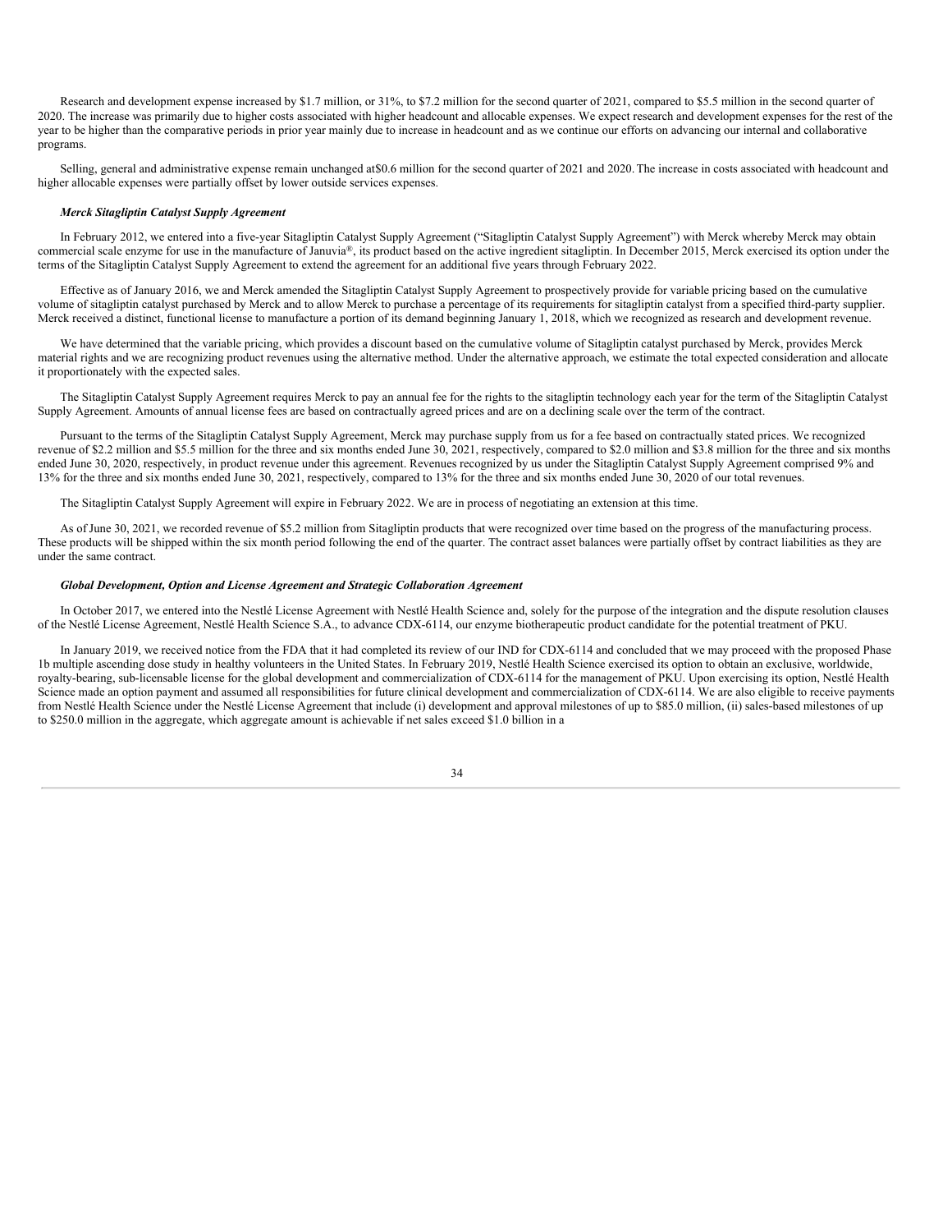Research and development expense increased by \$1.7 million, or 31%, to \$7.2 million for the second quarter of 2021, compared to \$5.5 million in the second quarter of 2020. The increase was primarily due to higher costs associated with higher headcount and allocable expenses. We expect research and development expenses for the rest of the year to be higher than the comparative periods in prior year mainly due to increase in headcount and as we continue our efforts on advancing our internal and collaborative programs.

Selling, general and administrative expense remain unchanged at \$0.6 million for the second quarter of 2021 and 2020. The increase in costs associated with headcount and higher allocable expenses were partially offset by lower outside services expenses.

## *Merck Sitagliptin Catalyst Supply Agreement*

In February 2012, we entered into a five-year Sitagliptin Catalyst Supply Agreement ("Sitagliptin Catalyst Supply Agreement") with Merck whereby Merck may obtain commercial scale enzyme for use in the manufacture of Januvia®, its product based on the active ingredient sitagliptin. In December 2015, Merck exercised its option under the terms of the Sitagliptin Catalyst Supply Agreement to extend the agreement for an additional five years through February 2022.

Effective as of January 2016, we and Merck amended the Sitagliptin Catalyst Supply Agreement to prospectively provide for variable pricing based on the cumulative volume of sitagliptin catalyst purchased by Merck and to allow Merck to purchase a percentage of its requirements for sitagliptin catalyst from a specified third-party supplier. Merck received a distinct, functional license to manufacture a portion of its demand beginning January 1, 2018, which we recognized as research and development revenue.

We have determined that the variable pricing, which provides a discount based on the cumulative volume of Sitagliptin catalyst purchased by Merck, provides Merck material rights and we are recognizing product revenues using the alternative method. Under the alternative approach, we estimate the total expected consideration and allocate it proportionately with the expected sales.

The Sitagliptin Catalyst Supply Agreement requires Merck to pay an annual fee for the rights to the sitagliptin technology each year for the term of the Sitagliptin Catalyst Supply Agreement. Amounts of annual license fees are based on contractually agreed prices and are on a declining scale over the term of the contract.

Pursuant to the terms of the Sitagliptin Catalyst Supply Agreement, Merck may purchase supply from us for a fee based on contractually stated prices. We recognized revenue of \$2.2 million and \$5.5 million for the three and six months ended June 30, 2021, respectively, compared to \$2.0 million and \$3.8 million for the three and six months ended June 30, 2020, respectively, in product revenue under this agreement. Revenues recognized by us under the Sitagliptin Catalyst Supply Agreement comprised 9% and 13% for the three and six months ended June 30, 2021, respectively, compared to 13% for the three and six months ended June 30, 2020 of our total revenues.

The Sitagliptin Catalyst Supply Agreement will expire in February 2022. We are in process of negotiating an extension at this time.

As of June 30, 2021, we recorded revenue of \$5.2 million from Sitagliptin products that were recognized over time based on the progress of the manufacturing process. These products will be shipped within the six month period following the end of the quarter. The contract asset balances were partially offset by contract liabilities as they are under the same contract.

### *Global Development, Option and License Agreement and Strategic Collaboration Agreement*

In October 2017, we entered into the Nestlé License Agreement with Nestlé Health Science and, solely for the purpose of the integration and the dispute resolution clauses of the Nestlé License Agreement, Nestlé Health Science S.A., to advance CDX-6114, our enzyme biotherapeutic product candidate for the potential treatment of PKU.

In January 2019, we received notice from the FDA that it had completed its review of our IND for CDX-6114 and concluded that we may proceed with the proposed Phase 1b multiple ascending dose study in healthy volunteers in the United States. In February 2019, Nestlé Health Science exercised its option to obtain an exclusive, worldwide, royalty-bearing, sub-licensable license for the global development and commercialization of CDX-6114 for the management of PKU. Upon exercising its option, Nestlé Health Science made an option payment and assumed all responsibilities for future clinical development and commercialization of CDX-6114. We are also eligible to receive payments from Nestlé Health Science under the Nestlé License Agreement that include (i) development and approval milestones of up to \$85.0 million, (ii) sales-based milestones of up to \$250.0 million in the aggregate, which aggregate amount is achievable if net sales exceed \$1.0 billion in a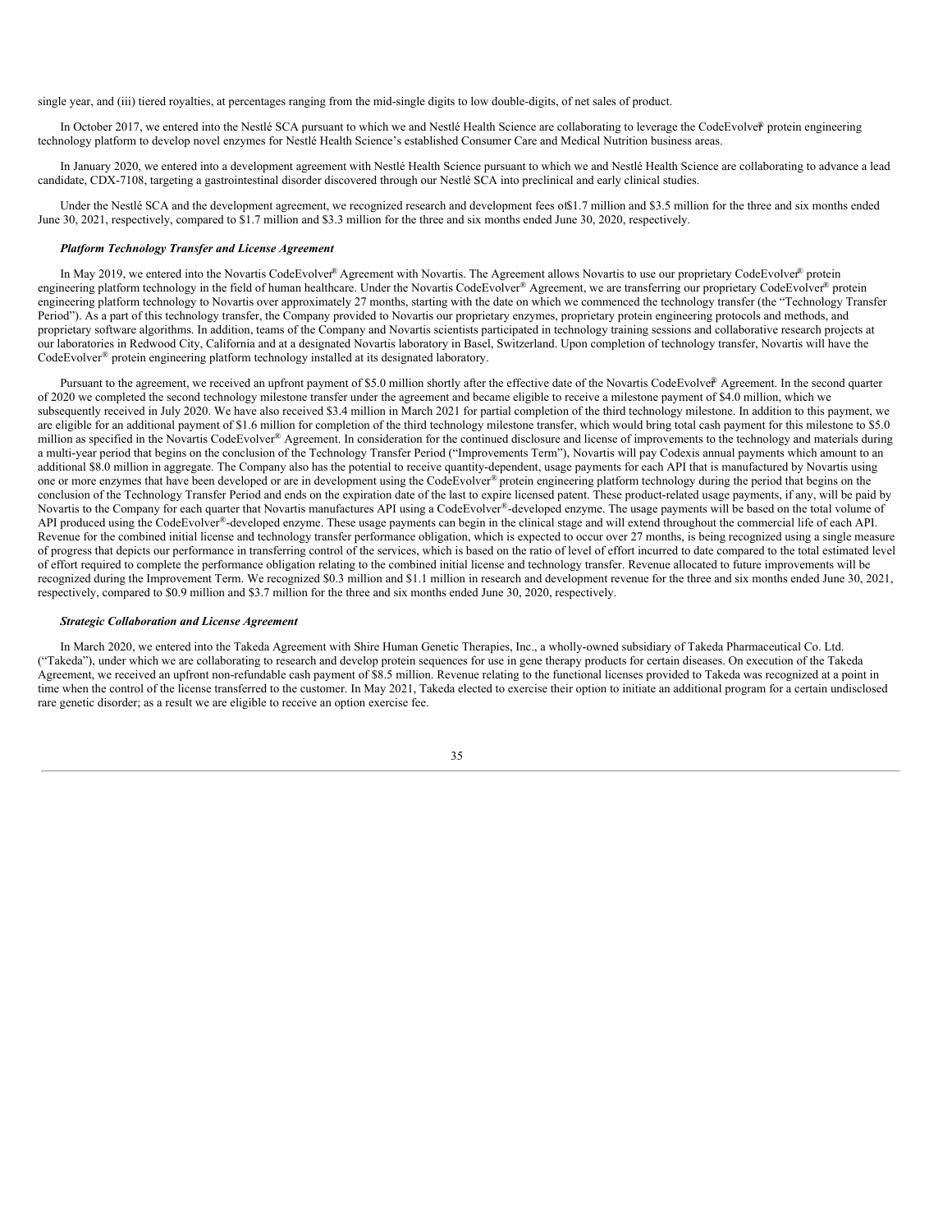single year, and (iii) tiered royalties, at percentages ranging from the mid-single digits to low double-digits, of net sales of product.

In October 2017, we entered into the Nestlé SCA pursuant to which we and Nestlé Health Science are collaborating to leverage the CodeEvolver protein engineering technology platform to develop novel enzymes for Nestlé Health Science's established Consumer Care and Medical Nutrition business areas.

In January 2020, we entered into a development agreement with Nestlé Health Science pursuant to which we and Nestlé Health Science are collaborating to advance a lead candidate, CDX-7108, targeting a gastrointestinal disorder discovered through our Nestlé SCA into preclinical and early clinical studies.

Under the Nestlé SCA and the development agreement, we recognized research and development fees of\$1.7 million and \$3.5 million for the three and six months ended June 30, 2021, respectively, compared to \$1.7 million and \$3.3 million for the three and six months ended June 30, 2020, respectively.

#### *Platform Technology Transfer and License Agreement*

In May 2019, we entered into the Novartis CodeEvolver® Agreement with Novartis. The Agreement allows Novartis to use our proprietary CodeEvolver® protein engineering platform technology in the field of human healthcare. Under the Novartis CodeEvolver® Agreement, we are transferring our proprietary CodeEvolver® protein engineering platform technology to Novartis over approximately 27 months, starting with the date on which we commenced the technology transfer (the "Technology Transfer Period"). As a part of this technology transfer, the Company provided to Novartis our proprietary enzymes, proprietary protein engineering protocols and methods, and proprietary software algorithms. In addition, teams of the Company and Novartis scientists participated in technology training sessions and collaborative research projects at our laboratories in Redwood City, California and at a designated Novartis laboratory in Basel, Switzerland. Upon completion of technology transfer, Novartis will have the CodeEvolver® protein engineering platform technology installed at its designated laboratory.

Pursuant to the agreement, we received an upfront payment of \$5.0 million shortly after the effective date of the Novartis CodeEvolver® Agreement. In the second quarter of 2020 we completed the second technology milestone transfer under the agreement and became eligible to receive a milestone payment of \$4.0 million, which we subsequently received in July 2020. We have also received \$3.4 million in March 2021 for partial completion of the third technology milestone. In addition to this payment, we are eligible for an additional payment of \$1.6 million for completion of the third technology milestone transfer, which would bring total cash payment for this milestone to \$5.0 million as specified in the Novartis CodeEvolver® Agreement. In consideration for the continued disclosure and license of improvements to the technology and materials during a multi-year period that begins on the conclusion of the Technology Transfer Period ("Improvements Term"), Novartis will pay Codexis annual payments which amount to an additional \$8.0 million in aggregate. The Company also has the potential to receive quantity-dependent, usage payments for each API that is manufactured by Novartis using one or more enzymes that have been developed or are in development using the CodeEvolver® protein engineering platform technology during the period that begins on the conclusion of the Technology Transfer Period and ends on the expiration date of the last to expire licensed patent. These product-related usage payments, if any, will be paid by Novartis to the Company for each quarter that Novartis manufactures API using a CodeEvolver®-developed enzyme. The usage payments will be based on the total volume of API produced using the CodeEvolver®-developed enzyme. These usage payments can begin in the clinical stage and will extend throughout the commercial life of each API. Revenue for the combined initial license and technology transfer performance obligation, which is expected to occur over 27 months, is being recognized using a single measure of progress that depicts our performance in transferring control of the services, which is based on the ratio of level of effort incurred to date compared to the total estimated level of effort required to complete the performance obligation relating to the combined initial license and technology transfer. Revenue allocated to future improvements will be recognized during the Improvement Term. We recognized \$0.3 million and \$1.1 million in research and development revenue for the three and six months ended June 30, 2021, respectively, compared to \$0.9 million and \$3.7 million for the three and six months ended June 30, 2020, respectively.

#### *Strategic Collaboration and License Agreement*

In March 2020, we entered into the Takeda Agreement with Shire Human Genetic Therapies, Inc., a wholly-owned subsidiary of Takeda Pharmaceutical Co. Ltd. ("Takeda"), under which we are collaborating to research and develop protein sequences for use in gene therapy products for certain diseases. On execution of the Takeda Agreement, we received an upfront non-refundable cash payment of \$8.5 million. Revenue relating to the functional licenses provided to Takeda was recognized at a point in time when the control of the license transferred to the customer. In May 2021, Takeda elected to exercise their option to initiate an additional program for a certain undisclosed rare genetic disorder; as a result we are eligible to receive an option exercise fee.

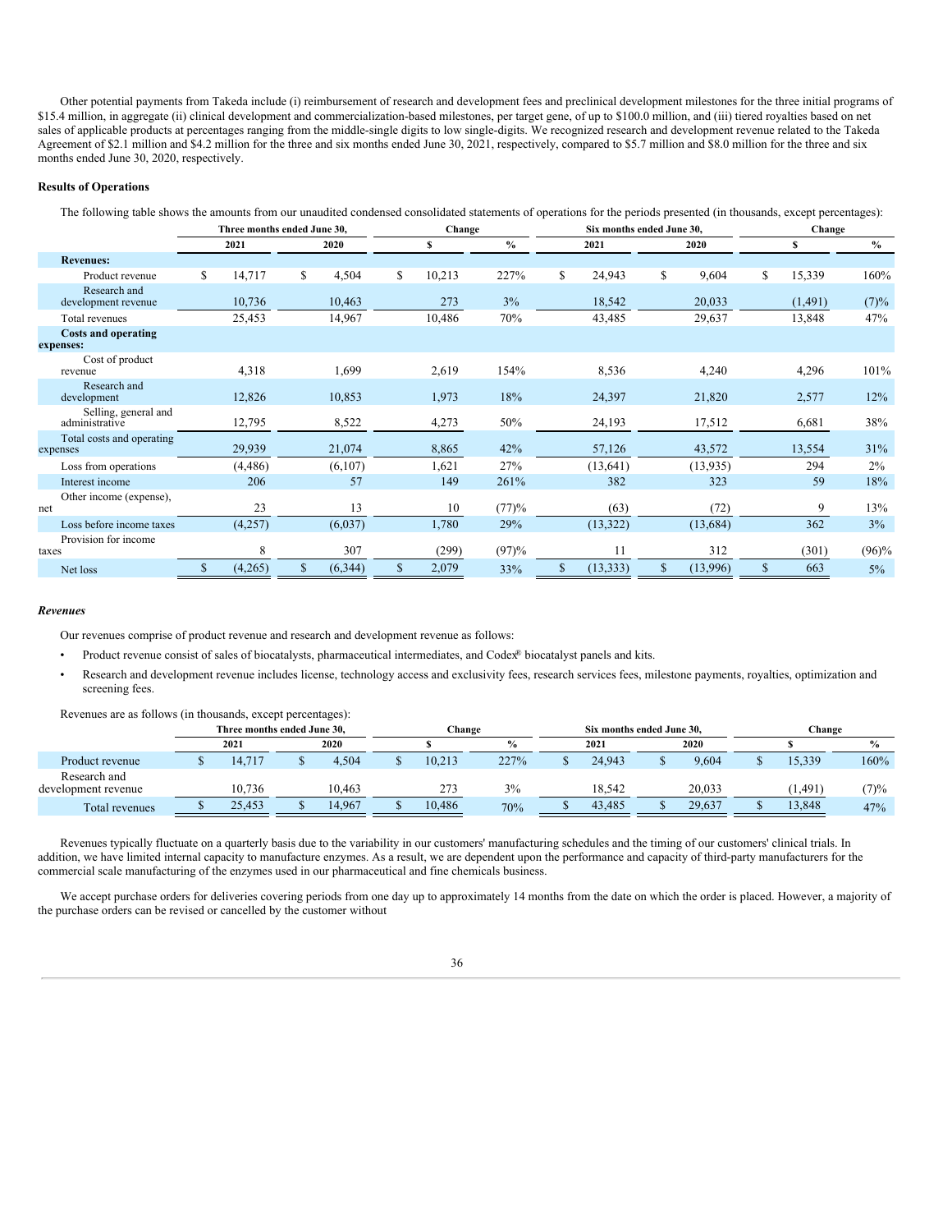Other potential payments from Takeda include (i) reimbursement of research and development fees and preclinical development milestones for the three initial programs of \$15.4 million, in aggregate (ii) clinical development and commercialization-based milestones, per target gene, of up to \$100.0 million, and (iii) tiered royalties based on net sales of applicable products at percentages ranging from the middle-single digits to low single-digits. We recognized research and development revenue related to the Takeda Agreement of \$2.1 million and \$4.2 million for the three and six months ended June 30, 2021, respectively, compared to \$5.7 million and \$8.0 million for the three and six months ended June 30, 2020, respectively.

# **Results of Operations**

The following table shows the amounts from our unaudited condensed consolidated statements of operations for the periods presented (in thousands, except percentages):

|       |                                         | Three months ended June 30, |          |   |          |   | Change |               |   | Six months ended June 30, |                | Change |          |          |  |
|-------|-----------------------------------------|-----------------------------|----------|---|----------|---|--------|---------------|---|---------------------------|----------------|--------|----------|----------|--|
|       |                                         |                             | 2021     |   | 2020     |   | s      | $\frac{0}{0}$ |   | 2021                      | 2020           |        | s        | $\%$     |  |
|       | <b>Revenues:</b>                        |                             |          |   |          |   |        |               |   |                           |                |        |          |          |  |
|       | Product revenue                         | S                           | 14,717   | S | 4,504    | S | 10,213 | 227%          | S | 24,943                    | \$<br>9,604    | S      | 15,339   | 160%     |  |
|       | Research and<br>development revenue     |                             | 10,736   |   | 10,463   |   | 273    | 3%            |   | 18,542                    | 20,033         |        | (1, 491) | $(7)\%$  |  |
|       | Total revenues                          |                             | 25,453   |   | 14,967   |   | 10,486 | 70%           |   | 43,485                    | 29,637         |        | 13,848   | 47%      |  |
|       | <b>Costs and operating</b><br>expenses: |                             |          |   |          |   |        |               |   |                           |                |        |          |          |  |
|       | Cost of product<br>revenue              |                             | 4,318    |   | 1,699    |   | 2,619  | 154%          |   | 8.536                     | 4,240          |        | 4,296    | 101%     |  |
|       | Research and<br>development             |                             | 12,826   |   | 10,853   |   | 1,973  | 18%           |   | 24,397                    | 21,820         |        | 2,577    | 12%      |  |
|       | Selling, general and<br>administrative  |                             | 12,795   |   | 8,522    |   | 4,273  | 50%           |   | 24,193                    | 17,512         |        | 6,681    | 38%      |  |
|       | Total costs and operating<br>expenses   |                             | 29,939   |   | 21,074   |   | 8,865  | 42%           |   | 57,126                    | 43,572         |        | 13,554   | 31%      |  |
|       | Loss from operations                    |                             | (4, 486) |   | (6,107)  |   | 1,621  | 27%           |   | (13, 641)                 | (13,935)       |        | 294      | $2\%$    |  |
|       | Interest income                         |                             | 206      |   | 57       |   | 149    | 261%          |   | 382                       | 323            |        | 59       | 18%      |  |
| net   | Other income (expense),                 |                             | 23       |   | 13       |   | 10     | (77)%         |   | (63)                      | (72)           |        | 9        | 13%      |  |
|       | Loss before income taxes                |                             | (4,257)  |   | (6,037)  |   | 1,780  | 29%           |   | (13, 322)                 | (13, 684)      |        | 362      | 3%       |  |
| taxes | Provision for income                    |                             | 8        |   | 307      |   | (299)  | (97)%         |   | 11                        | 312            |        | (301)    | $(96)\%$ |  |
|       | Net loss                                |                             | (4,265)  | S | (6, 344) | S | 2,079  | 33%           |   | (13, 333)                 | \$<br>(13,996) | S      | 663      | $5\%$    |  |

#### *Revenues*

Our revenues comprise of product revenue and research and development revenue as follows:

- Product revenue consist of sales of biocatalysts, pharmaceutical intermediates, and Codex® biocatalyst panels and kits.
- Research and development revenue includes license, technology access and exclusivity fees, research services fees, milestone payments, royalties, optimization and screening fees.

# Revenues are as follows (in thousands, except percentages):

|                                     |      | Three months ended June 30, |        |  |        | Change        |      | Six months ended June 30. |      | Change |  |         |               |
|-------------------------------------|------|-----------------------------|--------|--|--------|---------------|------|---------------------------|------|--------|--|---------|---------------|
|                                     | 2021 |                             | 2020   |  |        | $\frac{0}{0}$ | 2021 |                           | 2020 |        |  |         | $\frac{0}{0}$ |
| Product revenue                     |      | 14.717                      | 4.504  |  | 10.213 | 227%          |      | 24.943                    |      | 9.604  |  | 15.339  | 160%          |
| Research and<br>development revenue |      | 10.736                      | 10.463 |  | 273    | $3\%$         |      | 18.542                    |      | 20.033 |  | (1,491) | (7)%          |
| Total revenues                      |      | 25.453                      | 14.967 |  | 10.486 | 70%           |      | 43,485                    |      | 29.637 |  | 13.848  | 47%           |

Revenues typically fluctuate on a quarterly basis due to the variability in our customers' manufacturing schedules and the timing of our customers' clinical trials. In addition, we have limited internal capacity to manufacture enzymes. As a result, we are dependent upon the performance and capacity of third-party manufacturers for the commercial scale manufacturing of the enzymes used in our pharmaceutical and fine chemicals business.

We accept purchase orders for deliveries covering periods from one day up to approximately 14 months from the date on which the order is placed. However, a majority of the purchase orders can be revised or cancelled by the customer without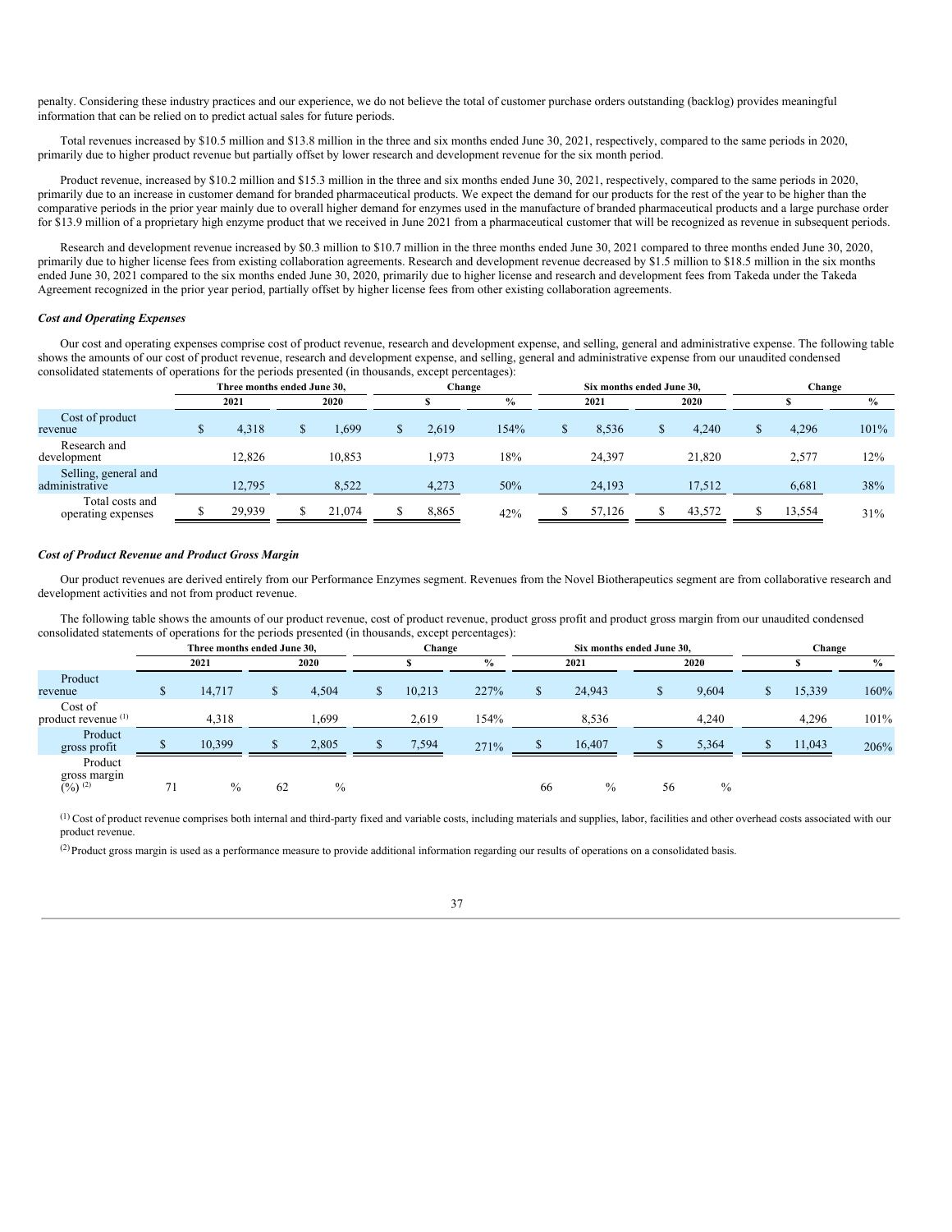penalty. Considering these industry practices and our experience, we do not believe the total of customer purchase orders outstanding (backlog) provides meaningful information that can be relied on to predict actual sales for future periods.

Total revenues increased by \$10.5 million and \$13.8 million in the three and six months ended June 30, 2021, respectively, compared to the same periods in 2020, primarily due to higher product revenue but partially offset by lower research and development revenue for the six month period.

Product revenue, increased by \$10.2 million and \$15.3 million in the three and six months ended June 30, 2021, respectively, compared to the same periods in 2020, primarily due to an increase in customer demand for branded pharmaceutical products. We expect the demand for our products for the rest of the year to be higher than the comparative periods in the prior year mainly due to overall higher demand for enzymes used in the manufacture of branded pharmaceutical products and a large purchase order for \$13.9 million of a proprietary high enzyme product that we received in June 2021 from a pharmaceutical customer that will be recognized as revenue in subsequent periods.

Research and development revenue increased by \$0.3 million to \$10.7 million in the three months ended June 30, 2021 compared to three months ended June 30, 2020, primarily due to higher license fees from existing collaboration agreements. Research and development revenue decreased by \$1.5 million to \$18.5 million in the six months ended June 30, 2021 compared to the six months ended June 30, 2020, primarily due to higher license and research and development fees from Takeda under the Takeda Agreement recognized in the prior year period, partially offset by higher license fees from other existing collaboration agreements.

# *Cost and Operating Expenses*

Our cost and operating expenses comprise cost of product revenue, research and development expense, and selling, general and administrative expense. The following table shows the amounts of our cost of product revenue, research and development expense, and selling, general and administrative expense from our unaudited condensed consolidated statements of operations for the periods presented (in thousands, except percentages):

|                                        |      | Three months ended June 30. |      |        |  |       | Change        |      | Six months ended June 30. |      | Change |  |        |               |
|----------------------------------------|------|-----------------------------|------|--------|--|-------|---------------|------|---------------------------|------|--------|--|--------|---------------|
|                                        | 2021 |                             | 2020 |        |  |       | $\frac{6}{9}$ | 2021 |                           | 2020 |        |  |        | $\frac{0}{0}$ |
| Cost of product<br>revenue             |      | 4,318                       |      | .699   |  | 2.619 | 154%          |      | 8.536                     |      | 4.240  |  | 4,296  | 101%          |
| Research and<br>development            |      | 12.826                      |      | 10.853 |  | 1,973 | 18%           |      | 24.397                    |      | 21.820 |  | 2.577  | 12%           |
| Selling, general and<br>administrative |      | 12,795                      |      | 8,522  |  | 4,273 | 50%           |      | 24,193                    |      | 17.512 |  | 6,681  | 38%           |
| Total costs and<br>operating expenses  |      | 29.939                      |      | 21.074 |  | 8,865 | 42%           |      | 57.126                    |      | 43.572 |  | 13,554 | 31%           |
|                                        |      |                             |      |        |  |       |               |      |                           |      |        |  |        |               |

# *Cost of Product Revenue and Product Gross Margin*

Our product revenues are derived entirely from our Performance Enzymes segment. Revenues from the Novel Biotherapeutics segment are from collaborative research and development activities and not from product revenue.

The following table shows the amounts of our product revenue, cost of product revenue, product gross profit and product gross margin from our unaudited condensed consolidated statements of operations for the periods presented (in thousands, except percentages):

|                                                  | Three months ended June 30, |        |    |       | Change |               |    |        | Six months ended June 30. |       |    | Change |               |
|--------------------------------------------------|-----------------------------|--------|----|-------|--------|---------------|----|--------|---------------------------|-------|----|--------|---------------|
|                                                  |                             | 2021   |    | 2020  |        | $\frac{6}{6}$ |    | 2021   |                           | 2020  |    |        | $\frac{0}{0}$ |
| Product<br>revenue                               |                             | 14.717 | D  | 4,504 | 10.213 | 227%          |    | 24,943 | S                         | 9,604 | D  | 15,339 | 160%          |
| Cost of<br>product revenue <sup>(1)</sup>        |                             | 4,318  |    | . 699 | 2,619  | 154%          |    | 8,536  |                           | 4,240 |    | 4,296  | 101%          |
| Product<br>gross profit                          |                             | 10,399 |    | 2,805 | 7,594  | 271%          |    | 16,407 |                           | 5,364 | .n | 11,043 | 206%          |
| Product<br>gross margin<br>$($ %) <sup>(2)</sup> |                             | $\%$   | 62 | $\%$  |        |               | 66 | $\%$   | 56                        | $\%$  |    |        |               |

 $(1)$  Cost of product revenue comprises both internal and third-party fixed and variable costs, including materials and supplies, labor, facilities and other overhead costs associated with our product revenue.

 $^{(2)}$  Product gross margin is used as a performance measure to provide additional information regarding our results of operations on a consolidated basis.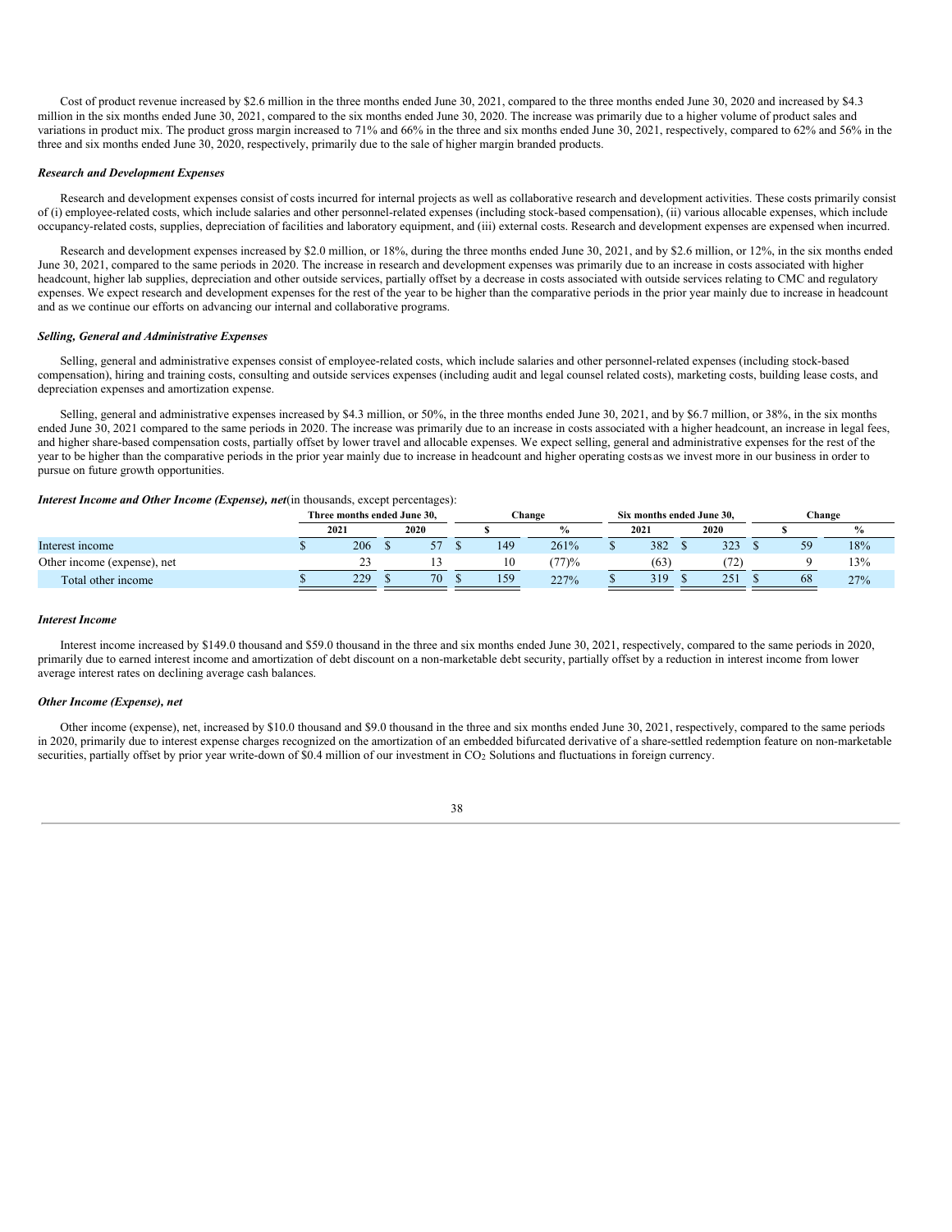Cost of product revenue increased by \$2.6 million in the three months ended June 30, 2021, compared to the three months ended June 30, 2020 and increased by \$4.3 million in the six months ended June 30, 2021, compared to the six months ended June 30, 2020. The increase was primarily due to a higher volume of product sales and variations in product mix. The product gross margin increased to 71% and 66% in the three and six months ended June 30, 2021, respectively, compared to 62% and 56% in the three and six months ended June 30, 2020, respectively, primarily due to the sale of higher margin branded products.

### *Research and Development Expenses*

Research and development expenses consist of costs incurred for internal projects as well as collaborative research and development activities. These costs primarily consist of (i) employee-related costs, which include salaries and other personnel-related expenses (including stock-based compensation), (ii) various allocable expenses, which include occupancy-related costs, supplies, depreciation of facilities and laboratory equipment, and (iii) external costs. Research and development expenses are expensed when incurred.

Research and development expenses increased by \$2.0 million, or 18%, during the three months ended June 30, 2021, and by \$2.6 million, or 12%, in the six months ended June 30, 2021, compared to the same periods in 2020. The increase in research and development expenses was primarily due to an increase in costs associated with higher headcount, higher lab supplies, depreciation and other outside services, partially offset by a decrease in costs associated with outside services relating to CMC and regulatory expenses. We expect research and development expenses for the rest of the year to be higher than the comparative periods in the prior year mainly due to increase in headcount and as we continue our efforts on advancing our internal and collaborative programs.

#### *Selling, General and Administrative Expenses*

Selling, general and administrative expenses consist of employee-related costs, which include salaries and other personnel-related expenses (including stock-based compensation), hiring and training costs, consulting and outside services expenses (including audit and legal counsel related costs), marketing costs, building lease costs, and depreciation expenses and amortization expense.

Selling, general and administrative expenses increased by \$4.3 million, or 50%, in the three months ended June 30, 2021, and by \$6.7 million, or 38%, in the six months ended June 30, 2021 compared to the same periods in 2020. The increase was primarily due to an increase in costs associated with a higher headcount, an increase in legal fees, and higher share-based compensation costs, partially offset by lower travel and allocable expenses. We expect selling, general and administrative expenses for the rest of the year to be higher than the comparative periods in the prior year mainly due to increase in headcount and higher operating costs as we invest more in our business in order to pursue on future growth opportunities.

### *Interest Income and Other Income (Expense), net*(in thousands, except percentages):

| .                           | Three months ended June 30. |  |      |  |     | Change | Six months ended June 30. |      |    | Change |  |
|-----------------------------|-----------------------------|--|------|--|-----|--------|---------------------------|------|----|--------|--|
|                             | 2021                        |  | 2020 |  |     | $\%$   | 2021                      | 2020 |    |        |  |
| Interest income             | 206                         |  |      |  | 149 | 261%   | 382                       | 323  | 59 | 18%    |  |
| Other income (expense), net | າາ<br>ت ک                   |  |      |  | 10  | (77)%  | (63                       | 12   |    | 13%    |  |
| Total other income          | 229                         |  | 70   |  | 159 | 227%   | 319                       | 251  | 68 | 27%    |  |

#### *Interest Income*

Interest income increased by \$149.0 thousand and \$59.0 thousand in the three and six months ended June 30, 2021, respectively, compared to the same periods in 2020, primarily due to earned interest income and amortization of debt discount on a non-marketable debt security, partially offset by a reduction in interest income from lower average interest rates on declining average cash balances.

# *Other Income (Expense), net*

Other income (expense), net, increased by \$10.0 thousand and \$9.0 thousand in the three and six months ended June 30, 2021, respectively, compared to the same periods in 2020, primarily due to interest expense charges recognized on the amortization of an embedded bifurcated derivative of a share-settled redemption feature on non-marketable securities, partially offset by prior year write-down of \$0.4 million of our investment in CO<sub>2</sub> Solutions and fluctuations in foreign currency.

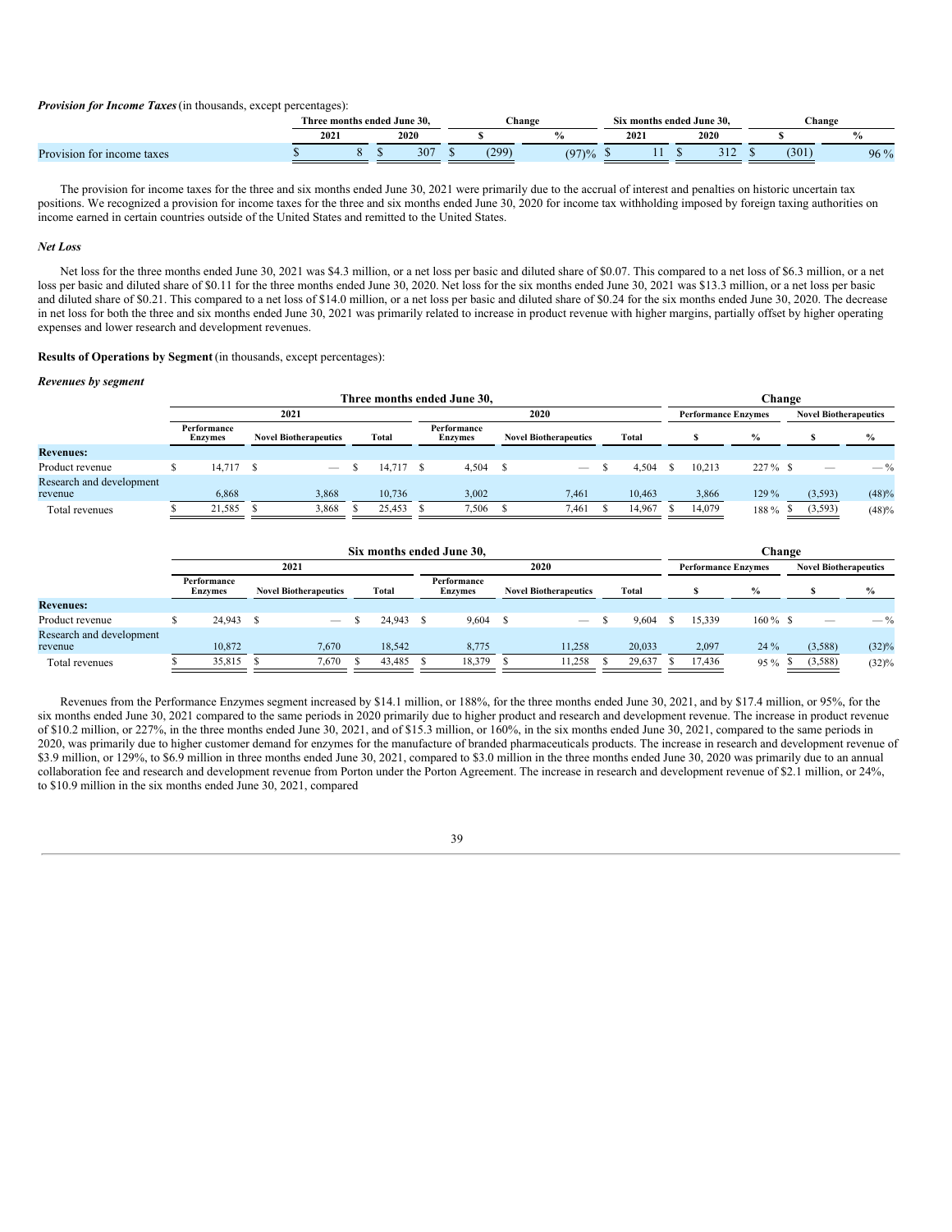*Provision for Income Taxes*(in thousands, except percentages):

|                            |      | Three months ended June 30. |                 |  |      | <b>Change</b>       | Six months ended June 30. |      |       | Change |
|----------------------------|------|-----------------------------|-----------------|--|------|---------------------|---------------------------|------|-------|--------|
|                            | 2021 |                             | 2020            |  |      |                     | 2021                      | 2020 |       |        |
| Provision for income taxes |      |                             | 30 <sup>°</sup> |  | 7001 | $(97)$ <sup>0</sup> |                           | - 14 | (301) | $96\%$ |

The provision for income taxes for the three and six months ended June 30, 2021 were primarily due to the accrual of interest and penalties on historic uncertain tax positions. We recognized a provision for income taxes for the three and six months ended June 30, 2020 for income tax withholding imposed by foreign taxing authorities on income earned in certain countries outside of the United States and remitted to the United States.

### *Net Loss*

Net loss for the three months ended June 30, 2021 was \$4.3 million, or a net loss per basic and diluted share of \$0.07. This compared to a net loss of \$6.3 million, or a net loss per basic and diluted share of \$0.11 for the three months ended June 30, 2020. Net loss for the six months ended June 30, 2021 was \$13.3 million, or a net loss per basic and diluted share of \$0.21. This compared to a net loss of \$14.0 million, or a net loss per basic and diluted share of \$0.24 for the six months ended June 30, 2020. The decrease in net loss for both the three and six months ended June 30, 2021 was primarily related to increase in product revenue with higher margins, partially offset by higher operating expenses and lower research and development revenues.

# **Results of Operations by Segment** (in thousands, except percentages):

# *Revenues by segment*

|                                     |  |                               |                              |        | Three months ended June 30.   |                              |        |                            | Change        |                              |                |
|-------------------------------------|--|-------------------------------|------------------------------|--------|-------------------------------|------------------------------|--------|----------------------------|---------------|------------------------------|----------------|
|                                     |  |                               | 2021                         |        |                               | 2020                         |        | <b>Performance Enzymes</b> |               | <b>Novel Biotherapeutics</b> |                |
|                                     |  | Performance<br><b>Enzymes</b> | <b>Novel Biotherapeutics</b> | Total  | Performance<br><b>Enzymes</b> | <b>Novel Biotherapeutics</b> | Total  |                            | $\frac{9}{6}$ |                              | $\frac{6}{6}$  |
| <b>Revenues:</b>                    |  |                               |                              |        |                               |                              |        |                            |               |                              |                |
| Product revenue                     |  | 14,717 \$                     | $\qquad \qquad$              | 14.717 | 4,504                         | $\overline{\phantom{m}}$     | 4.504  | 10.213                     | $227\%$ \$    | $\overline{\phantom{a}}$     | $-\frac{9}{6}$ |
| Research and development<br>revenue |  | 6,868                         | 3,868                        | 10,736 | 3,002                         | 7,461                        | 10.463 | 3,866                      | 129 %         | (3, 593)                     | (48)%          |
| Total revenues                      |  | 21.585                        | 3,868                        | 25,453 | 7,506                         | 7,461                        | 14,967 | 14,079                     | 188 %         | (3, 593)                     | (48)%          |

|                                     |                                                               |  |                          | Six months ended June 30. |                               |                              | Change                          |       |        |                            |            |      |                              |                |
|-------------------------------------|---------------------------------------------------------------|--|--------------------------|---------------------------|-------------------------------|------------------------------|---------------------------------|-------|--------|----------------------------|------------|------|------------------------------|----------------|
|                                     |                                                               |  | 2021                     |                           |                               |                              | 2020                            |       |        | <b>Performance Enzymes</b> |            |      | <b>Novel Biotherapeutics</b> |                |
|                                     | Performance<br><b>Novel Biotherapeutics</b><br><b>Enzymes</b> |  |                          | <b>Total</b>              | Performance<br><b>Enzymes</b> | <b>Novel Biotherapeutics</b> |                                 | Total |        | $\frac{9}{6}$              |            |      | $\frac{6}{6}$                |                |
| <b>Revenues:</b>                    |                                                               |  |                          |                           |                               |                              |                                 |       |        |                            |            |      |                              |                |
| Product revenue                     | 24.943                                                        |  | $\overline{\phantom{a}}$ |                           | 24.943                        | 9,604                        | $\hspace{0.1mm}-\hspace{0.1mm}$ |       | 9.604  | 15.339                     | $160\%$ \$ |      |                              | $-\frac{9}{6}$ |
| Research and development<br>revenue | 10.872                                                        |  | 7,670                    |                           | 18.542                        | 8,775                        | 11.258                          |       | 20,033 | 2,097                      | 24 %       |      | (3,588)                      | (32)%          |
| Total revenues                      | 35,815                                                        |  | 7,670                    |                           | 43.485                        | 18,379                       | 11.258                          |       | 29,637 | 17,436                     | $95\%$     | - 35 | (3,588)                      | (32)%          |

Revenues from the Performance Enzymes segment increased by \$14.1 million, or 188%, for the three months ended June 30, 2021, and by \$17.4 million, or 95%, for the six months ended June 30, 2021 compared to the same periods in 2020 primarily due to higher product and research and development revenue. The increase in product revenue of \$10.2 million, or 227%, in the three months ended June 30, 2021, and of \$15.3 million, or 160%, in the six months ended June 30, 2021, compared to the same periods in 2020, was primarily due to higher customer demand for enzymes for the manufacture of branded pharmaceuticals products. The increase in research and development revenue of \$3.9 million, or 129%, to \$6.9 million in three months ended June 30, 2021, compared to \$3.0 million in the three months ended June 30, 2020 was primarily due to an annual collaboration fee and research and development revenue from Porton under the Porton Agreement. The increase in research and development revenue of \$2.1 million, or 24%, to \$10.9 million in the six months ended June 30, 2021, compared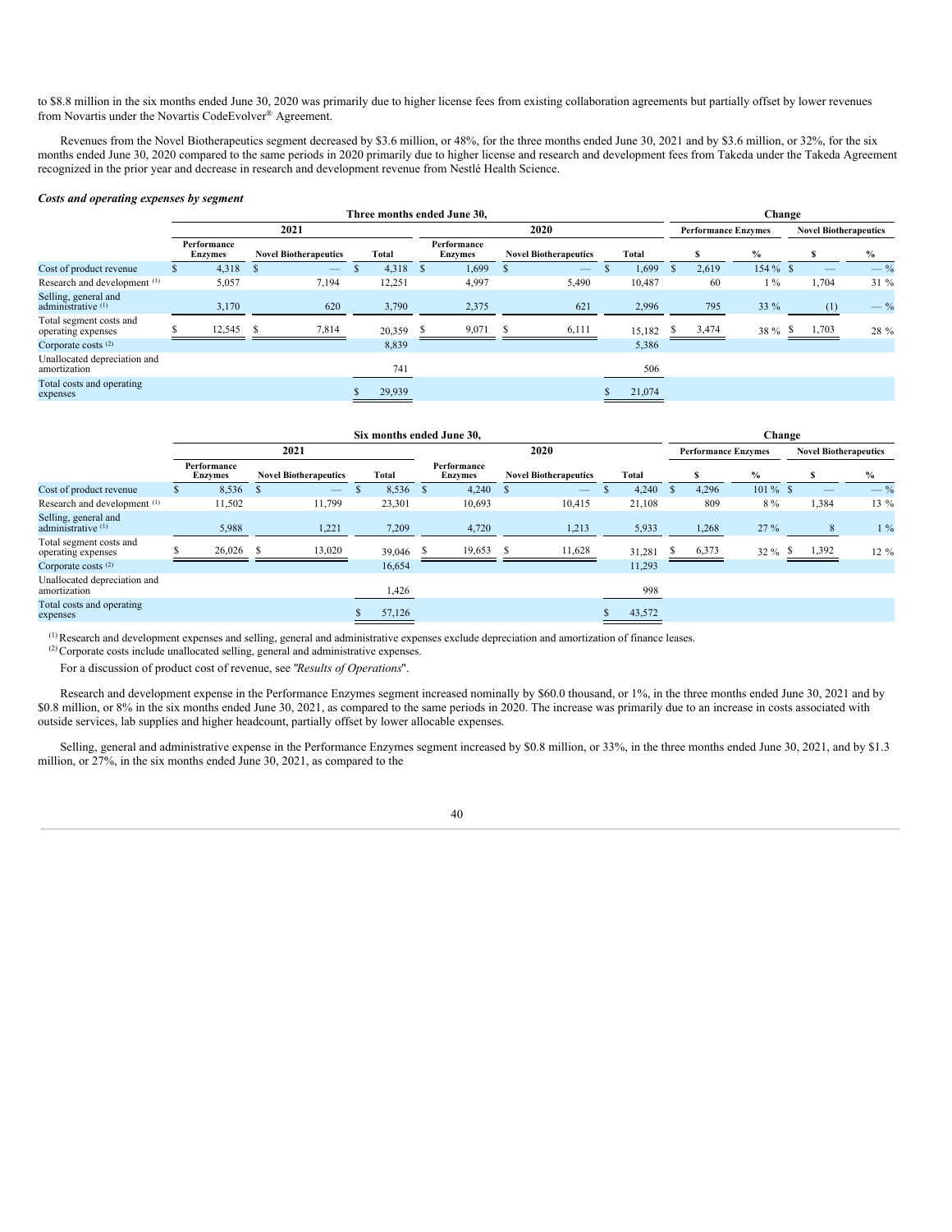to \$8.8 million in the six months ended June 30, 2020 was primarily due to higher license fees from existing collaboration agreements but partially offset by lower revenues from Novartis under the Novartis CodeEvolver® Agreement.

Revenues from the Novel Biotherapeutics segment decreased by \$3.6 million, or 48%, for the three months ended June 30, 2021 and by \$3.6 million, or 32%, for the six months ended June 30, 2020 compared to the same periods in 2020 primarily due to higher license and research and development fees from Takeda under the Takeda Agreement recognized in the prior year and decrease in research and development revenue from Nestlé Health Science.

## *Costs and operating expenses by segment*

|                                                       |                        |                              |              | Three months ended June 30,   |                              |        |                            |      | Change   |                              |               |
|-------------------------------------------------------|------------------------|------------------------------|--------------|-------------------------------|------------------------------|--------|----------------------------|------|----------|------------------------------|---------------|
|                                                       |                        | 2021                         |              |                               | 2020                         |        | <b>Performance Enzymes</b> |      |          | <b>Novel Biotherapeutics</b> |               |
|                                                       | Performance<br>Enzymes | <b>Novel Biotherapeutics</b> | <b>Total</b> | Performance<br><b>Enzymes</b> | <b>Novel Biotherapeutics</b> | Total  |                            | $\%$ |          |                              | $\frac{6}{6}$ |
| Cost of product revenue                               | 4,318                  |                              | 4,318        | 1,699                         |                              | 1,699  | 2,619                      |      | 154 % \$ |                              | $-$ %         |
| Research and development (1)                          | 5,057                  | 7,194                        | 12,251       | 4,997                         | 5.490                        | 10,487 | 60                         |      | $1\%$    | 1,704                        | $31 \%$       |
| Selling, general and<br>administrative <sup>(1)</sup> | 3,170                  | 620                          | 3,790        | 2,375                         | 621                          | 2,996  | 795                        |      | 33 %     | (1)                          | $-$ %         |
| Total segment costs and<br>operating expenses         | 12,545                 | 7,814                        | 20,359       | 9,071                         | 6,111                        | 15,182 | 3,474                      |      | 38 %     | 1,703                        | 28 %          |
| Corporate costs <sup>(2)</sup>                        |                        |                              | 8,839        |                               |                              | 5,386  |                            |      |          |                              |               |
| Unallocated depreciation and<br>amortization          |                        |                              | 741          |                               |                              | 506    |                            |      |          |                              |               |
| Total costs and operating<br>expenses                 |                        |                              | 29,939       |                               |                              | 21,074 |                            |      |          |                              |               |

|                                                       |                               | Six months ended June 30, |                              |  |          |  |                               |  |                                 |  |        |  |       | Change                     |      |                              |               |
|-------------------------------------------------------|-------------------------------|---------------------------|------------------------------|--|----------|--|-------------------------------|--|---------------------------------|--|--------|--|-------|----------------------------|------|------------------------------|---------------|
|                                                       |                               |                           | 2021                         |  |          |  |                               |  | 2020                            |  |        |  |       | <b>Performance Enzymes</b> |      | <b>Novel Biotherapeutics</b> |               |
|                                                       | Performance<br><b>Enzymes</b> |                           | <b>Novel Biotherapeutics</b> |  | Total    |  | Performance<br><b>Enzymes</b> |  | <b>Novel Biotherapeutics</b>    |  | Total  |  |       | $\frac{0}{0}$              |      |                              | $\frac{0}{0}$ |
| Cost of product revenue                               | 8,536                         | Э'n                       | $\overline{\phantom{m}}$     |  | 8,536 \$ |  | 4,240                         |  | $\hspace{0.1mm}-\hspace{0.1mm}$ |  | 4,240  |  | 4,296 | $101\%$ \$                 |      |                              | $-$ %         |
| Research and development <sup>(1)</sup>               | 11,502                        |                           | 11,799                       |  | 23,301   |  | 10,693                        |  | 10,415                          |  | 21,108 |  | 809   | 8 %                        |      | 1,384                        | 13 %          |
| Selling, general and<br>administrative <sup>(1)</sup> | 5,988                         |                           | 1,221                        |  | 7,209    |  | 4,720                         |  | 1,213                           |  | 5,933  |  | 1,268 | 27%                        |      |                              | $1\%$         |
| Total segment costs and<br>operating expenses         | 26,026                        |                           | 13,020                       |  | 39,046   |  | 19,653                        |  | 11,628                          |  | 31,281 |  | 6,373 | <b>32</b> %                | - 25 | 1,392                        | $12\%$        |
| Corporate costs $(2)$                                 |                               |                           |                              |  | 16,654   |  |                               |  |                                 |  | 11,293 |  |       |                            |      |                              |               |
| Unallocated depreciation and<br>amortization          |                               |                           |                              |  | 1,426    |  |                               |  |                                 |  | 998    |  |       |                            |      |                              |               |
| Total costs and operating<br>expenses                 |                               |                           |                              |  | 57,126   |  |                               |  |                                 |  | 43,572 |  |       |                            |      |                              |               |

 $(1)$  Research and development expenses and selling, general and administrative expenses exclude depreciation and amortization of finance leases.

 $(2)$  Corporate costs include unallocated selling, general and administrative expenses.

For a discussion of product cost of revenue, see "*Results of Operations*".

Research and development expense in the Performance Enzymes segment increased nominally by \$60.0 thousand, or 1%, in the three months ended June 30, 2021 and by \$0.8 million, or 8% in the six months ended June 30, 2021, as compared to the same periods in 2020. The increase was primarily due to an increase in costs associated with outside services, lab supplies and higher headcount, partially offset by lower allocable expenses.

Selling, general and administrative expense in the Performance Enzymes segment increased by \$0.8 million, or 33%, in the three months ended June 30, 2021, and by \$1.3 million, or 27%, in the six months ended June 30, 2021, as compared to the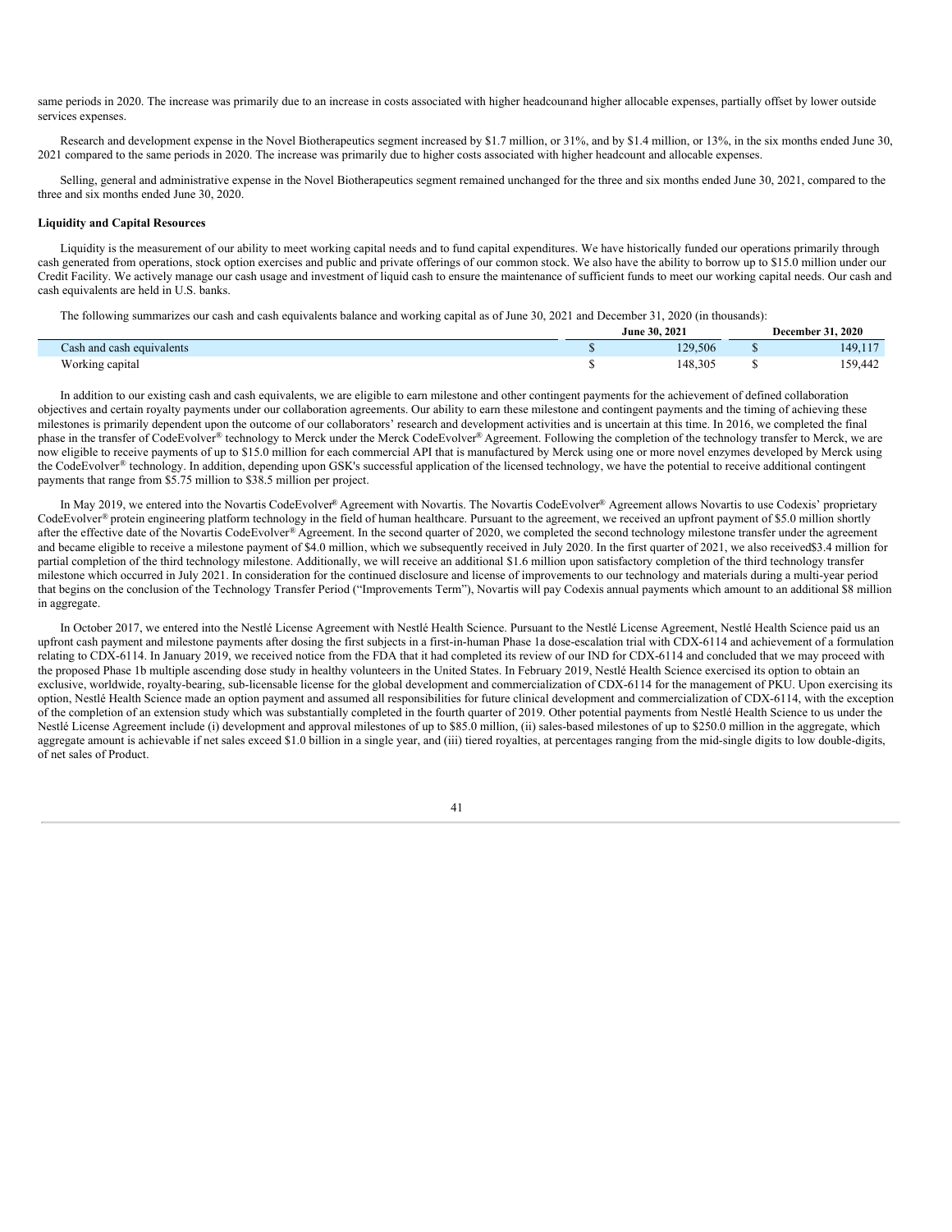same periods in 2020. The increase was primarily due to an increase in costs associated with higher headcounand higher allocable expenses, partially offset by lower outside services expenses.

Research and development expense in the Novel Biotherapeutics segment increased by \$1.7 million, or 31%, and by \$1.4 million, or 13%, in the six months ended June 30, 2021 compared to the same periods in 2020. The increase was primarily due to higher costs associated with higher headcount and allocable expenses.

Selling, general and administrative expense in the Novel Biotherapeutics segment remained unchanged for the three and six months ended June 30, 2021, compared to the three and six months ended June 30, 2020.

# **Liquidity and Capital Resources**

Liquidity is the measurement of our ability to meet working capital needs and to fund capital expenditures. We have historically funded our operations primarily through cash generated from operations, stock option exercises and public and private offerings of our common stock. We also have the ability to borrow up to \$15.0 million under our Credit Facility. We actively manage our cash usage and investment of liquid cash to ensure the maintenance of sufficient funds to meet our working capital needs. Our cash and cash equivalents are held in U.S. banks.

The following summarizes our cash and cash equivalents balance and working capital as of June 30, 2021 and December 31, 2020 (in thousands):

|                           | 30.<br>2021<br>June | 51.2020<br>December |
|---------------------------|---------------------|---------------------|
| Cash and cash equivalents | 129,506             | 117<br>149,11       |
| TT.<br>Working capital    | 148,305             | 159,442             |

In addition to our existing cash and cash equivalents, we are eligible to earn milestone and other contingent payments for the achievement of defined collaboration objectives and certain royalty payments under our collaboration agreements. Our ability to earn these milestone and contingent payments and the timing of achieving these milestones is primarily dependent upon the outcome of our collaborators' research and development activities and is uncertain at this time. In 2016, we completed the final phase in the transfer of CodeEvolver® technology to Merck under the Merck CodeEvolver® Agreement. Following the completion of the technology transfer to Merck, we are now eligible to receive payments of up to \$15.0 million for each commercial API that is manufactured by Merck using one or more novel enzymes developed by Merck using the CodeEvolver® technology. In addition, depending upon GSK's successful application of the licensed technology, we have the potential to receive additional contingent payments that range from \$5.75 million to \$38.5 million per project.

In May 2019, we entered into the Novartis CodeEvolver® Agreement with Novartis. The Novartis CodeEvolver® Agreement allows Novartis to use Codexis' proprietary CodeEvolver<sup>®</sup> protein engineering platform technology in the field of human healthcare. Pursuant to the agreement, we received an upfront payment of \$5.0 million shortly after the effective date of the Novartis CodeEvolver® Agreement. In the second quarter of 2020, we completed the second technology milestone transfer under the agreement and became eligible to receive a milestone payment of \$4.0 million, which we subsequently received in July 2020. In the first quarter of 2021, we also received\$3.4 million for partial completion of the third technology milestone. Additionally, we will receive an additional \$1.6 million upon satisfactory completion of the third technology transfer milestone which occurred in July 2021. In consideration for the continued disclosure and license of improvements to our technology and materials during a multi-year period that begins on the conclusion of the Technology Transfer Period ("Improvements Term"), Novartis will pay Codexis annual payments which amount to an additional \$8 million in aggregate.

In October 2017, we entered into the Nestlé License Agreement with Nestlé Health Science. Pursuant to the Nestlé License Agreement, Nestlé Health Science paid us an upfront cash payment and milestone payments after dosing the first subjects in a first-in-human Phase 1a dose-escalation trial with CDX-6114 and achievement of a formulation relating to CDX-6114. In January 2019, we received notice from the FDA that it had completed its review of our IND for CDX-6114 and concluded that we may proceed with the proposed Phase 1b multiple ascending dose study in healthy volunteers in the United States. In February 2019, Nestlé Health Science exercised its option to obtain an exclusive, worldwide, royalty-bearing, sub-licensable license for the global development and commercialization of CDX-6114 for the management of PKU. Upon exercising its option, Nestlé Health Science made an option payment and assumed all responsibilities for future clinical development and commercialization of CDX-6114, with the exception of the completion of an extension study which was substantially completed in the fourth quarter of 2019. Other potential payments from Nestlé Health Science to us under the Nestlé License Agreement include (i) development and approval milestones of up to \$85.0 million, (ii) sales-based milestones of up to \$250.0 million in the aggregate, which aggregate amount is achievable if net sales exceed \$1.0 billion in a single year, and (iii) tiered royalties, at percentages ranging from the mid-single digits to low double-digits, of net sales of Product.

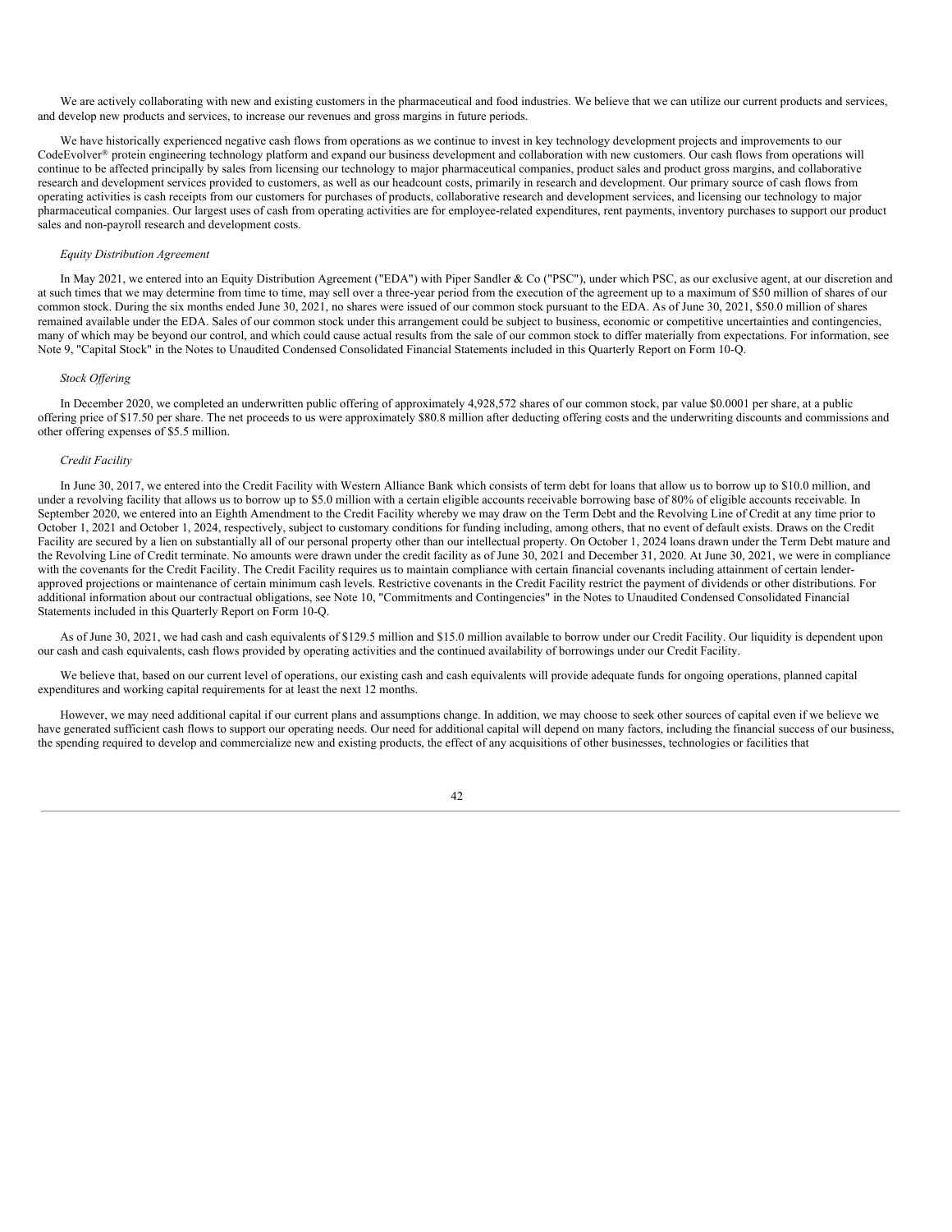We are actively collaborating with new and existing customers in the pharmaceutical and food industries. We believe that we can utilize our current products and services, and develop new products and services, to increase our revenues and gross margins in future periods.

We have historically experienced negative cash flows from operations as we continue to invest in key technology development projects and improvements to our CodeEvolver® protein engineering technology platform and expand our business development and collaboration with new customers. Our cash flows from operations will continue to be affected principally by sales from licensing our technology to major pharmaceutical companies, product sales and product gross margins, and collaborative research and development services provided to customers, as well as our headcount costs, primarily in research and development. Our primary source of cash flows from operating activities is cash receipts from our customers for purchases of products, collaborative research and development services, and licensing our technology to major pharmaceutical companies. Our largest uses of cash from operating activities are for employee-related expenditures, rent payments, inventory purchases to support our product sales and non-payroll research and development costs.

# *Equity Distribution Agreement*

In May 2021, we entered into an Equity Distribution Agreement ("EDA") with Piper Sandler & Co ("PSC"), under which PSC, as our exclusive agent, at our discretion and at such times that we may determine from time to time, may sell over a three-year period from the execution of the agreement up to a maximum of \$50 million of shares of our common stock. During the six months ended June 30, 2021, no shares were issued of our common stock pursuant to the EDA. As of June 30, 2021, \$50.0 million of shares remained available under the EDA. Sales of our common stock under this arrangement could be subject to business, economic or competitive uncertainties and contingencies, many of which may be beyond our control, and which could cause actual results from the sale of our common stock to differ materially from expectations. For information, see Note 9, "Capital Stock" in the Notes to Unaudited Condensed Consolidated Financial Statements included in this Quarterly Report on Form 10-Q.

# *Stock Of ering*

In December 2020, we completed an underwritten public offering of approximately 4,928,572 shares of our common stock, par value \$0.0001 per share, at a public offering price of \$17.50 per share. The net proceeds to us were approximately \$80.8 million after deducting offering costs and the underwriting discounts and commissions and other offering expenses of \$5.5 million.

## *Credit Facility*

In June 30, 2017, we entered into the Credit Facility with Western Alliance Bank which consists of term debt for loans that allow us to borrow up to \$10.0 million, and under a revolving facility that allows us to borrow up to \$5.0 million with a certain eligible accounts receivable borrowing base of 80% of eligible accounts receivable. In September 2020, we entered into an Eighth Amendment to the Credit Facility whereby we may draw on the Term Debt and the Revolving Line of Credit at any time prior to October 1, 2021 and October 1, 2024, respectively, subject to customary conditions for funding including, among others, that no event of default exists. Draws on the Credit Facility are secured by a lien on substantially all of our personal property other than our intellectual property. On October 1, 2024 loans drawn under the Term Debt mature and the Revolving Line of Credit terminate. No amounts were drawn under the credit facility as of June 30, 2021 and December 31, 2020. At June 30, 2021, we were in compliance with the covenants for the Credit Facility. The Credit Facility requires us to maintain compliance with certain financial covenants including attainment of certain lenderapproved projections or maintenance of certain minimum cash levels. Restrictive covenants in the Credit Facility restrict the payment of dividends or other distributions. For additional information about our contractual obligations, see Note 10, "Commitments and Contingencies" in the Notes to Unaudited Condensed Consolidated Financial Statements included in this Quarterly Report on Form 10-Q.

As of June 30, 2021, we had cash and cash equivalents of \$129.5 million and \$15.0 million available to borrow under our Credit Facility. Our liquidity is dependent upon our cash and cash equivalents, cash flows provided by operating activities and the continued availability of borrowings under our Credit Facility.

We believe that, based on our current level of operations, our existing cash and cash equivalents will provide adequate funds for ongoing operations, planned capital expenditures and working capital requirements for at least the next 12 months.

However, we may need additional capital if our current plans and assumptions change. In addition, we may choose to seek other sources of capital even if we believe we have generated sufficient cash flows to support our operating needs. Our need for additional capital will depend on many factors, including the financial success of our business, the spending required to develop and commercialize new and existing products, the effect of any acquisitions of other businesses, technologies or facilities that

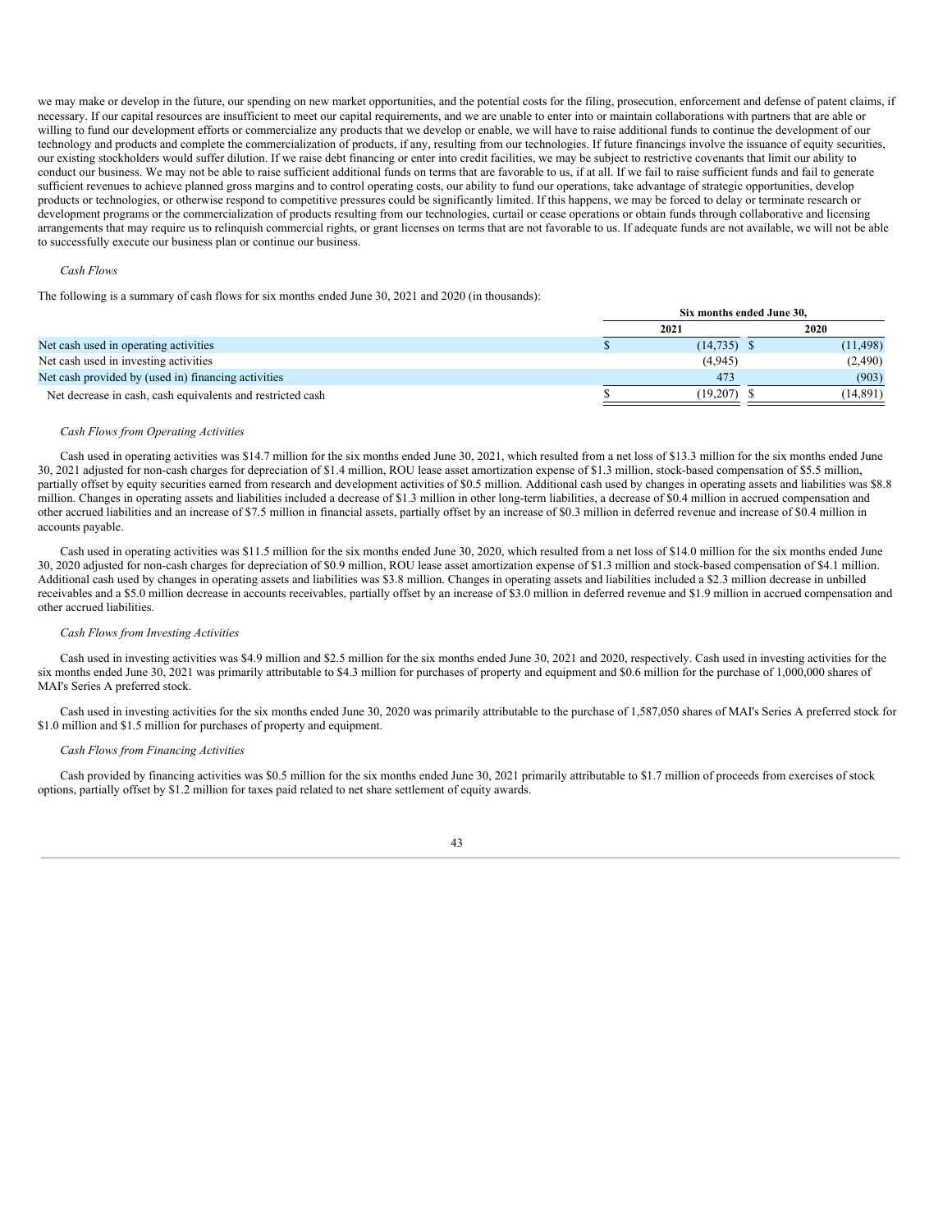we may make or develop in the future, our spending on new market opportunities, and the potential costs for the filing, prosecution, enforcement and defense of patent claims, if necessary. If our capital resources are insufficient to meet our capital requirements, and we are unable to enter into or maintain collaborations with partners that are able or willing to fund our development efforts or commercialize any products that we develop or enable, we will have to raise additional funds to continue the development of our technology and products and complete the commercialization of products, if any, resulting from our technologies. If future financings involve the issuance of equity securities, our existing stockholders would suffer dilution. If we raise debt financing or enter into credit facilities, we may be subject to restrictive covenants that limit our ability to conduct our business. We may not be able to raise sufficient additional funds on terms that are favorable to us, if at all. If we fail to raise sufficient funds and fail to generate sufficient revenues to achieve planned gross margins and to control operating costs, our ability to fund our operations, take advantage of strategic opportunities, develop products or technologies, or otherwise respond to competitive pressures could be significantly limited. If this happens, we may be forced to delay or terminate research or development programs or the commercialization of products resulting from our technologies, curtail or cease operations or obtain funds through collaborative and licensing arrangements that may require us to relinquish commercial rights, or grant licenses on terms that are not favorable to us. If adequate funds are not available, we will not be able to successfully execute our business plan or continue our business.

## *Cash Flows*

The following is a summary of cash flows for six months ended June 30, 2021 and 2020 (in thousands):

|                                                            | Six months ended June 30. |           |
|------------------------------------------------------------|---------------------------|-----------|
|                                                            | 2021                      | 2020      |
| Net cash used in operating activities                      | $(14, 735)$ \$            | (11, 498) |
| Net cash used in investing activities                      | (4, 945)                  | (2,490)   |
| Net cash provided by (used in) financing activities        | 473                       | (903)     |
| Net decrease in cash, cash equivalents and restricted cash | (19.207)                  | (14, 891) |

#### *Cash Flows from Operating Activities*

Cash used in operating activities was \$14.7 million for the six months ended June 30, 2021, which resulted from a net loss of \$13.3 million for the six months ended June 30, 2021 adjusted for non-cash charges for depreciation of \$1.4 million, ROU lease asset amortization expense of \$1.3 million, stock-based compensation of \$5.5 million, partially offset by equity securities earned from research and development activities of \$0.5 million. Additional cash used by changes in operating assets and liabilities was \$8.8 million. Changes in operating assets and liabilities included a decrease of \$1.3 million in other long-term liabilities, a decrease of \$0.4 million in accrued compensation and other accrued liabilities and an increase of \$7.5 million in financial assets, partially offset by an increase of \$0.3 million in deferred revenue and increase of \$0.4 million in accounts payable.

Cash used in operating activities was \$11.5 million for the six months ended June 30, 2020, which resulted from a net loss of \$14.0 million for the six months ended June 30, 2020 adjusted for non-cash charges for depreciation of \$0.9 million, ROU lease asset amortization expense of \$1.3 million and stock-based compensation of \$4.1 million. Additional cash used by changes in operating assets and liabilities was \$3.8 million. Changes in operating assets and liabilities included a \$2.3 million decrease in unbilled receivables and a \$5.0 million decrease in accounts receivables, partially offset by an increase of \$3.0 million in deferred revenue and \$1.9 million in accrued compensation and other accrued liabilities.

## *Cash Flows from Investing Activities*

Cash used in investing activities was \$4.9 million and \$2.5 million for the six months ended June 30, 2021 and 2020, respectively. Cash used in investing activities for the six months ended June 30, 2021 was primarily attributable to \$4.3 million for purchases of property and equipment and \$0.6 million for the purchase of 1,000,000 shares of MAI's Series A preferred stock.

Cash used in investing activities for the six months ended June 30, 2020 was primarily attributable to the purchase of 1,587,050 shares of MAI's Series A preferred stock for \$1.0 million and \$1.5 million for purchases of property and equipment.

## *Cash Flows from Financing Activities*

Cash provided by financing activities was \$0.5 million for the six months ended June 30, 2021 primarily attributable to \$1.7 million of proceeds from exercises of stock options, partially offset by \$1.2 million for taxes paid related to net share settlement of equity awards.

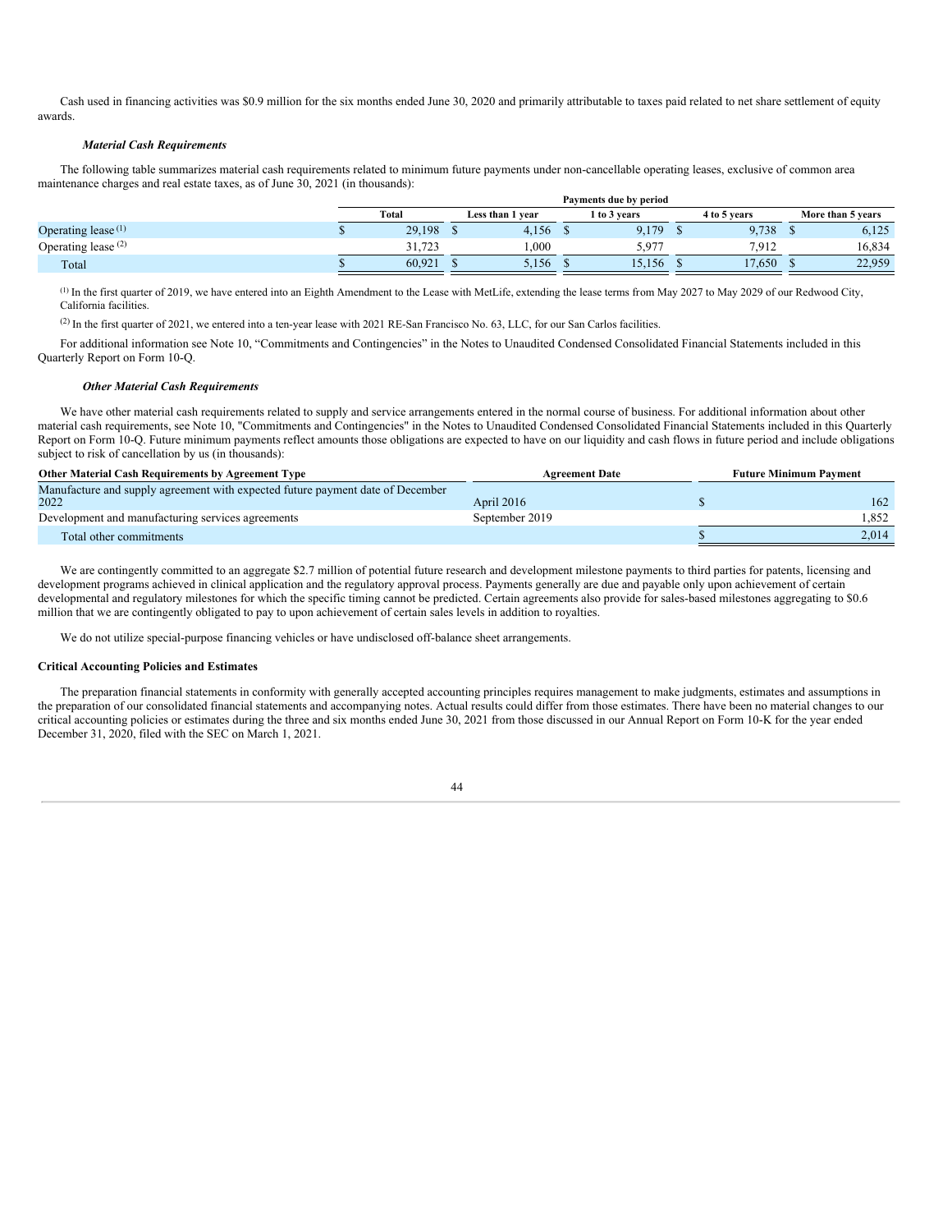Cash used in financing activities was \$0.9 million for the six months ended June 30, 2020 and primarily attributable to taxes paid related to net share settlement of equity awards.

## *Material Cash Requirements*

The following table summarizes material cash requirements related to minimum future payments under non-cancellable operating leases, exclusive of common area maintenance charges and real estate taxes, as of June 30, 2021 (in thousands):

|                       | Payments due by period |        |  |                  |  |              |  |              |  |                   |  |  |  |
|-----------------------|------------------------|--------|--|------------------|--|--------------|--|--------------|--|-------------------|--|--|--|
|                       |                        | Total  |  | Less than 1 year |  | 1 to 3 years |  | 4 to 5 years |  | More than 5 years |  |  |  |
| Operating lease $(1)$ |                        | 29,198 |  | 4,156            |  | 9.179        |  | 9,738        |  | 6,125             |  |  |  |
| Operating lease $(2)$ |                        | 31.723 |  | .000             |  | 5.977        |  | 7.912        |  | 16.834            |  |  |  |
| Total                 |                        | 60.921 |  | 5,156            |  | 15,156       |  | 17,650       |  | 22,959            |  |  |  |

 $\frac{(1)}{1}$  In the first quarter of 2019, we have entered into an Eighth Amendment to the Lease with MetLife, extending the lease terms from May 2027 to May 2029 of our Redwood City, California facilities.

 $^{(2)}$  In the first quarter of 2021, we entered into a ten-year lease with 2021 RE-San Francisco No. 63, LLC, for our San Carlos facilities.

For additional information see Note 10, "Commitments and Contingencies" in the Notes to Unaudited Condensed Consolidated Financial Statements included in this Quarterly Report on Form 10-Q.

# *Other Material Cash Requirements*

We have other material cash requirements related to supply and service arrangements entered in the normal course of business. For additional information about other material cash requirements, see Note 10, "Commitments and Contingencies" in the Notes to Unaudited Condensed Consolidated Financial Statements included in this Quarterly Report on Form 10-Q. Future minimum payments reflect amounts those obligations are expected to have on our liquidity and cash flows in future period and include obligations subject to risk of cancellation by us (in thousands):

| <b>Other Material Cash Requirements by Agreement Type</b>                              | <b>Agreement Date</b> | <b>Future Minimum Payment</b> |
|----------------------------------------------------------------------------------------|-----------------------|-------------------------------|
| Manufacture and supply agreement with expected future payment date of December<br>2022 | April 2016            | 162                           |
| Development and manufacturing services agreements                                      | September 2019        | .852                          |
| Total other commitments                                                                |                       | 2.014                         |

We are contingently committed to an aggregate \$2.7 million of potential future research and development milestone payments to third parties for patents, licensing and development programs achieved in clinical application and the regulatory approval process. Payments generally are due and payable only upon achievement of certain developmental and regulatory milestones for which the specific timing cannot be predicted. Certain agreements also provide for sales-based milestones aggregating to \$0.6 million that we are contingently obligated to pay to upon achievement of certain sales levels in addition to royalties.

We do not utilize special-purpose financing vehicles or have undisclosed off-balance sheet arrangements.

## **Critical Accounting Policies and Estimates**

<span id="page-43-0"></span>The preparation financial statements in conformity with generally accepted accounting principles requires management to make judgments, estimates and assumptions in the preparation of our consolidated financial statements and accompanying notes. Actual results could differ from those estimates. There have been no material changes to our critical accounting policies or estimates during the three and six months ended June 30, 2021 from those discussed in our Annual Report on Form 10-K for the year ended December 31, 2020, filed with the SEC on March 1, 2021.

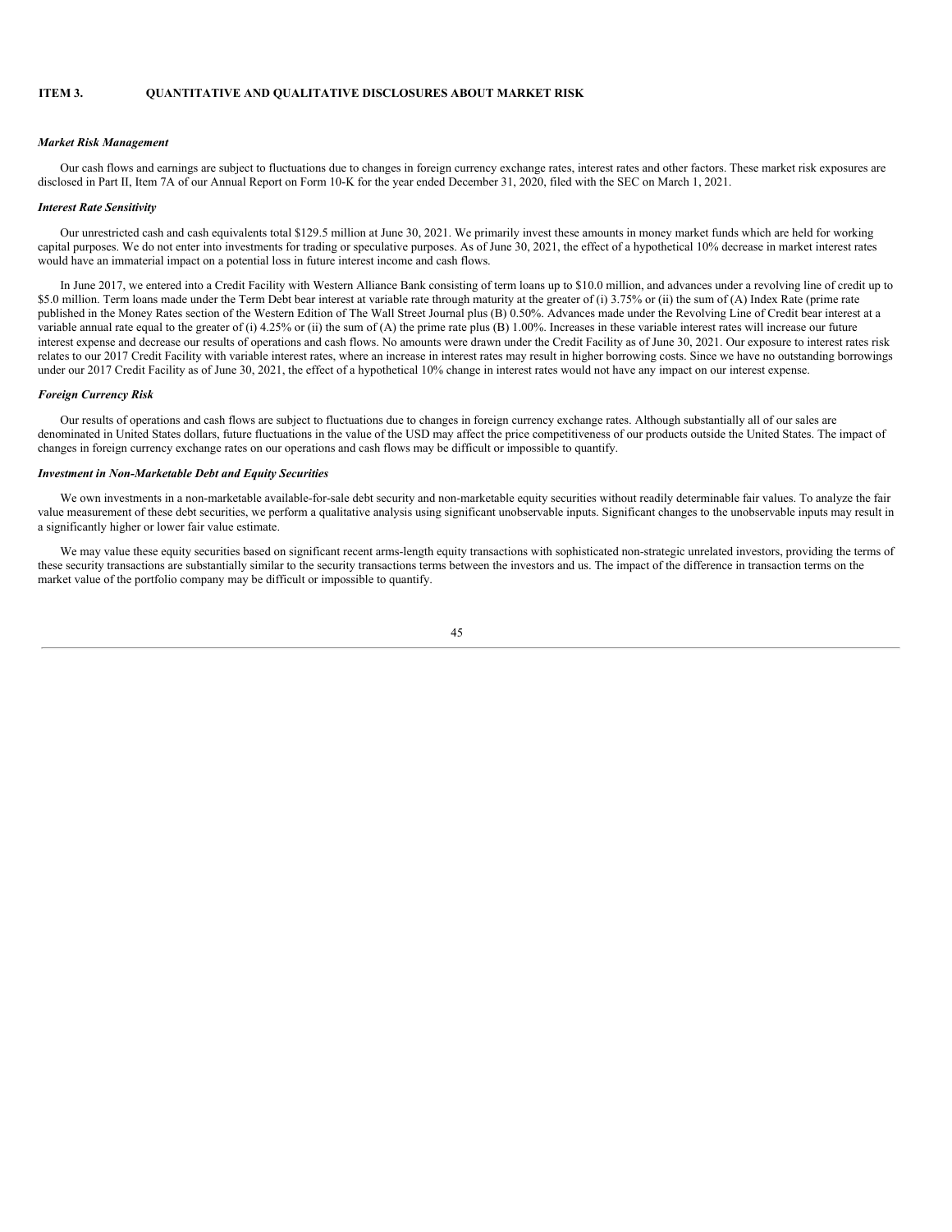# **ITEM 3. QUANTITATIVE AND QUALITATIVE DISCLOSURES ABOUT MARKET RISK**

### *Market Risk Management*

Our cash flows and earnings are subject to fluctuations due to changes in foreign currency exchange rates, interest rates and other factors. These market risk exposures are disclosed in Part II, Item 7A of our Annual Report on Form 10-K for the year ended December 31, 2020, filed with the SEC on March 1, 2021.

### *Interest Rate Sensitivity*

Our unrestricted cash and cash equivalents total \$129.5 million at June 30, 2021. We primarily invest these amounts in money market funds which are held for working capital purposes. We do not enter into investments for trading or speculative purposes. As of June 30, 2021, the effect of a hypothetical 10% decrease in market interest rates would have an immaterial impact on a potential loss in future interest income and cash flows.

In June 2017, we entered into a Credit Facility with Western Alliance Bank consisting of term loans up to \$10.0 million, and advances under a revolving line of credit up to \$5.0 million. Term loans made under the Term Debt bear interest at variable rate through maturity at the greater of (i) 3.75% or (ii) the sum of (A) Index Rate (prime rate published in the Money Rates section of the Western Edition of The Wall Street Journal plus (B) 0.50%. Advances made under the Revolving Line of Credit bear interest at a variable annual rate equal to the greater of (i)  $4.25\%$  or (ii) the sum of (A) the prime rate plus (B) 1.00%. Increases in these variable interest rates will increase our future interest expense and decrease our results of operations and cash flows. No amounts were drawn under the Credit Facility as of June 30, 2021. Our exposure to interest rates risk relates to our 2017 Credit Facility with variable interest rates, where an increase in interest rates may result in higher borrowing costs. Since we have no outstanding borrowings under our 2017 Credit Facility as of June 30, 2021, the effect of a hypothetical 10% change in interest rates would not have any impact on our interest expense.

## *Foreign Currency Risk*

Our results of operations and cash flows are subject to fluctuations due to changes in foreign currency exchange rates. Although substantially all of our sales are denominated in United States dollars, future fluctuations in the value of the USD may affect the price competitiveness of our products outside the United States. The impact of changes in foreign currency exchange rates on our operations and cash flows may be difficult or impossible to quantify.

# *Investment in Non-Marketable Debt and Equity Securities*

We own investments in a non-marketable available-for-sale debt security and non-marketable equity securities without readily determinable fair values. To analyze the fair value measurement of these debt securities, we perform a qualitative analysis using significant unobservable inputs. Significant changes to the unobservable inputs may result in a significantly higher or lower fair value estimate.

<span id="page-44-0"></span>We may value these equity securities based on significant recent arms-length equity transactions with sophisticated non-strategic unrelated investors, providing the terms of these security transactions are substantially similar to the security transactions terms between the investors and us. The impact of the difference in transaction terms on the market value of the portfolio company may be difficult or impossible to quantify.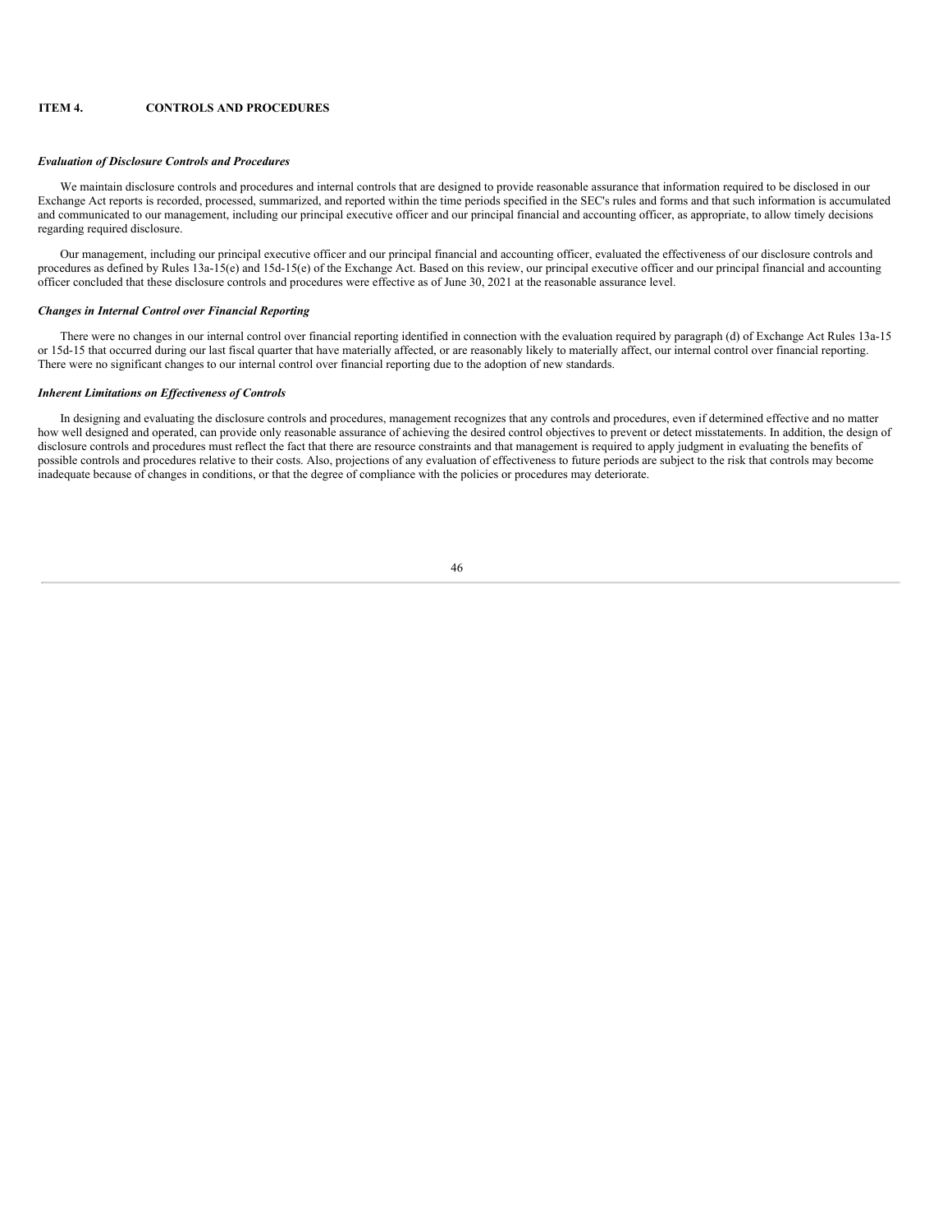# **ITEM 4. CONTROLS AND PROCEDURES**

### *Evaluation of Disclosure Controls and Procedures*

We maintain disclosure controls and procedures and internal controls that are designed to provide reasonable assurance that information required to be disclosed in our Exchange Act reports is recorded, processed, summarized, and reported within the time periods specified in the SEC's rules and forms and that such information is accumulated and communicated to our management, including our principal executive officer and our principal financial and accounting officer, as appropriate, to allow timely decisions regarding required disclosure.

Our management, including our principal executive officer and our principal financial and accounting officer, evaluated the effectiveness of our disclosure controls and procedures as defined by Rules 13a-15(e) and 15d-15(e) of the Exchange Act. Based on this review, our principal executive officer and our principal financial and accounting officer concluded that these disclosure controls and procedures were effective as of June 30, 2021 at the reasonable assurance level.

#### *Changes in Internal Control over Financial Reporting*

There were no changes in our internal control over financial reporting identified in connection with the evaluation required by paragraph (d) of Exchange Act Rules 13a-15 or 15d-15 that occurred during our last fiscal quarter that have materially affected, or are reasonably likely to materially affect, our internal control over financial reporting. There were no significant changes to our internal control over financial reporting due to the adoption of new standards.

## *Inherent Limitations on Ef ectiveness of Controls*

<span id="page-45-0"></span>In designing and evaluating the disclosure controls and procedures, management recognizes that any controls and procedures, even if determined effective and no matter how well designed and operated, can provide only reasonable assurance of achieving the desired control objectives to prevent or detect misstatements. In addition, the design of disclosure controls and procedures must reflect the fact that there are resource constraints and that management is required to apply judgment in evaluating the benefits of possible controls and procedures relative to their costs. Also, projections of any evaluation of effectiveness to future periods are subject to the risk that controls may become inadequate because of changes in conditions, or that the degree of compliance with the policies or procedures may deteriorate.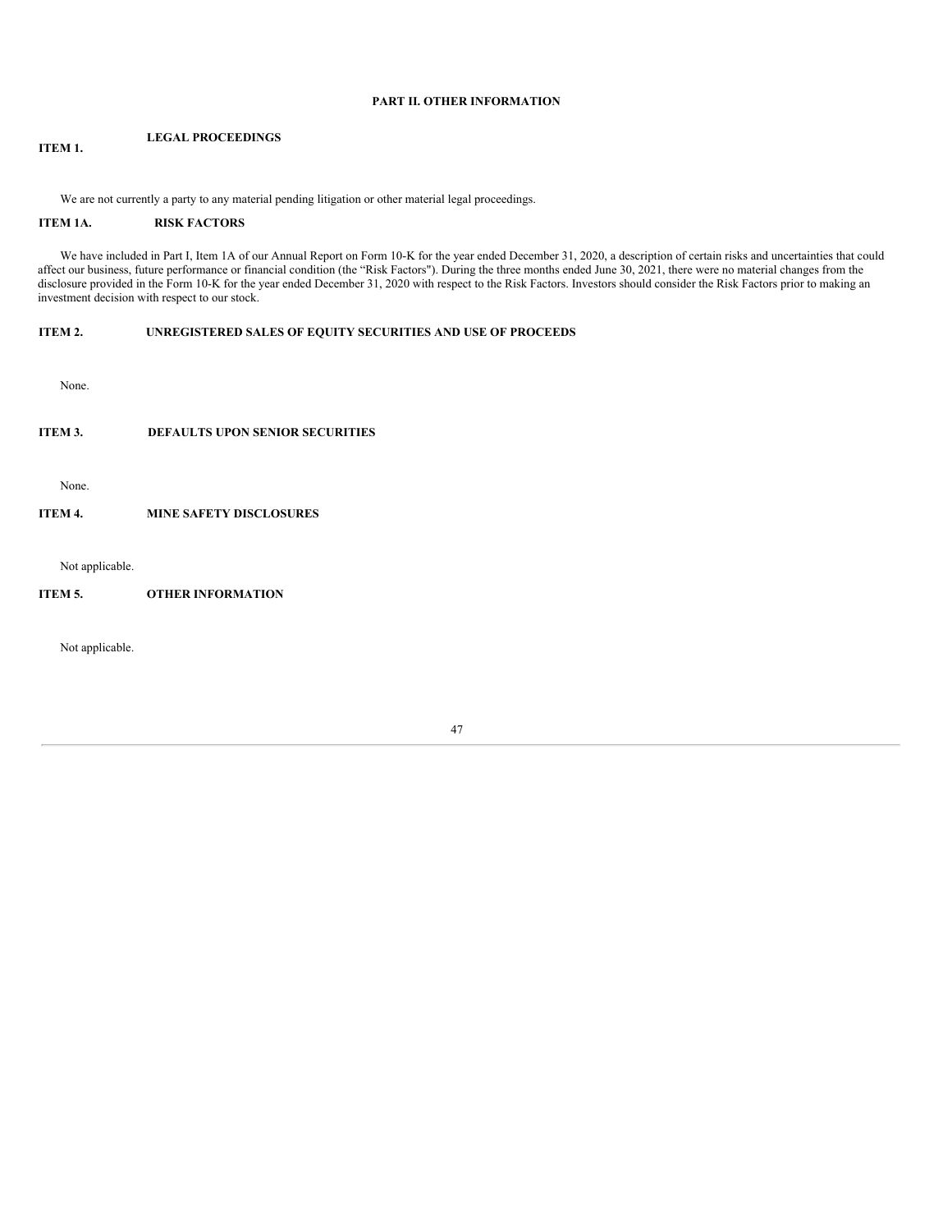# **PART II. OTHER INFORMATION**

### <span id="page-46-0"></span>**ITEM 1. LEGAL PROCEEDINGS**

We are not currently a party to any material pending litigation or other material legal proceedings.

# <span id="page-46-1"></span>**ITEM 1A. RISK FACTORS**

We have included in Part I, Item 1A of our Annual Report on Form 10-K for the year ended December 31, 2020, a description of certain risks and uncertainties that could affect our business, future performance or financial condition (the "Risk Factors"). During the three months ended June 30, 2021, there were no material changes from the disclosure provided in the Form 10-K for the year ended December 31, 2020 with respect to the Risk Factors. Investors should consider the Risk Factors prior to making an investment decision with respect to our stock.

# <span id="page-46-2"></span>**ITEM 2. UNREGISTERED SALES OF EQUITY SECURITIES AND USE OF PROCEEDS**

None.

<span id="page-46-3"></span>**ITEM 3. DEFAULTS UPON SENIOR SECURITIES**

None.

<span id="page-46-4"></span>**ITEM 4. MINE SAFETY DISCLOSURES**

Not applicable.

# <span id="page-46-5"></span>**ITEM 5. OTHER INFORMATION**

<span id="page-46-6"></span>Not applicable.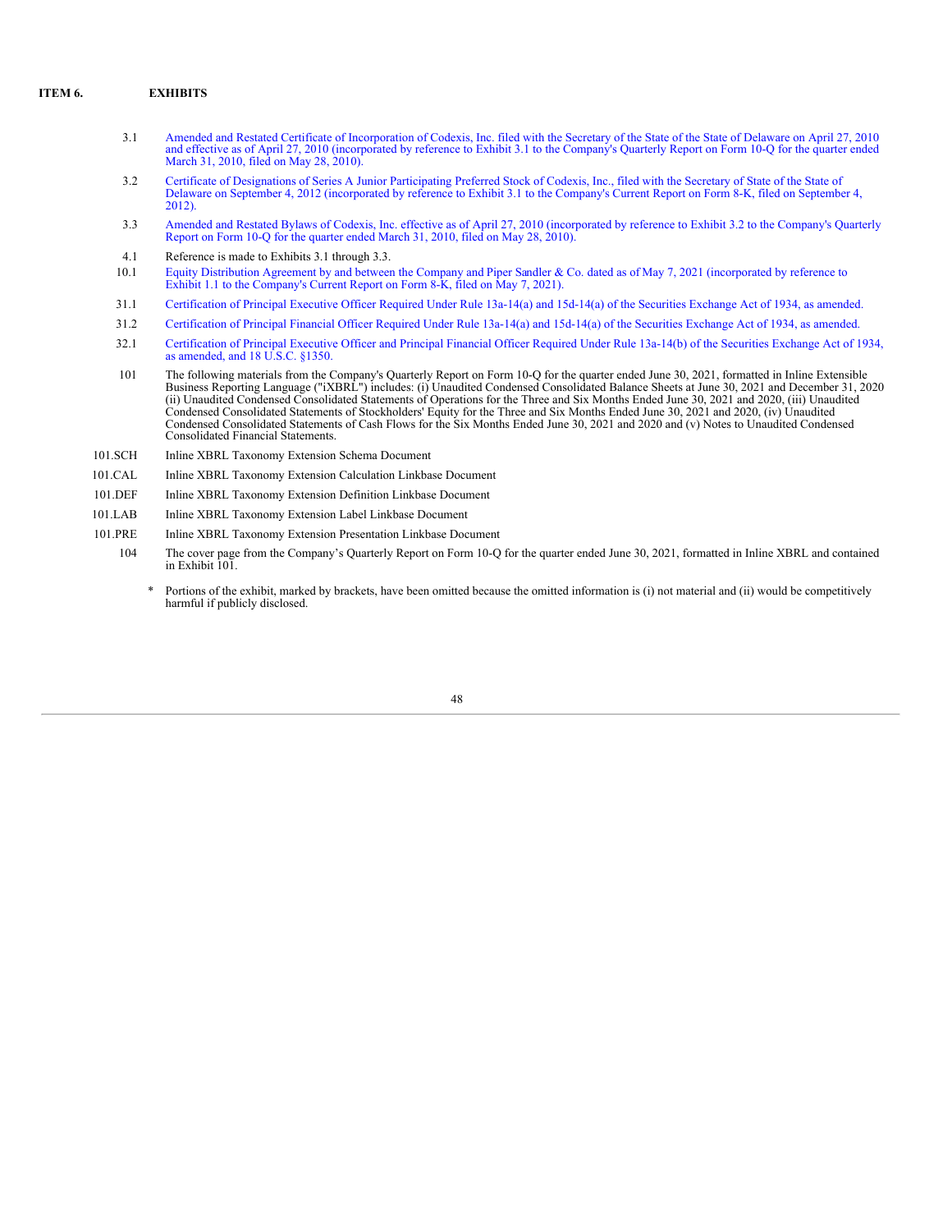# **ITEM 6. EXHIBITS**

- 3.1 Amended and Restated Certificate of [Incorporation](http://www.sec.gov/Archives/edgar/data/1200375/000095013010000138/dex31.htm) of Codexis, Inc. filed with the Secretary of the State of the State of Delaware on April 27, 2010 and effective as of April 27, 2010 (incorporated by reference to Exhibit 3.1 to the Company's Quarterly Report on Form 10-Q for the quarter ended March 31, 2010, filed on May 28, 2010).
- 3.2 Certificate of Designations of Series A Junior Participating Preferred Stock of Codexis, Inc., filed with the Secretary of State of the State of Delaware on September 4, 2012 [\(incorporated](http://www.sec.gov/Archives/edgar/data/1200375/000119312512378221/d405085dex31.htm) by reference to Exhibit 3.1 t 2012).
- 3.3 Amended and Restated Bylaws of Codexis, Inc. effective as of April 27, 2010 [\(incorporated](http://www.sec.gov/Archives/edgar/data/1200375/000095013010000138/dex32.htm) by reference to Exhibit 3.2 to the Company's Quarterly Report on Form 10-Q for the quarter ended March 31, 2010, filed on May 28, 2010).
- 4.1 Reference is made to Exhibits 3.1 through 3.3.
- 10.1 [E](http://www.sec.gov/Archives/edgar/data/1200375/000119312521155123/d207309dex11.htm)quity [Distribution](http://www.sec.gov/Archives/edgar/data/1200375/000119312521155123/d207309dex11.htm) Agreement by and between the [Company](http://www.sec.gov/Archives/edgar/data/1200375/000119312521155123/d207309dex11.htm) and [Piper](http://www.sec.gov/Archives/edgar/data/1200375/000119312521155123/d207309dex11.htm) S[andler](http://www.sec.gov/Archives/edgar/data/1200375/000119312521155123/d207309dex11.htm) & C[o.](http://www.sec.gov/Archives/edgar/data/1200375/000119312521155123/d207309dex11.htm) [dated](http://www.sec.gov/Archives/edgar/data/1200375/000119312521155123/d207309dex11.htm) as of May 7, [2021](http://www.sec.gov/Archives/edgar/data/1200375/000119312521155123/d207309dex11.htm) [\(incorporated](http://www.sec.gov/Archives/edgar/data/1200375/000119312521155123/d207309dex11.htm) by reference to Exhibit 1.1 to the Company's Current Report on Form 8-K, filed on May 7, [2021\).](http://www.sec.gov/Archives/edgar/data/1200375/000119312521155123/d207309dex11.htm)
- 31.1 [Certification](#page-49-0) of Principal Executive Officer Required Under Rule 13a-14(a) and 15d-14(a) of the Securities Exchange Act of 1934, as amended.
- 31.2 [Certification](#page-50-0) of Principal Financial Officer Required Under Rule 13a-14(a) and 15d-14(a) of the Securities Exchange Act of 1934, as amended.
- 32.1 [Certification](#page-51-0) of Principal Executive Officer and Principal Financial Officer Required Under Rule 13a-14(b) of the Securities Exchange Act of 1934, as amended, and 18 U.S.C. §1350.
- 101 The following materials from the Company's Quarterly Report on Form 10-Q for the quarter ended June 30, 2021, formatted in Inline Extensible Business Reporting Language ("iXBRL") includes: (i) Unaudited Condensed Consolidated Balance Sheets at June 30, 2021 and December 31, 2020<br>(ii) Unaudited Condensed Consolidated Statements of Operations for the Three and Si Condensed Consolidated Statements of Stockholders' Equity for the Three and Six Months Ended June 30, 2021 and 2020, (iv) Unaudited Condensed Consolidated Statements of Cash Flows for the Six Months Ended June 30, 2021 and 2020 and (v) Notes to Unaudited Condensed Consolidated Financial Statements.
- 101.SCH Inline XBRL Taxonomy Extension Schema Document
- 101.CAL Inline XBRL Taxonomy Extension Calculation Linkbase Document
- 101.DEF Inline XBRL Taxonomy Extension Definition Linkbase Document
- 101.LAB Inline XBRL Taxonomy Extension Label Linkbase Document
- <span id="page-47-0"></span>101.PRE Inline XBRL Taxonomy Extension Presentation Linkbase Document
	- 104 The cover page from the Company's Quarterly Report on Form 10-Q for the quarter ended June 30, 2021, formatted in Inline XBRL and contained in Exhibit 101.
		- Portions of the exhibit, marked by brackets, have been omitted because the omitted information is (i) not material and (ii) would be competitively harmful if publicly disclosed.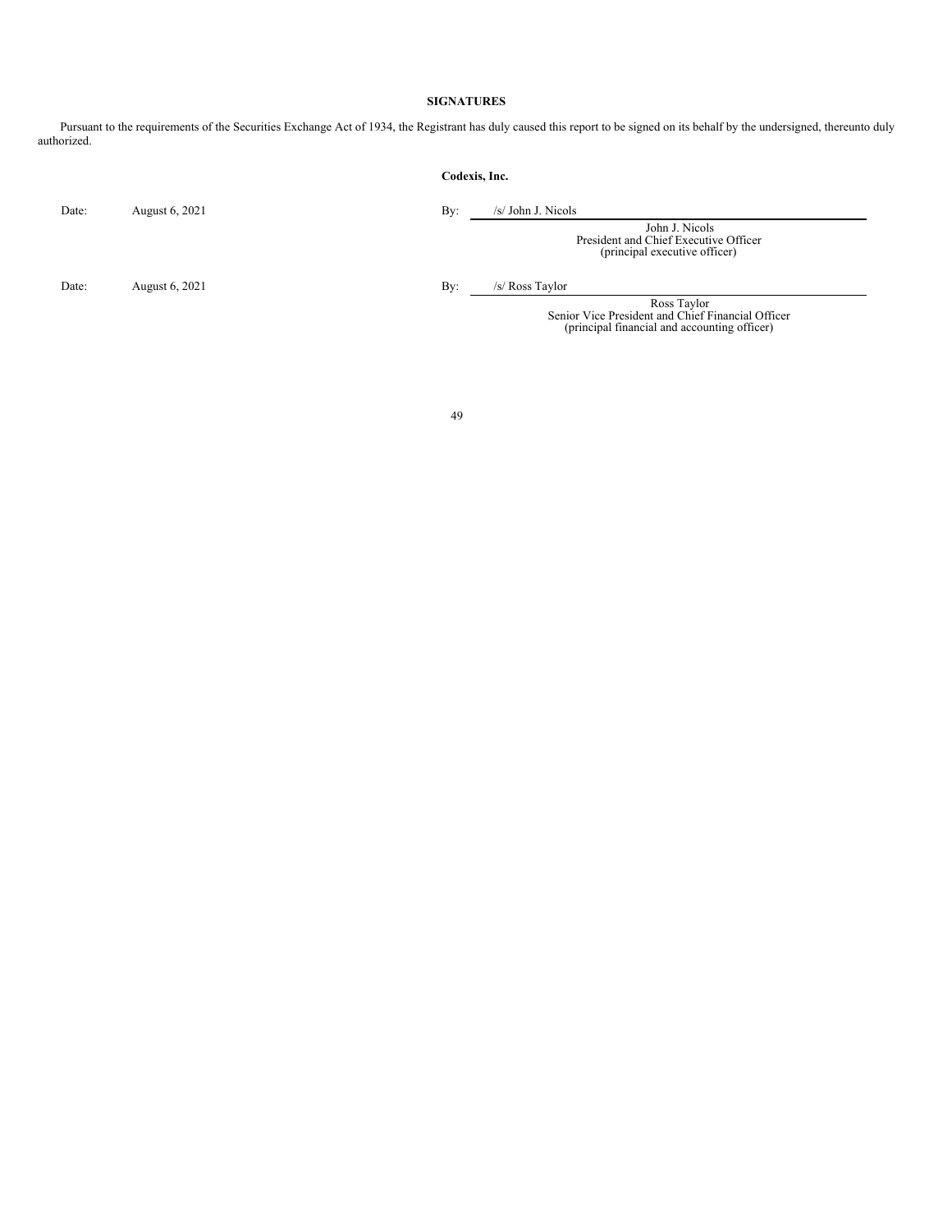# **SIGNATURES**

Pursuant to the requirements of the Securities Exchange Act of 1934, the Registrant has duly caused this report to be signed on its behalf by the undersigned, thereunto duly authorized.

|       |                | Codexis, Inc.                                                                                                    |  |
|-------|----------------|------------------------------------------------------------------------------------------------------------------|--|
| Date: | August 6, 2021 | By:<br>/s/ John J. Nicols                                                                                        |  |
|       |                | John J. Nicols<br>President and Chief Executive Officer<br>(principal executive officer)                         |  |
| Date: | August 6, 2021 | By:<br>/s/ Ross Taylor                                                                                           |  |
|       |                | Ross Taylor<br>Senior Vice President and Chief Financial Officer<br>(principal financial and accounting officer) |  |
|       |                |                                                                                                                  |  |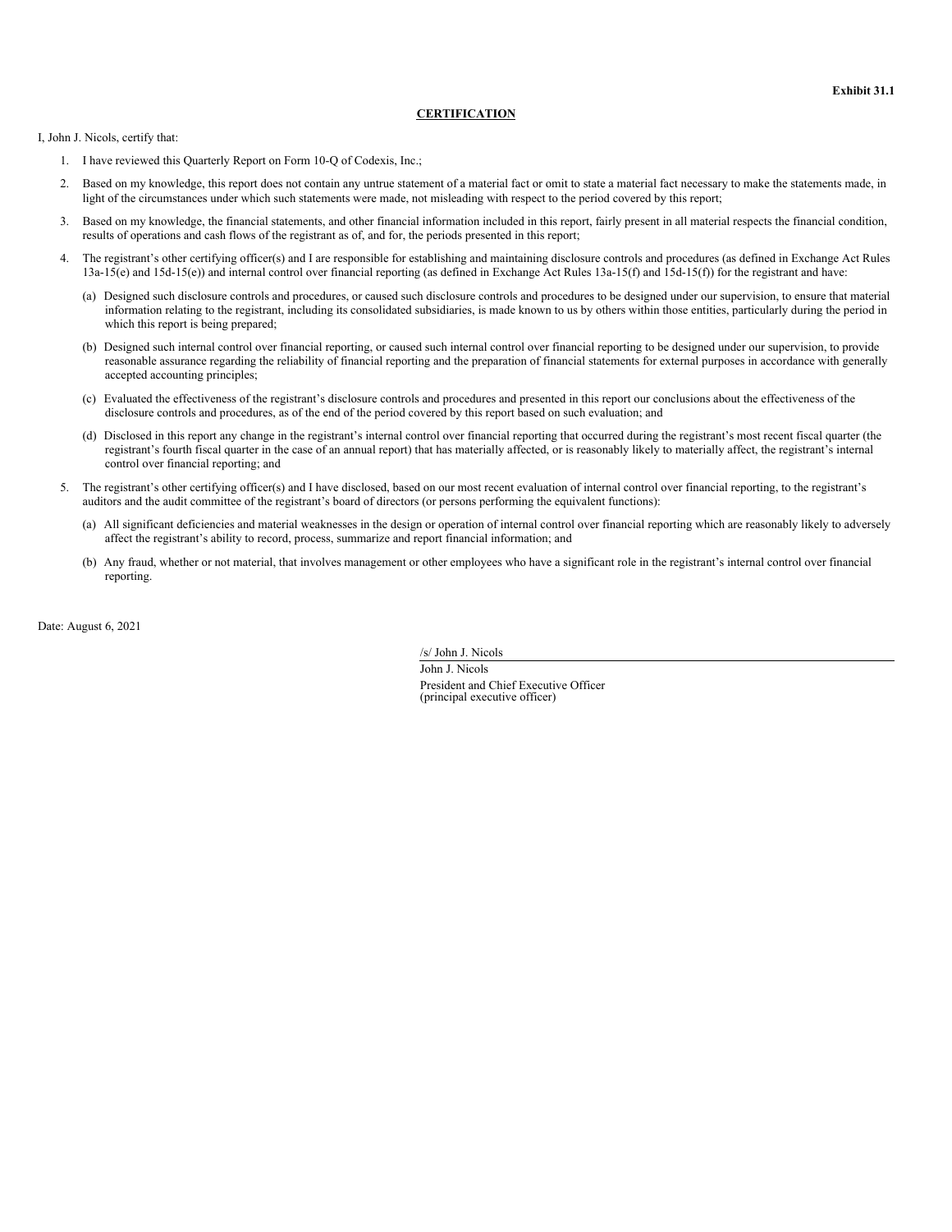# **CERTIFICATION**

<span id="page-49-0"></span>I, John J. Nicols, certify that:

- 1. I have reviewed this Quarterly Report on Form 10-Q of Codexis, Inc.;
- 2. Based on my knowledge, this report does not contain any untrue statement of a material fact or omit to state a material fact necessary to make the statements made, in light of the circumstances under which such statements were made, not misleading with respect to the period covered by this report;
- 3. Based on my knowledge, the financial statements, and other financial information included in this report, fairly present in all material respects the financial condition, results of operations and cash flows of the registrant as of, and for, the periods presented in this report;
- 4. The registrant's other certifying officer(s) and I are responsible for establishing and maintaining disclosure controls and procedures (as defined in Exchange Act Rules 13a-15(e) and 15d-15(e)) and internal control over financial reporting (as defined in Exchange Act Rules 13a-15(f) and 15d-15(f)) for the registrant and have:
	- (a) Designed such disclosure controls and procedures, or caused such disclosure controls and procedures to be designed under our supervision, to ensure that material information relating to the registrant, including its consolidated subsidiaries, is made known to us by others within those entities, particularly during the period in which this report is being prepared;
	- (b) Designed such internal control over financial reporting, or caused such internal control over financial reporting to be designed under our supervision, to provide reasonable assurance regarding the reliability of financial reporting and the preparation of financial statements for external purposes in accordance with generally accepted accounting principles;
	- (c) Evaluated the effectiveness of the registrant's disclosure controls and procedures and presented in this report our conclusions about the effectiveness of the disclosure controls and procedures, as of the end of the period covered by this report based on such evaluation; and
	- (d) Disclosed in this report any change in the registrant's internal control over financial reporting that occurred during the registrant's most recent fiscal quarter (the registrant's fourth fiscal quarter in the case of an annual report) that has materially affected, or is reasonably likely to materially affect, the registrant's internal control over financial reporting; and
- 5. The registrant's other certifying officer(s) and I have disclosed, based on our most recent evaluation of internal control over financial reporting, to the registrant's auditors and the audit committee of the registrant's board of directors (or persons performing the equivalent functions):
	- (a) All significant deficiencies and material weaknesses in the design or operation of internal control over financial reporting which are reasonably likely to adversely affect the registrant's ability to record, process, summarize and report financial information; and
	- (b) Any fraud, whether or not material, that involves management or other employees who have a significant role in the registrant's internal control over financial reporting.

Date: August 6, 2021

/s/ John J. Nicols

John J. Nicols President and Chief Executive Officer (principal executive officer)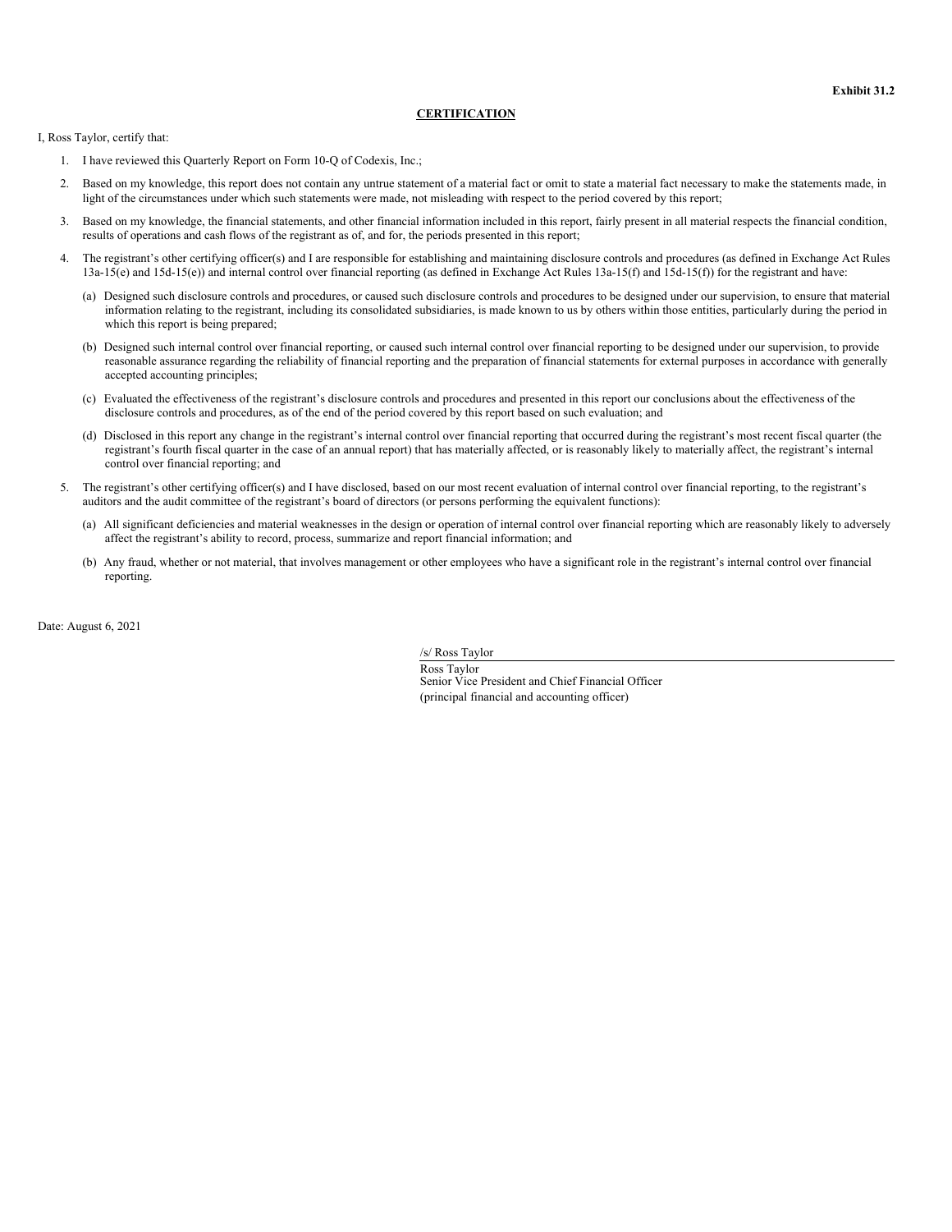# **CERTIFICATION**

<span id="page-50-0"></span>I, Ross Taylor, certify that:

- 1. I have reviewed this Quarterly Report on Form 10-Q of Codexis, Inc.;
- 2. Based on my knowledge, this report does not contain any untrue statement of a material fact or omit to state a material fact necessary to make the statements made, in light of the circumstances under which such statements were made, not misleading with respect to the period covered by this report;
- 3. Based on my knowledge, the financial statements, and other financial information included in this report, fairly present in all material respects the financial condition, results of operations and cash flows of the registrant as of, and for, the periods presented in this report;
- 4. The registrant's other certifying officer(s) and I are responsible for establishing and maintaining disclosure controls and procedures (as defined in Exchange Act Rules 13a-15(e) and 15d-15(e)) and internal control over financial reporting (as defined in Exchange Act Rules 13a-15(f) and 15d-15(f)) for the registrant and have:
	- (a) Designed such disclosure controls and procedures, or caused such disclosure controls and procedures to be designed under our supervision, to ensure that material information relating to the registrant, including its consolidated subsidiaries, is made known to us by others within those entities, particularly during the period in which this report is being prepared;
	- (b) Designed such internal control over financial reporting, or caused such internal control over financial reporting to be designed under our supervision, to provide reasonable assurance regarding the reliability of financial reporting and the preparation of financial statements for external purposes in accordance with generally accepted accounting principles;
	- (c) Evaluated the effectiveness of the registrant's disclosure controls and procedures and presented in this report our conclusions about the effectiveness of the disclosure controls and procedures, as of the end of the period covered by this report based on such evaluation; and
	- (d) Disclosed in this report any change in the registrant's internal control over financial reporting that occurred during the registrant's most recent fiscal quarter (the registrant's fourth fiscal quarter in the case of an annual report) that has materially affected, or is reasonably likely to materially affect, the registrant's internal control over financial reporting; and
- 5. The registrant's other certifying officer(s) and I have disclosed, based on our most recent evaluation of internal control over financial reporting, to the registrant's auditors and the audit committee of the registrant's board of directors (or persons performing the equivalent functions):
	- (a) All significant deficiencies and material weaknesses in the design or operation of internal control over financial reporting which are reasonably likely to adversely affect the registrant's ability to record, process, summarize and report financial information; and
	- (b) Any fraud, whether or not material, that involves management or other employees who have a significant role in the registrant's internal control over financial reporting.

Date: August 6, 2021

/s/ Ross Taylor

Ross Taylor Senior Vice President and Chief Financial Officer (principal financial and accounting officer)